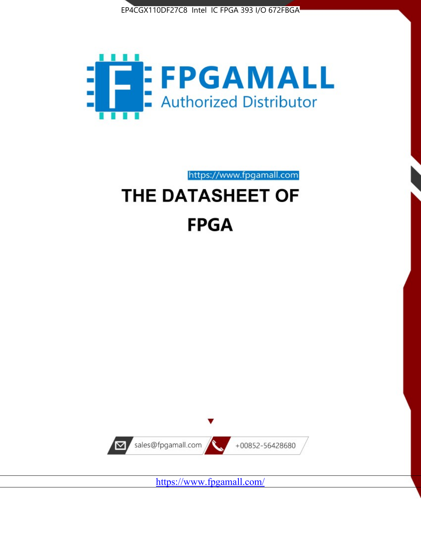



https://www.fpgamall.com

# THE DATASHEET OF **FPGA**



<https://www.fpgamall.com/>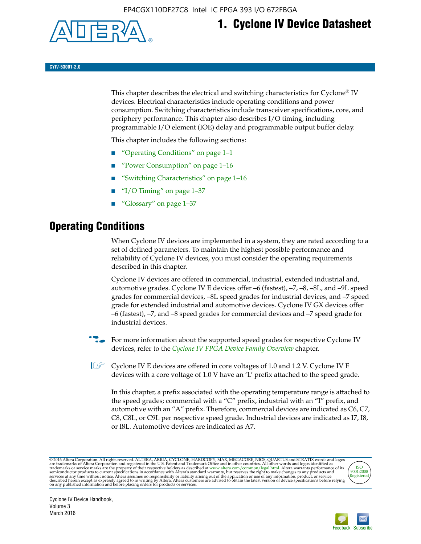

# **1. Cyclone IV Device Datasheet**

**CYIV-53001-2.0**

This chapter describes the electrical and switching characteristics for Cyclone<sup>®</sup> IV devices. Electrical characteristics include operating conditions and power consumption. Switching characteristics include transceiver specifications, core, and periphery performance. This chapter also describes I/O timing, including programmable I/O element (IOE) delay and programmable output buffer delay.

This chapter includes the following sections:

- "Operating Conditions" on page 1–1
- "Power Consumption" on page 1–16
- "Switching Characteristics" on page 1–16
- " $I/O$  Timing" on page  $1-37$
- "Glossary" on page 1–37

# **Operating Conditions**

When Cyclone IV devices are implemented in a system, they are rated according to a set of defined parameters. To maintain the highest possible performance and reliability of Cyclone IV devices, you must consider the operating requirements described in this chapter.

Cyclone IV devices are offered in commercial, industrial, extended industrial and, automotive grades. Cyclone IV E devices offer –6 (fastest), –7, –8, –8L, and –9L speed grades for commercial devices, –8L speed grades for industrial devices, and –7 speed grade for extended industrial and automotive devices. Cyclone IV GX devices offer –6 (fastest), –7, and –8 speed grades for commercial devices and –7 speed grade for industrial devices.

**For more information about the supported speed grades for respective Cyclone IV** devices, refer to the *[Cyclone IV FPGA Device Family Overview](http://www.altera.com/literature/hb/cyclone-iv/cyiv-51001.pdf)* chapter.

**1** Cyclone IV E devices are offered in core voltages of 1.0 and 1.2 V. Cyclone IV E devices with a core voltage of 1.0 V have an 'L' prefix attached to the speed grade.

In this chapter, a prefix associated with the operating temperature range is attached to the speed grades; commercial with a "C" prefix, industrial with an "I" prefix, and automotive with an "A" prefix. Therefore, commercial devices are indicated as C6, C7, C8, C8L, or C9L per respective speed grade. Industrial devices are indicated as I7, I8, or I8L. Automotive devices are indicated as A7.

@2016 Altera Corporation. All rights reserved. ALTERA, ARRIA, CYCLONE, HARDCOPY, MAX, MEGACORE, NIOS, QUARTUS and STRATIX words and logos are trademarks of Altera Corporation and registered in the U.S. Patent and Trademark



Cyclone IV Device Handbook, Volume 3 March 2016

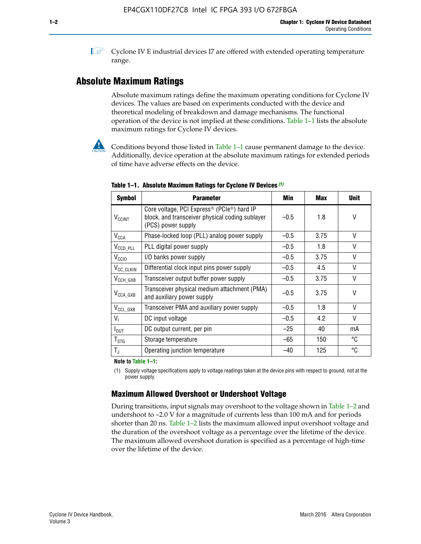**1 Cyclone IV E industrial devices I7 are offered with extended operating temperature** range.

### **Absolute Maximum Ratings**

Absolute maximum ratings define the maximum operating conditions for Cyclone IV devices. The values are based on experiments conducted with the device and theoretical modeling of breakdown and damage mechanisms. The functional operation of the device is not implied at these conditions. Table 1–1 lists the absolute maximum ratings for Cyclone IV devices.



Conditions beyond those listed in Table  $1-1$  cause permanent damage to the device. Additionally, device operation at the absolute maximum ratings for extended periods of time have adverse effects on the device.

| <b>Symbol</b>              | <b>Parameter</b>                                                                                                                             | Min    | <b>Max</b> | <b>Unit</b>  |
|----------------------------|----------------------------------------------------------------------------------------------------------------------------------------------|--------|------------|--------------|
| <b>V<sub>CCINT</sub></b>   | Core voltage, PCI Express <sup>®</sup> (PCIe <sup>®</sup> ) hard IP<br>block, and transceiver physical coding sublayer<br>(PCS) power supply | $-0.5$ | 1.8        | V            |
| $V_{CCA}$                  | Phase-locked loop (PLL) analog power supply                                                                                                  | $-0.5$ | 3.75       | V            |
| $V_{\text{CCD\_PLL}}$      | PLL digital power supply                                                                                                                     | $-0.5$ | 1.8        | $\vee$       |
| V <sub>CCIO</sub>          | I/O banks power supply                                                                                                                       | $-0.5$ | 3.75       | V            |
| V <sub>CC_CLKIN</sub>      | Differential clock input pins power supply                                                                                                   | $-0.5$ | 4.5        | V            |
| $V_{\text{CCH_GXB}}$       | Transceiver output buffer power supply                                                                                                       | $-0.5$ | 3.75       | V            |
| $V_{\text{CCA\_GXB}}$      | Transceiver physical medium attachment (PMA)<br>and auxiliary power supply                                                                   | $-0.5$ | 3.75       | V            |
| $V_{CCL_GXB}$              | Transceiver PMA and auxiliary power supply                                                                                                   | $-0.5$ | 1.8        | $\mathsf{V}$ |
| $V_{I}$                    | DC input voltage                                                                                                                             | $-0.5$ | 4.2        | V            |
| $I_{\text{OUT}}$           | DC output current, per pin                                                                                                                   | $-25$  | 40         | mA           |
| ${\mathsf T}_{\text{STG}}$ | Storage temperature                                                                                                                          | $-65$  | 150        | °C           |
| $T_{\rm J}$                | Operating junction temperature                                                                                                               | $-40$  | 125        | °C           |

**Table 1–1. Absolute Maximum Ratings for Cyclone IV Devices** *(1)*

#### **Note to Table 1–1:**

(1) Supply voltage specifications apply to voltage readings taken at the device pins with respect to ground, not at the power supply.

### **Maximum Allowed Overshoot or Undershoot Voltage**

During transitions, input signals may overshoot to the voltage shown in Table 1–2 and undershoot to –2.0 V for a magnitude of currents less than 100 mA and for periods shorter than 20 ns. Table 1–2 lists the maximum allowed input overshoot voltage and the duration of the overshoot voltage as a percentage over the lifetime of the device. The maximum allowed overshoot duration is specified as a percentage of high-time over the lifetime of the device.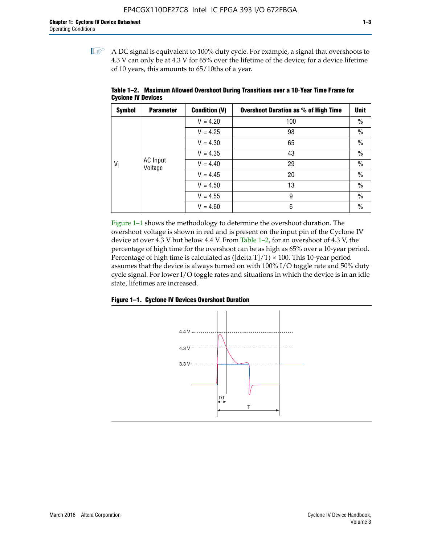$\mathbb{I}$  A DC signal is equivalent to 100% duty cycle. For example, a signal that overshoots to 4.3 V can only be at 4.3 V for 65% over the lifetime of the device; for a device lifetime of 10 years, this amounts to 65/10ths of a year.

| <b>Symbol</b> | <b>Parameter</b>    | <b>Condition (V)</b> | <b>Overshoot Duration as % of High Time</b> | Unit          |  |              |    |      |
|---------------|---------------------|----------------------|---------------------------------------------|---------------|--|--------------|----|------|
|               |                     | $V_1 = 4.20$         | 100                                         | $\%$          |  |              |    |      |
|               |                     | $V_1 = 4.25$         | 98                                          | $\%$          |  |              |    |      |
|               | AC Input<br>Voltage | $V_1 = 4.30$         | 65                                          | $\%$          |  |              |    |      |
|               |                     | $V_1 = 4.35$         | 43                                          | $\%$          |  |              |    |      |
| $V_i$         |                     |                      |                                             |               |  | $V_1 = 4.40$ | 29 | $\%$ |
|               |                     | $V_1 = 4.45$         | 20                                          | $\%$          |  |              |    |      |
|               |                     | $V_1 = 4.50$         | 13                                          | $\%$          |  |              |    |      |
|               |                     | $V_1 = 4.55$         | 9                                           | $\%$          |  |              |    |      |
|               |                     | $V_1 = 4.60$         | 6                                           | $\frac{0}{0}$ |  |              |    |      |

**Table 1–2. Maximum Allowed Overshoot During Transitions over a 10**-**Year Time Frame for Cyclone IV Devices**

Figure 1–1 shows the methodology to determine the overshoot duration. The overshoot voltage is shown in red and is present on the input pin of the Cyclone IV device at over 4.3 V but below 4.4 V. From Table 1–2, for an overshoot of 4.3 V, the percentage of high time for the overshoot can be as high as 65% over a 10-year period. Percentage of high time is calculated as ([delta  $T$ ]/T)  $\times$  100. This 10-year period assumes that the device is always turned on with 100% I/O toggle rate and 50% duty cycle signal. For lower I/O toggle rates and situations in which the device is in an idle state, lifetimes are increased.



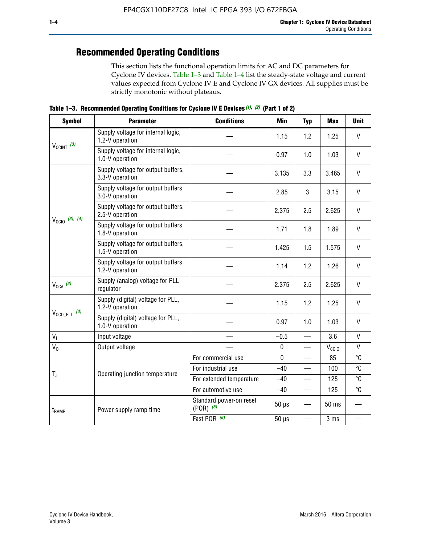# **Recommended Operating Conditions**

This section lists the functional operation limits for AC and DC parameters for Cyclone IV devices. Table 1–3 and Table 1–4 list the steady-state voltage and current values expected from Cyclone IV E and Cyclone IV GX devices. All supplies must be strictly monotonic without plateaus.

**Table 1–3. Recommended Operating Conditions for Cyclone IV E Devices** *(1)***,** *(2)* **(Part 1 of 2)**

| <b>Symbol</b>                                                                                                                                                                                                                                                                                                                                                                                                                                                                                                                                                                                                                                                                                                                                                                                                                                                                                                                                                                                                                                             | <b>Parameter</b>                                      | <b>Conditions</b>                                                                                                            | Min    | <b>Typ</b>   | <b>Max</b> | <b>Unit</b>  |
|-----------------------------------------------------------------------------------------------------------------------------------------------------------------------------------------------------------------------------------------------------------------------------------------------------------------------------------------------------------------------------------------------------------------------------------------------------------------------------------------------------------------------------------------------------------------------------------------------------------------------------------------------------------------------------------------------------------------------------------------------------------------------------------------------------------------------------------------------------------------------------------------------------------------------------------------------------------------------------------------------------------------------------------------------------------|-------------------------------------------------------|------------------------------------------------------------------------------------------------------------------------------|--------|--------------|------------|--------------|
|                                                                                                                                                                                                                                                                                                                                                                                                                                                                                                                                                                                                                                                                                                                                                                                                                                                                                                                                                                                                                                                           | Supply voltage for internal logic,<br>1.2-V operation |                                                                                                                              | 1.15   | 1.2          | 1.25       | V            |
| $V_{CClNT}$ (3)<br>$V_{\text{CCIO}}$ (3), (4)<br>$V_{CCA}$ (3)<br>$V_{\text{CCD\_PLL}}$ (3)                                                                                                                                                                                                                                                                                                                                                                                                                                                                                                                                                                                                                                                                                                                                                                                                                                                                                                                                                               | Supply voltage for internal logic,<br>1.0-V operation |                                                                                                                              | 0.97   | 1.0          | 1.03       | $\mathsf{V}$ |
|                                                                                                                                                                                                                                                                                                                                                                                                                                                                                                                                                                                                                                                                                                                                                                                                                                                                                                                                                                                                                                                           | Supply voltage for output buffers,<br>3.3-V operation |                                                                                                                              | 3.135  | 3.3          | 3.465      | $\vee$       |
| Supply voltage for output buffers,<br>3<br>2.85<br>3.0-V operation<br>Supply voltage for output buffers,<br>2.375<br>2.5<br>2.5-V operation<br>Supply voltage for output buffers,<br>1.8<br>1.71<br>1.8-V operation<br>Supply voltage for output buffers,<br>1.425<br>1.5<br>1.5-V operation<br>Supply voltage for output buffers,<br>1.14<br>1.2<br>1.2-V operation<br>Supply (analog) voltage for PLL<br>2.375<br>2.5<br>regulator<br>Supply (digital) voltage for PLL,<br>1.15<br>1.2<br>1.2-V operation<br>Supply (digital) voltage for PLL,<br>0.97<br>1.0<br>1.0-V operation<br>$V_{I}$<br>Input voltage<br>$-0.5$<br>$\equiv$<br>$V_0$<br>$\pmb{0}$<br>Output voltage<br>$\mathbf 0$<br>For commercial use<br>For industrial use<br>$-40$<br>$T_{\rm J}$<br>Operating junction temperature<br>For extended temperature<br>$-40$<br>For automotive use<br>$-40$<br>$\qquad \qquad$<br>Standard power-on reset<br>$50 \mu s$<br>$(POR)$ (5)<br>Power supply ramp time<br>t <sub>RAMP</sub><br>Fast POR (6)<br>$50 \mu s$<br>$\overline{\phantom{0}}$ | 3.15                                                  | $\vee$                                                                                                                       |        |              |            |              |
|                                                                                                                                                                                                                                                                                                                                                                                                                                                                                                                                                                                                                                                                                                                                                                                                                                                                                                                                                                                                                                                           |                                                       | 2.625<br>1.89<br>1.575<br>1.26<br>2.625<br>1.25<br>1.03<br>3.6<br>$V_{\rm CClO}$<br>85<br>100<br>125<br>125<br>50 ms<br>3 ms | $\vee$ |              |            |              |
|                                                                                                                                                                                                                                                                                                                                                                                                                                                                                                                                                                                                                                                                                                                                                                                                                                                                                                                                                                                                                                                           |                                                       |                                                                                                                              |        |              |            | $\mathsf{V}$ |
|                                                                                                                                                                                                                                                                                                                                                                                                                                                                                                                                                                                                                                                                                                                                                                                                                                                                                                                                                                                                                                                           |                                                       |                                                                                                                              |        |              |            | V            |
|                                                                                                                                                                                                                                                                                                                                                                                                                                                                                                                                                                                                                                                                                                                                                                                                                                                                                                                                                                                                                                                           |                                                       |                                                                                                                              |        |              |            | $\vee$       |
|                                                                                                                                                                                                                                                                                                                                                                                                                                                                                                                                                                                                                                                                                                                                                                                                                                                                                                                                                                                                                                                           |                                                       |                                                                                                                              |        |              |            | $\vee$       |
|                                                                                                                                                                                                                                                                                                                                                                                                                                                                                                                                                                                                                                                                                                                                                                                                                                                                                                                                                                                                                                                           |                                                       |                                                                                                                              |        |              | $\vee$     |              |
|                                                                                                                                                                                                                                                                                                                                                                                                                                                                                                                                                                                                                                                                                                                                                                                                                                                                                                                                                                                                                                                           |                                                       |                                                                                                                              |        | $\vee$       |            |              |
|                                                                                                                                                                                                                                                                                                                                                                                                                                                                                                                                                                                                                                                                                                                                                                                                                                                                                                                                                                                                                                                           |                                                       |                                                                                                                              |        | $\mathsf{V}$ |            |              |
|                                                                                                                                                                                                                                                                                                                                                                                                                                                                                                                                                                                                                                                                                                                                                                                                                                                                                                                                                                                                                                                           |                                                       |                                                                                                                              |        |              |            | V            |
|                                                                                                                                                                                                                                                                                                                                                                                                                                                                                                                                                                                                                                                                                                                                                                                                                                                                                                                                                                                                                                                           |                                                       |                                                                                                                              |        |              |            | °C           |
|                                                                                                                                                                                                                                                                                                                                                                                                                                                                                                                                                                                                                                                                                                                                                                                                                                                                                                                                                                                                                                                           |                                                       |                                                                                                                              |        |              |            | °C           |
|                                                                                                                                                                                                                                                                                                                                                                                                                                                                                                                                                                                                                                                                                                                                                                                                                                                                                                                                                                                                                                                           |                                                       |                                                                                                                              |        |              |            | °C           |
|                                                                                                                                                                                                                                                                                                                                                                                                                                                                                                                                                                                                                                                                                                                                                                                                                                                                                                                                                                                                                                                           |                                                       |                                                                                                                              |        |              |            | °C           |
|                                                                                                                                                                                                                                                                                                                                                                                                                                                                                                                                                                                                                                                                                                                                                                                                                                                                                                                                                                                                                                                           |                                                       |                                                                                                                              |        |              |            |              |
|                                                                                                                                                                                                                                                                                                                                                                                                                                                                                                                                                                                                                                                                                                                                                                                                                                                                                                                                                                                                                                                           |                                                       |                                                                                                                              |        |              |            |              |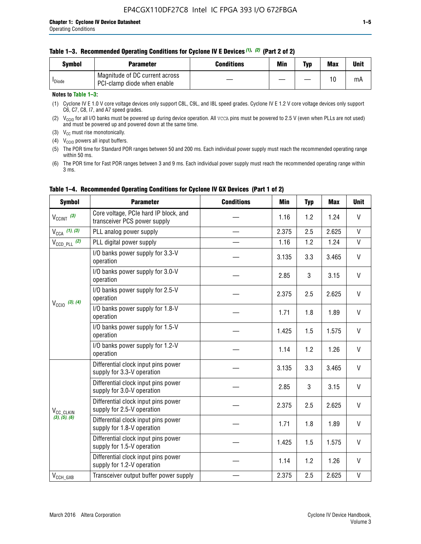#### **Table 1–3. Recommended Operating Conditions for Cyclone IV E Devices** *(1)***,** *(2)* **(Part 2 of 2)**

| Svmbol             | <b>Parameter</b>                                              | <b>Conditions</b> | Min | Typ | <b>Max</b> | Unit |
|--------------------|---------------------------------------------------------------|-------------------|-----|-----|------------|------|
| <sup>I</sup> Diode | Magnitude of DC current across<br>PCI-clamp diode when enable |                   |     | —   | 10         | mA   |

### **Notes to Table 1–3:**

(1) Cyclone IV E 1.0 V core voltage devices only support C8L, C9L, and I8L speed grades. Cyclone IV E 1.2 V core voltage devices only support C6, C7, C8, I7, and A7 speed grades.

(2)  $V_{CCIO}$  for all I/O banks must be powered up during device operation. All vcca pins must be powered to 2.5 V (even when PLLs are not used) and must be powered up and powered down at the same time.

(3)  $V_{CC}$  must rise monotonically.

(4)  $V_{\text{CCIO}}$  powers all input buffers.

(5) The POR time for Standard POR ranges between 50 and 200 ms. Each individual power supply must reach the recommended operating range within 50 ms.

(6) The POR time for Fast POR ranges between 3 and 9 ms. Each individual power supply must reach the recommended operating range within 3 ms.

| <b>Symbol</b>                                                                                                                                                                                                                                                                                                                                                                                                                                                                                                                                                                               | <b>Parameter</b>                                                      | <b>Conditions</b> | <b>Min</b>   | <b>Typ</b> | <b>Max</b> | <b>Unit</b>  |
|---------------------------------------------------------------------------------------------------------------------------------------------------------------------------------------------------------------------------------------------------------------------------------------------------------------------------------------------------------------------------------------------------------------------------------------------------------------------------------------------------------------------------------------------------------------------------------------------|-----------------------------------------------------------------------|-------------------|--------------|------------|------------|--------------|
| $V_{\text{CCINT}}$ (3)                                                                                                                                                                                                                                                                                                                                                                                                                                                                                                                                                                      | Core voltage, PCIe hard IP block, and<br>transceiver PCS power supply |                   | 1.16         | 1.2        | 1.24       | V            |
| $V_{CCA}$ (1), (3)                                                                                                                                                                                                                                                                                                                                                                                                                                                                                                                                                                          | PLL analog power supply                                               |                   | 2.375        | 2.5        | 2.625      | V            |
| $V_{CCD\ PLL}$ (2)                                                                                                                                                                                                                                                                                                                                                                                                                                                                                                                                                                          | PLL digital power supply                                              |                   | 1.16         | 1.2        | 1.24       | V            |
| $V_{\text{CC}10}$ (3), (4)                                                                                                                                                                                                                                                                                                                                                                                                                                                                                                                                                                  | I/O banks power supply for 3.3-V<br>operation                         |                   | 3.135        | 3.3        | 3.465      | V            |
|                                                                                                                                                                                                                                                                                                                                                                                                                                                                                                                                                                                             | I/O banks power supply for 3.0-V<br>operation                         |                   | 2.85         | 3          | 3.15       | V            |
|                                                                                                                                                                                                                                                                                                                                                                                                                                                                                                                                                                                             | I/O banks power supply for 2.5-V<br>operation                         |                   | 2.375        | 2.5        | 2.625      | V            |
|                                                                                                                                                                                                                                                                                                                                                                                                                                                                                                                                                                                             | I/O banks power supply for 1.8-V<br>operation                         |                   | 1.71         | 1.8        | 1.89       | V            |
|                                                                                                                                                                                                                                                                                                                                                                                                                                                                                                                                                                                             | I/O banks power supply for 1.5-V<br>operation                         |                   | 1.425        | 1.5        | 1.575      | V            |
|                                                                                                                                                                                                                                                                                                                                                                                                                                                                                                                                                                                             | I/O banks power supply for 1.2-V<br>operation                         |                   | 1.14         | 1.2        | 1.26       | $\mathsf{V}$ |
| Differential clock input pins power<br>3.135<br>supply for 3.3-V operation<br>Differential clock input pins power<br>2.85<br>supply for 3.0-V operation<br>Differential clock input pins power<br>2.375<br>supply for 2.5-V operation<br>V <sub>CC</sub> CLKIN<br>(3), (5), (6)<br>Differential clock input pins power<br>1.71<br>supply for 1.8-V operation<br>Differential clock input pins power<br>1.425<br>supply for 1.5-V operation<br>Differential clock input pins power<br>1.14<br>supply for 1.2-V operation<br>2.375<br>Transceiver output buffer power supply<br>$V_{CCH_GXB}$ |                                                                       |                   |              | 3.3        | 3.465      | V            |
|                                                                                                                                                                                                                                                                                                                                                                                                                                                                                                                                                                                             | 3                                                                     | 3.15              | $\mathsf{V}$ |            |            |              |
|                                                                                                                                                                                                                                                                                                                                                                                                                                                                                                                                                                                             |                                                                       |                   |              | 2.5        | 2.625      | V            |
|                                                                                                                                                                                                                                                                                                                                                                                                                                                                                                                                                                                             |                                                                       |                   |              | 1.8        | 1.89       | V            |
|                                                                                                                                                                                                                                                                                                                                                                                                                                                                                                                                                                                             |                                                                       |                   |              | 1.5        | 1.575      | V            |
|                                                                                                                                                                                                                                                                                                                                                                                                                                                                                                                                                                                             |                                                                       |                   |              | 1.2        | 1.26       | V            |
|                                                                                                                                                                                                                                                                                                                                                                                                                                                                                                                                                                                             |                                                                       |                   |              | 2.5        | 2.625      | V            |

### **Table 1–4. Recommended Operating Conditions for Cyclone IV GX Devices (Part 1 of 2)**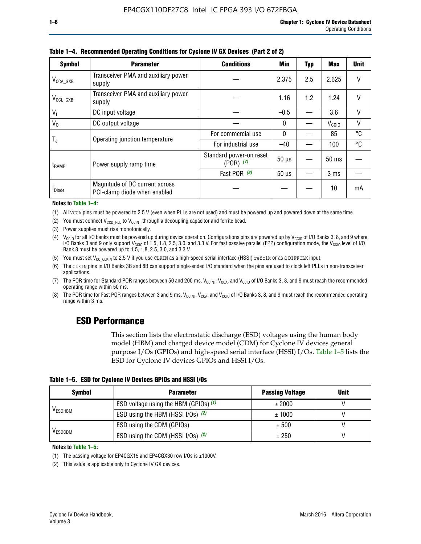| <b>Symbol</b>         | <b>Parameter</b>                                               | <b>Conditions</b>                        | Min          | Typ | Max               | <b>Unit</b> |
|-----------------------|----------------------------------------------------------------|------------------------------------------|--------------|-----|-------------------|-------------|
| $V_{\text{CCA\_GXB}}$ | Transceiver PMA and auxiliary power<br>supply                  |                                          |              | 2.5 | 2.625             | V           |
| $V_{CCL_GXB}$         | Transceiver PMA and auxiliary power<br>supply                  |                                          | 1.16         | 1.2 | 1.24              | V           |
| V <sub>1</sub>        | DC input voltage                                               |                                          | $-0.5$       |     | 3.6               | V           |
| $V_0$                 | DC output voltage                                              |                                          | $\mathbf{0}$ |     | V <sub>CCIO</sub> | V           |
|                       |                                                                | For commercial use                       | $\mathbf{0}$ |     | 85                | °C          |
| T,                    | Operating junction temperature                                 | For industrial use                       | $-40$        |     | 100               | °C          |
| $t_{\rm{RAMP}}$       | Power supply ramp time                                         | Standard power-on reset<br>$(POR)$ $(7)$ | $50 \mu s$   |     | 50 ms             |             |
|                       |                                                                | Fast POR (8)                             | $50 \mu s$   |     | 3 <sub>ms</sub>   |             |
| <b>I</b> Diode        | Magnitude of DC current across<br>PCI-clamp diode when enabled |                                          |              |     | 10                | mA          |

**Table 1–4. Recommended Operating Conditions for Cyclone IV GX Devices (Part 2 of 2)**

#### **Notes to Table 1–4:**

- (1) All VCCA pins must be powered to 2.5 V (even when PLLs are not used) and must be powered up and powered down at the same time.
- (2) You must connect  $V_{CCD-PLL}$  to  $V_{CCINT}$  through a decoupling capacitor and ferrite bead.
- (3) Power supplies must rise monotonically.
- (4)  $V_{\text{CCIO}}$  for all I/O banks must be powered up during device operation. Configurations pins are powered up by V<sub>CCIO</sub> of I/O Banks 3, 8, and 9 where I/O Banks 3 and 9 only support V<sub>CCIO</sub> of 1.5, 1.8, 2.5, 3.0, and 3.3 V. For fast passive parallel (FPP) configuration mode, the V<sub>CCIO</sub> level of I/O<br>Bank 8 must be powered up to 1.5, 1.8, 2.5, 3.0, and 3.3 V.
- (5) You must set  $V_{CC_CCLKIN}$  to 2.5 V if you use CLKIN as a high-speed serial interface (HSSI) refclk or as a DIFFCLK input.
- (6) The CLKIN pins in I/O Banks 3B and 8B can support single-ended I/O standard when the pins are used to clock left PLLs in non-transceiver applications.
- (7) The POR time for Standard POR ranges between 50 and 200 ms.  $V_{\text{CCIA}}$ ,  $V_{\text{CCIA}}$ , and  $V_{\text{CCIO}}$  of I/O Banks 3, 8, and 9 must reach the recommended operating range within 50 ms.
- (8) The POR time for Fast POR ranges between 3 and 9 ms.  $V_{\text{CCH},T}$ ,  $V_{\text{CCA}}$ , and  $V_{\text{CCI}}$  of I/O Banks 3, 8, and 9 must reach the recommended operating range within 3 ms.

### **ESD Performance**

This section lists the electrostatic discharge (ESD) voltages using the human body model (HBM) and charged device model (CDM) for Cyclone IV devices general purpose I/Os (GPIOs) and high-speed serial interface (HSSI) I/Os. Table 1–5 lists the ESD for Cyclone IV devices GPIOs and HSSI I/Os.

|  | Table 1–5. ESD for Cyclone IV Devices GPIOs and HSSI I/Os |  |
|--|-----------------------------------------------------------|--|
|--|-----------------------------------------------------------|--|

| <b>Symbol</b>  | <b>Parameter</b>                      | <b>Passing Voltage</b> | <b>Unit</b> |
|----------------|---------------------------------------|------------------------|-------------|
|                | ESD voltage using the HBM (GPIOs) (1) | ± 2000                 |             |
| <b>VESDHBM</b> | ESD using the HBM (HSSI I/Os) (2)     | ± 1000                 |             |
|                | ESD using the CDM (GPIOs)             | ± 500                  |             |
| <b>VESDCDM</b> | ESD using the CDM (HSSI I/Os) (2)     | ± 250                  |             |

#### **Notes to Table 1–5:**

(1) The passing voltage for EP4CGX15 and EP4CGX30 row I/Os is ±1000V.

(2) This value is applicable only to Cyclone IV GX devices.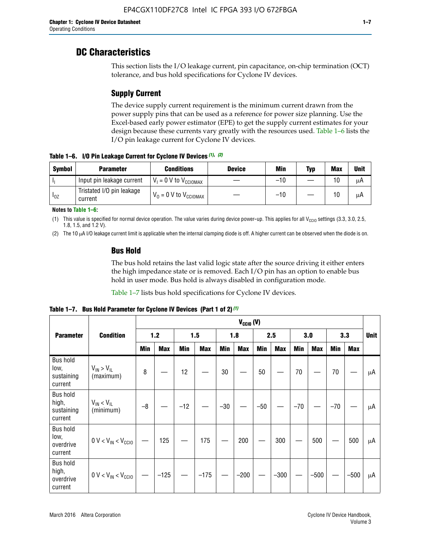### **DC Characteristics**

This section lists the I/O leakage current, pin capacitance, on-chip termination (OCT) tolerance, and bus hold specifications for Cyclone IV devices.

### **Supply Current**

The device supply current requirement is the minimum current drawn from the power supply pins that can be used as a reference for power size planning. Use the Excel-based early power estimator (EPE) to get the supply current estimates for your design because these currents vary greatly with the resources used. Table 1–6 lists the I/O pin leakage current for Cyclone IV devices.

**Table 1–6. I/O Pin Leakage Current for Cyclone IV Devices** *(1)***,** *(2)*

| <b>Symbol</b> | <b>Parameter</b>                     | <b>Conditions</b>                   | <b>Device</b> | Min   | Typ | <b>Max</b> | <b>Unit</b> |
|---------------|--------------------------------------|-------------------------------------|---------------|-------|-----|------------|-------------|
| -lı           | Input pin leakage current            | $V_1 = 0$ V to $V_{\text{CCIOMAX}}$ |               | $-10$ |     | 10         | μA          |
| $I_{0Z}$      | Tristated I/O pin leakage<br>current | $V_0 = 0$ V to $V_{\text{CCIOMAX}}$ |               | $-10$ |     | 10         | μA          |

**Notes to Table 1–6:**

(1) This value is specified for normal device operation. The value varies during device power-up. This applies for all V<sub>CCIO</sub> settings (3.3, 3.0, 2.5, 1.8, 1.5, and 1.2 V).

(2) The 10 µA I/O leakage current limit is applicable when the internal clamping diode is off. A higher current can be observed when the diode is on.

### **Bus Hold**

The bus hold retains the last valid logic state after the source driving it either enters the high impedance state or is removed. Each I/O pin has an option to enable bus hold in user mode. Bus hold is always disabled in configuration mode.

Table 1–7 lists bus hold specifications for Cyclone IV devices.

|                                                   |                                  | $V_{CCIO} (V)$ |            |       |            |            |            |            |            |       |            |       |            |             |
|---------------------------------------------------|----------------------------------|----------------|------------|-------|------------|------------|------------|------------|------------|-------|------------|-------|------------|-------------|
| <b>Parameter</b>                                  | <b>Condition</b>                 |                | $1.2$      |       | 1.5        |            | 1.8        |            | 2.5        |       | 3.0        |       | 3.3        | <b>Unit</b> |
|                                                   |                                  | <b>Min</b>     | <b>Max</b> | Min   | <b>Max</b> | <b>Min</b> | <b>Max</b> | <b>Min</b> | <b>Max</b> | Min   | <b>Max</b> | Min   | <b>Max</b> |             |
| <b>Bus hold</b><br>low,<br>sustaining<br>current  | $V_{IN}$ > $V_{IL}$<br>(maximum) | 8              |            | 12    |            | 30         |            | 50         |            | 70    |            | 70    |            | μA          |
| <b>Bus hold</b><br>high,<br>sustaining<br>current | $V_{IN}$ < $V_{IL}$<br>(minimum) | $-8$           |            | $-12$ |            | $-30$      |            | $-50$      |            | $-70$ |            | $-70$ |            | μA          |
| <b>Bus hold</b><br>low,<br>overdrive<br>current   | $0 V < V_{IN} < V_{CG10}$        |                | 125        |       | 175        |            | 200        |            | 300        |       | 500        |       | 500        | μA          |
| <b>Bus hold</b><br>high,<br>overdrive<br>current  | $0 V < V_{IN} < V_{CG10}$        |                | $-125$     |       | $-175$     |            | $-200$     |            | $-300$     |       | $-500$     |       | $-500$     | μA          |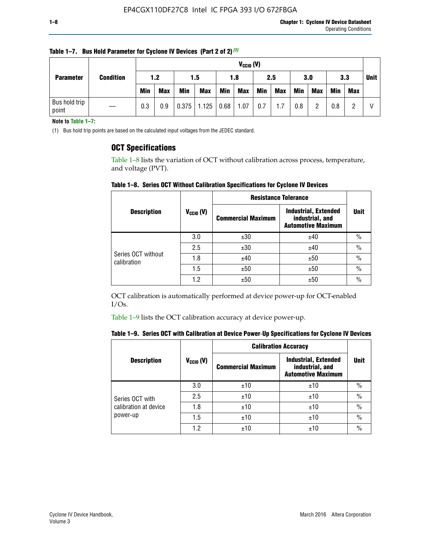| <b>Parameter</b>       |                  |            | $V_{CClO}$ (V) |            |                    |     |            |     |     |     |            |            |     |  |
|------------------------|------------------|------------|----------------|------------|--------------------|-----|------------|-----|-----|-----|------------|------------|-----|--|
|                        | <b>Condition</b> | 1.2<br>1.5 |                |            | 1.8                |     | 2.5        |     | 3.0 |     | 3.3        |            |     |  |
|                        |                  | <b>Min</b> | <b>Max</b>     | <b>Min</b> | <b>Max</b>         | Min | <b>Max</b> | Min | Max | Min | <b>Max</b> | <b>Min</b> | Max |  |
| Bus hold trip<br>point |                  | 0.3        | 0.9            |            | $0.375$ 1.125 0.68 |     | 1.07       | 0.7 | 1.7 | 0.8 | ŋ          | 0.8        |     |  |

**Table 1–7. Bus Hold Parameter for Cyclone IV Devices (Part 2 of 2)** *(1)*

**Note to Table 1–7:**

(1) Bus hold trip points are based on the calculated input voltages from the JEDEC standard.

### **OCT Specifications**

Table 1–8 lists the variation of OCT without calibration across process, temperature, and voltage (PVT).

**Table 1–8. Series OCT Without Calibration Specifications for Cyclone IV Devices**

|                                   |                       | <b>Resistance Tolerance</b> |                                                                             |               |
|-----------------------------------|-----------------------|-----------------------------|-----------------------------------------------------------------------------|---------------|
| <b>Description</b>                | $V_{\text{CCIO}}$ (V) | <b>Commercial Maximum</b>   | <b>Industrial, Extended</b><br>industrial, and<br><b>Automotive Maximum</b> | <b>Unit</b>   |
|                                   | 3.0                   | ±30                         | ±40                                                                         | $\frac{0}{0}$ |
|                                   | 2.5                   | ±30                         | ±40                                                                         | $\frac{0}{0}$ |
| Series OCT without<br>calibration | 1.8                   | ±40                         | ±50                                                                         | $\frac{0}{0}$ |
|                                   | 1.5                   | ±50                         | ±50                                                                         | $\frac{0}{0}$ |
|                                   | 1.2                   | ±50                         | ±50                                                                         | $\frac{0}{0}$ |

OCT calibration is automatically performed at device power-up for OCT-enabled I/Os.

Table 1–9 lists the OCT calibration accuracy at device power-up.

|  |  | Table 1–9.  Series OCT with Calibration at Device Power-Up Specifications for Cyclone IV Devices |  |  |  |  |  |  |
|--|--|--------------------------------------------------------------------------------------------------|--|--|--|--|--|--|
|--|--|--------------------------------------------------------------------------------------------------|--|--|--|--|--|--|

|                       |                      |                           | <b>Calibration Accuracy</b>                                                 |               |
|-----------------------|----------------------|---------------------------|-----------------------------------------------------------------------------|---------------|
| <b>Description</b>    | $V_{\text{CCIO}}(V)$ | <b>Commercial Maximum</b> | <b>Industrial, Extended</b><br>industrial, and<br><b>Automotive Maximum</b> | <b>Unit</b>   |
|                       | 3.0                  | ±10                       | ±10                                                                         | $\%$          |
| Series OCT with       | 2.5                  | ±10                       | ±10                                                                         | $\frac{0}{0}$ |
| calibration at device | 1.8                  | ±10                       | ±10                                                                         | $\%$          |
| power-up              | 1.5                  | ±10                       | ±10                                                                         | $\%$          |
|                       | 1.2                  | ±10                       | ±10                                                                         | $\frac{0}{0}$ |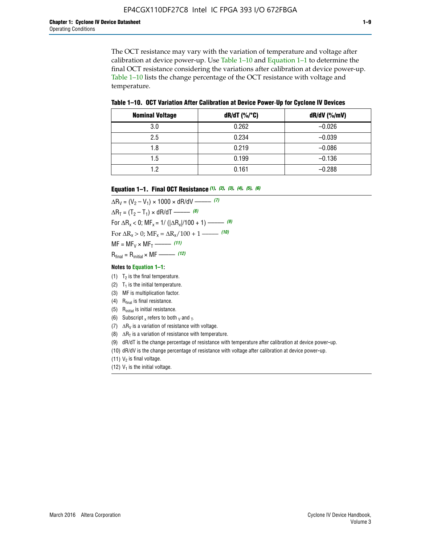The OCT resistance may vary with the variation of temperature and voltage after calibration at device power-up. Use Table 1–10 and Equation 1–1 to determine the final OCT resistance considering the variations after calibration at device power-up. Table 1–10 lists the change percentage of the OCT resistance with voltage and temperature.

**Table 1–10. OCT Variation After Calibration at Device Power**-**Up for Cyclone IV Devices**

| <b>Nominal Voltage</b> | $dR/dT$ (%/°C) | $dR/dV$ (%/mV) |
|------------------------|----------------|----------------|
| 3.0                    | 0.262          | $-0.026$       |
| 2.5                    | 0.234          | $-0.039$       |
| 1.8                    | 0.219          | $-0.086$       |
| 1.5                    | 0.199          | $-0.136$       |
| 1.2                    | 0.161          | $-0.288$       |

#### **Equation 1–1. Final OCT Resistance** *(1)***,** *(2)***,** *(3)***,** *(4)***,** *(5)***,** *(6)*

 $\Delta R_V = (V_2 - V_1) \times 1000 \times dR/dV$  ––––––––––––(7)  $\Delta R_T = (T_2 - T_1) \times dR/dT$  ––––––– (8) For  $\Delta R_x < 0$ ; MF<sub>x</sub> = 1/ ( $|\Delta R_x|/100 + 1$ ) –––––– (9) For  $\Delta R_x > 0$ ;  $\text{MF}_x = \Delta R_x / 100 + 1$  ——– (10)  $MF = MF_V \times MF_T$  –––––––––––(11) Rfinal = Rinitial × MF ––––– *(12)*

#### **Notes to Equation 1–1:**

- (1)  $T_2$  is the final temperature.
- (2)  $T_1$  is the initial temperature.
- (3) MF is multiplication factor.
- (4)  $R<sub>final</sub>$  is final resistance.
- (5) Rinitial is initial resistance.
- (6) Subscript x refers to both  $\sqrt{v}$  and  $\sqrt{v}$ .
- (7)  $\Delta R_V$  is a variation of resistance with voltage.
- (8)  $\Delta R_T$  is a variation of resistance with temperature.
- (9) dR/dT is the change percentage of resistance with temperature after calibration at device power-up.
- (10) dR/dV is the change percentage of resistance with voltage after calibration at device power-up.
- (11)  $V_2$  is final voltage.
- (12)  $V_1$  is the initial voltage.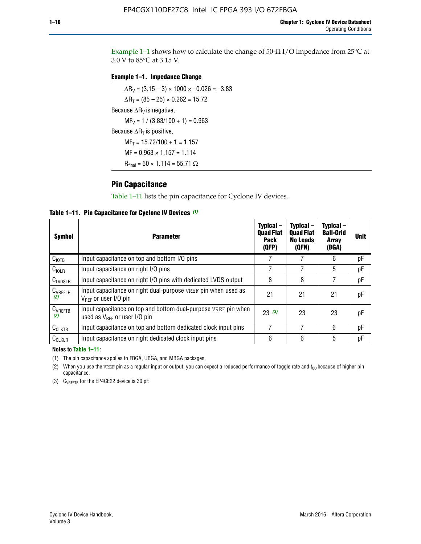Example 1-1 shows how to calculate the change of  $50$ - $\Omega$  I/O impedance from 25°C at 3.0 V to 85°C at 3.15 V.

### **Example 1–1. Impedance Change**

 $\Delta R_V = (3.15 - 3) \times 1000 \times -0.026 = -3.83$  $\Delta R_T = (85 - 25) \times 0.262 = 15.72$ Because  $\Delta R_V$  is negative,  $MF_V = 1 / (3.83/100 + 1) = 0.963$ Because  $\Delta R_T$  is positive,  $MF_T = 15.72/100 + 1 = 1.157$  $MF = 0.963 \times 1.157 = 1.114$  $R_{final} = 50 \times 1.114 = 55.71 \Omega$ 

### **Pin Capacitance**

Table 1–11 lists the pin capacitance for Cyclone IV devices.

**Table 1–11. Pin Capacitance for Cyclone IV Devices** *(1)*

| <b>Symbol</b>       | <b>Parameter</b>                                                                                    | Typical-<br><b>Quad Flat</b><br><b>Pack</b><br>(QFP) | Typical-<br><b>Quad Flat</b><br><b>No Leads</b><br>(QFN) | Typical-<br><b>Ball-Grid</b><br><b>Array</b><br>(BGA) | <b>Unit</b> |
|---------------------|-----------------------------------------------------------------------------------------------------|------------------------------------------------------|----------------------------------------------------------|-------------------------------------------------------|-------------|
| C <sub>IOTB</sub>   | Input capacitance on top and bottom I/O pins                                                        |                                                      |                                                          | 6                                                     | рF          |
| $C_{IOLR}$          | Input capacitance on right I/O pins                                                                 |                                                      |                                                          | 5                                                     | pF          |
| $C_{LVDSLR}$        | Input capacitance on right I/O pins with dedicated LVDS output                                      | 8                                                    | 8                                                        | 7                                                     | рF          |
| $C_{VREFLR}$<br>(2) | Input capacitance on right dual-purpose VREF pin when used as<br>$V_{BFF}$ or user I/O pin          | 21                                                   | 21                                                       | 21                                                    | pF          |
| $C_{VREFTB}$<br>(2) | Input capacitance on top and bottom dual-purpose VREF pin when<br>used as $V_{BFF}$ or user I/O pin | 23(3)                                                | 23                                                       | 23                                                    | рF          |
| $C_{CLKTB}$         | Input capacitance on top and bottom dedicated clock input pins                                      |                                                      | 7                                                        | 6                                                     | рF          |
| $C_{CLKLR}$         | Input capacitance on right dedicated clock input pins                                               | 6                                                    | 6                                                        | 5                                                     | рF          |

#### **Notes to Table 1–11:**

(1) The pin capacitance applies to FBGA, UBGA, and MBGA packages.

(2) When you use the VREF pin as a regular input or output, you can expect a reduced performance of toggle rate and  $t_{\rm CO}$  because of higher pin capacitance.

(3) CVREFTB for the EP4CE22 device is 30 pF.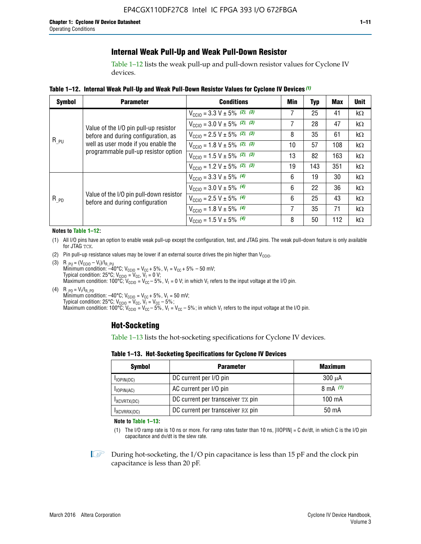### **Internal Weak Pull-Up and Weak Pull-Down Resistor**

Table 1–12 lists the weak pull-up and pull-down resistor values for Cyclone IV devices.

**Table 1–12. Internal Weak Pull**-**Up and Weak Pull**-**Down Resistor Values for Cyclone IV Devices** *(1)*

| <b>Symbol</b> | <b>Parameter</b>                                                           | <b>Conditions</b>                                  | Min | <b>Typ</b> | <b>Max</b> | <b>Unit</b> |
|---------------|----------------------------------------------------------------------------|----------------------------------------------------|-----|------------|------------|-------------|
|               |                                                                            | $V_{\text{CC10}} = 3.3 \text{ V} \pm 5\%$ (2), (3) | 7   | 25         | 41         | kΩ          |
|               | Value of the I/O pin pull-up resistor                                      | $V_{\text{CC10}} = 3.0 \text{ V} \pm 5\%$ (2), (3) | 7   | 28         | 47         | kΩ          |
|               | before and during configuration, as                                        | $V_{\text{CC10}} = 2.5 V \pm 5\%$ (2), (3)         | 8   | 35         | 61         | $k\Omega$   |
| $R_{PU}$      | well as user mode if you enable the                                        | $V_{\text{CGI0}} = 1.8 V \pm 5\%$ (2), (3)         | 10  | 57         | 108        | $k\Omega$   |
|               | programmable pull-up resistor option                                       | $V_{\text{CC10}} = 1.5 V \pm 5\%$ (2), (3)         | 13  | 82         | 163        | $k\Omega$   |
|               |                                                                            | $V_{\text{CC10}} = 1.2 V \pm 5\%$ (2), (3)         | 19  | 143        | 351        | kΩ          |
|               |                                                                            | $V_{\text{CC10}} = 3.3 V \pm 5\%$ (4)              | 6   | 19         | 30         | kΩ          |
| $R_{PD}$      |                                                                            | $V_{\text{CC10}} = 3.0 V \pm 5\%$ (4)              | 6   | 22         | 36         | kΩ          |
|               | Value of the I/O pin pull-down resistor<br>before and during configuration | $V_{\text{CC10}} = 2.5 V \pm 5\%$ (4)              | 6   | 25         | 43         | $k\Omega$   |
|               |                                                                            | $V_{\text{CC10}} = 1.8 V \pm 5\%$ (4)              | 7   | 35         | 71         | $k\Omega$   |
|               |                                                                            | $V_{\text{CC10}} = 1.5 V \pm 5\%$ (4)              | 8   | 50         | 112        | $k\Omega$   |

#### **Notes to Table 1–12:**

- (1) All I/O pins have an option to enable weak pull-up except the configuration, test, and JTAG pins. The weak pull-down feature is only available for JTAG TCK.
- (2) Pin pull-up resistance values may be lower if an external source drives the pin higher than  $V_{\text{CCIO}}$ .
- (3)  $R_{PU} = (V_{CC10} V_1)/I_{R_PU}$ Minimum condition: –40°C; V<sub>CCIO</sub> = V<sub>CC</sub> + 5%, V<sub>I</sub> = V<sub>CC</sub> + 5% – 50 mV; Typical condition: 25°C; V<sub>CCIO</sub> = V<sub>CC</sub>, V<sub>I</sub> = 0 V; Maximum condition: 100°C;  $V_{\text{CCIO}} = V_{\text{CC}} - 5\%$ ,  $V_1 = 0$  V; in which V<sub>I</sub> refers to the input voltage at the I/O pin.
- (4)  $R_{PD} = V_I/I_{R_PD}$ Minimum condition:  $-40^{\circ}$ C; V<sub>CCIO</sub> = V<sub>CC</sub> + 5%, V<sub>I</sub> = 50 mV; Typical condition: 25°C;  $V_{\text{CCIO}} = V_{\text{CC}}$ ,  $V_{\text{I}} = V_{\text{CC}} - 5\%$ ; Maximum condition: 100°C; V<sub>CClO</sub> = V<sub>CC</sub> – 5%, V<sub>I</sub> = V<sub>CC</sub> – 5%; in which V<sub>I</sub> refers to the input voltage at the I/O pin.

### **Hot-Socketing**

Table 1–13 lists the hot-socketing specifications for Cyclone IV devices.

**Table 1–13. Hot**-**Socketing Specifications for Cyclone IV Devices**

| <b>Symbol</b> | <b>Parameter</b>                  |             |  |  |  |  |
|---------------|-----------------------------------|-------------|--|--|--|--|
| $I$ IOPIN(DC) | DC current per I/O pin            | $300 \mu A$ |  |  |  |  |
| $I$ IOPIN(AC) | AC current per I/O pin            | 8 mA $(1)$  |  |  |  |  |
| IXCVRTX(DC)   | DC current per transceiver TX pin | 100 mA      |  |  |  |  |
| IXCVRRX(DC)   | DC current per transceiver RX pin | 50 mA       |  |  |  |  |

**Note to Table 1–13:**

(1) The I/O ramp rate is 10 ns or more. For ramp rates faster than 10 ns, |IIOPIN| = C dv/dt, in which C is the I/O pin capacitance and dv/dt is the slew rate.

 $\mathbb{I} \rightarrow \mathbb{I}$  During hot-socketing, the I/O pin capacitance is less than 15 pF and the clock pin capacitance is less than 20 pF.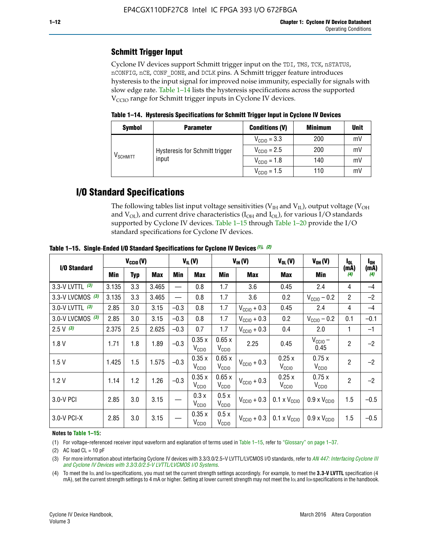### **Schmitt Trigger Input**

Cyclone IV devices support Schmitt trigger input on the TDI, TMS, TCK, nSTATUS, nCONFIG, nCE, CONF\_DONE, and DCLK pins. A Schmitt trigger feature introduces hysteresis to the input signal for improved noise immunity, especially for signals with slow edge rate. Table 1–14 lists the hysteresis specifications across the supported  $V<sub>CCIO</sub>$  range for Schmitt trigger inputs in Cyclone IV devices.

**Table 1–14. Hysteresis Specifications for Schmitt Trigger Input in Cyclone IV Devices**

| <b>Symbol</b>        | <b>Parameter</b>               | <b>Conditions (V)</b>   | <b>Minimum</b> | <b>Unit</b> |
|----------------------|--------------------------------|-------------------------|----------------|-------------|
|                      |                                | $V_{\text{CGI0}} = 3.3$ | 200            | mV          |
|                      | Hysteresis for Schmitt trigger | $V_{\text{CGI0}} = 2.5$ | 200            | mV          |
| V <sub>SCHMITT</sub> | input                          | $V_{\text{CCIO}} = 1.8$ | 140            | mV          |
|                      |                                | $V_{\text{CCIO}} = 1.5$ | 110            | mV          |

# **I/O Standard Specifications**

The following tables list input voltage sensitivities ( $V<sub>IH</sub>$  and  $V<sub>II</sub>$ ), output voltage ( $V<sub>OH</sub>$ and  $V_{OL}$ ), and current drive characteristics ( $I_{OH}$  and  $I_{OL}$ ), for various I/O standards supported by Cyclone IV devices. Table 1–15 through Table 1–20 provide the I/O standard specifications for Cyclone IV devices.

|                    | $V_{CCl0}(V)$ |     | $V_{IL}(V)$ |        |                            | $V_{IH} (V)$               | $V_{OL}(V)$             | $V_{OH} (V)$                 | l <sub>OL</sub>              | l <sub>oh</sub> |             |
|--------------------|---------------|-----|-------------|--------|----------------------------|----------------------------|-------------------------|------------------------------|------------------------------|-----------------|-------------|
| I/O Standard       | <b>Min</b>    | Typ | <b>Max</b>  | Min    | <b>Max</b>                 | Min                        | Max                     | Max                          | Min                          | (mA)<br>(4)     | (mA)<br>(4) |
| 3.3-V LVTTL (3)    | 3.135         | 3.3 | 3.465       |        | 0.8                        | 1.7                        | 3.6                     | 0.45                         | 2.4                          | 4               | $-4$        |
| 3.3-V LVCMOS $(3)$ | 3.135         | 3.3 | 3.465       |        | 0.8                        | 1.7                        | 3.6                     | 0.2                          | $V_{\text{CCIO}} - 0.2$      | $\overline{2}$  | $-2$        |
| 3.0-V LVTTL $(3)$  | 2.85          | 3.0 | 3.15        | $-0.3$ | 0.8                        | 1.7                        | $V_{\text{CC10}} + 0.3$ | 0.45                         | 2.4                          | 4               | $-4$        |
| 3.0-V LVCMOS (3)   | 2.85          | 3.0 | 3.15        | $-0.3$ | 0.8                        | 1.7                        | $V_{\text{CCI0}} + 0.3$ | 0.2                          | $V_{\text{CC10}} - 0.2$      | 0.1             | $-0.1$      |
| $2.5 V$ (3)        | 2.375         | 2.5 | 2.625       | $-0.3$ | 0.7                        | 1.7                        | $V_{\text{CCI0}} + 0.3$ | 0.4                          | 2.0                          | 1               | $-1$        |
| 1.8V               | 1.71          | 1.8 | 1.89        | $-0.3$ | 0.35x<br>V <sub>CCIO</sub> | 0.65x<br>V <sub>CCIO</sub> | 2.25                    | 0.45                         | $V_{\text{CCIO}}$ –<br>0.45  | $\overline{2}$  | $-2$        |
| 1.5V               | 1.425         | 1.5 | 1.575       | $-0.3$ | 0.35x<br>V <sub>CCIO</sub> | 0.65x<br>V <sub>CCIO</sub> | $V_{\text{CC10}} + 0.3$ | 0.25x<br>$V_{\rm CClO}$      | 0.75x<br>V <sub>CCIO</sub>   | $\overline{2}$  | $-2$        |
| 1.2V               | 1.14          | 1.2 | 1.26        | $-0.3$ | 0.35x<br>V <sub>CCIO</sub> | 0.65x<br>V <sub>CCIO</sub> | $V_{\text{CC10}} + 0.3$ | 0.25x<br>V <sub>CCIO</sub>   | 0.75x<br>V <sub>CCIO</sub>   | $\overline{2}$  | $-2$        |
| 3.0-V PCI          | 2.85          | 3.0 | 3.15        |        | 0.3 x<br>V <sub>CCIO</sub> | 0.5x<br>V <sub>CCIO</sub>  | $V_{\text{CC10}} + 0.3$ | $0.1 \times V_{CC10}$        | $0.9 \times V_{\text{CC10}}$ | 1.5             | $-0.5$      |
| $3.0 - V$ PCI-X    | 2.85          | 3.0 | 3.15        |        | 0.35x<br>V <sub>CCIO</sub> | 0.5x<br>V <sub>CCIO</sub>  | $V_{\text{CCI0}} + 0.3$ | $0.1 \times V_{\text{CC10}}$ | $0.9 \times V_{\text{CC10}}$ | 1.5             | $-0.5$      |

**Table 1–15. Single**-**Ended I/O Standard Specifications for Cyclone IV Devices** *(1)***,** *(2)*

#### **Notes to Table 1–15:**

(1) For voltage-referenced receiver input waveform and explanation of terms used in Table 1–15, refer to "Glossary" on page 1–37.

(2) AC load  $CL = 10$  pF

(3) For more information about interfacing Cyclone IV devices with 3.3/3.0/2.5-V LVTTL/LVCMOS I/O standards, refer to *[AN 447: Interfacing Cyclone III](http://www.altera.com/literature/an/an447.pdf)  [and Cyclone IV Devices with 3.3/3.0/2.5-V LVTTL/LVCMOS I/O Systems](http://www.altera.com/literature/an/an447.pdf)*.

(4) To meet the IOL and IOH specifications, you must set the current strength settings accordingly. For example, to meet the **3.3-V LVTTL** specification (4 mA), set the current strength settings to 4 mA or higher. Setting at lower current strength may not meet the lou and lon specifications in the handbook.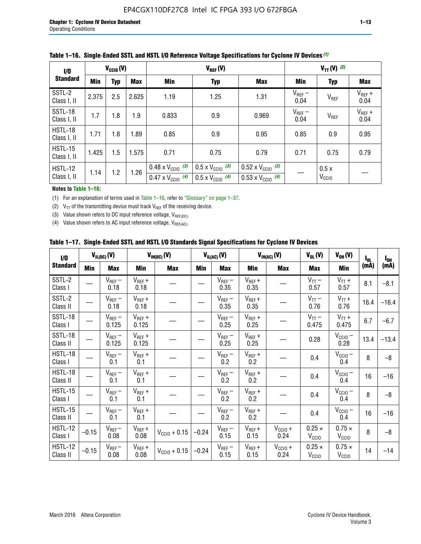| 1/0                           | $V_{CGI0}(V)$ |            |            |                                                                        | $V_{REF}(V)$                                                         |                                                                        |                     |                           | $V_{TT} (V)$ (2)    |  |  |  |
|-------------------------------|---------------|------------|------------|------------------------------------------------------------------------|----------------------------------------------------------------------|------------------------------------------------------------------------|---------------------|---------------------------|---------------------|--|--|--|
| <b>Standard</b>               | Min           | <b>Typ</b> | <b>Max</b> | Min                                                                    | <b>Typ</b>                                                           | <b>Max</b>                                                             | Min                 | <b>Typ</b>                | Max                 |  |  |  |
| SSTL-2<br>Class I, II         | 2.375         | 2.5        | 2.625      | 1.19                                                                   | 1.25                                                                 | 1.31                                                                   | $V_{REF}$ –<br>0.04 | V <sub>REF</sub>          | $V_{REF}$ +<br>0.04 |  |  |  |
| SSTL-18<br>Class I, II        | 1.7           | 1.8        | 1.9        | 0.833                                                                  | 0.9                                                                  | 0.969                                                                  | $V_{REF}$ –<br>0.04 | V <sub>REF</sub>          | $V_{REF}$ +<br>0.04 |  |  |  |
| HSTL-18<br>Class I, II        | 1.71          | 1.8        | .89        | 0.85                                                                   | 0.9                                                                  | 0.95                                                                   | 0.85                | 0.9                       | 0.95                |  |  |  |
| <b>HSTL-15</b><br>Class I, II | 1.425         | 1.5        | 1.575      | 0.71                                                                   | 0.75                                                                 | 0.79                                                                   | 0.71                | 0.75                      | 0.79                |  |  |  |
| HSTL-12<br>Class I, II        | 1.14          | 1.2        | 1.26       | $0.48 \times V_{\text{CC10}}$ (3)<br>$0.47 \times V_{\text{CC10}}$ (4) | $0.5 \times V_{\text{CC10}}$ (3)<br>$0.5 \times V_{\text{CC10}}$ (4) | $0.52 \times V_{\text{CC10}}$ (3)<br>$0.53 \times V_{\text{CC10}}$ (4) |                     | 0.5x<br>V <sub>CCIO</sub> |                     |  |  |  |

|  |  |  |  | Table 1–16. Single-Ended SSTL and HSTL I/O Reference Voltage Specifications for Cyclone IV Devices (1) |
|--|--|--|--|--------------------------------------------------------------------------------------------------------|
|--|--|--|--|--------------------------------------------------------------------------------------------------------|

### **Notes to Table 1–16:**

(1) For an explanation of terms used in Table 1–16, refer to "Glossary" on page 1–37.

(2)  $V_{TT}$  of the transmitting device must track  $V_{REF}$  of the receiving device.

(3) Value shown refers to DC input reference voltage,  $V_{REF(DC)}$ .

(4) Value shown refers to AC input reference voltage,  $V_{REF(AC)}$ .

|  |  |  |  |  | Table 1–17.  Single-Ended SSTL and HSTL I/O Standards Signal Specifications for Cyclone IV Devices |
|--|--|--|--|--|----------------------------------------------------------------------------------------------------|
|--|--|--|--|--|----------------------------------------------------------------------------------------------------|

| I/O                        |            | $V_{IL(DC)}(V)$      |                      | $V_{IH(DC)}(V)$   |         | $V_{IL(AC)}(V)$     |                     | $V_{IH(AC)}(V)$      | $V_{OL}(V)$                        | $V_{OH} (V)$                       | $I_{0L}$ | $I_{0H}$ |
|----------------------------|------------|----------------------|----------------------|-------------------|---------|---------------------|---------------------|----------------------|------------------------------------|------------------------------------|----------|----------|
| <b>Standard</b>            | <b>Min</b> | Max                  | Min                  | <b>Max</b>        | Min     | Max                 | Min                 | <b>Max</b>           | <b>Max</b>                         | Min                                | (mA)     | (mA)     |
| SSTL-2<br>Class I          |            | $V_{REF}$ –<br>0.18  | $V_{REF} +$<br>0.18  |                   |         | $V_{REF}-$<br>0.35  | $V_{REF} +$<br>0.35 |                      | $V_{TT}$ –<br>0.57                 | $V_{TT}$ +<br>0.57                 | 8.1      | $-8.1$   |
| SSTL-2<br>Class II         |            | $V_{REF}$ –<br>0.18  | $V_{REF} +$<br>0.18  |                   |         | $V_{REF}$ –<br>0.35 | $V_{REF} +$<br>0.35 |                      | $V_{TT}$ –<br>0.76                 | $V_{TT}$ +<br>0.76                 | 16.4     | $-16.4$  |
| <b>SSTL-18</b><br>Class I  |            | $V_{REF}$ –<br>0.125 | $V_{REF}$ +<br>0.125 |                   |         | $V_{REF}$ –<br>0.25 | $V_{REF}$ +<br>0.25 |                      | $V_{TT}$ –<br>0.475                | $V_{TT}$ +<br>0.475                | 6.7      | $-6.7$   |
| <b>SSTL-18</b><br>Class II |            | $V_{REF}$ –<br>0.125 | $V_{REF}$ +<br>0.125 |                   |         | $V_{REF}$ –<br>0.25 | $V_{REF}$ +<br>0.25 |                      | 0.28                               | $V_{CC10}$ –<br>0.28               | 13.4     | $-13.4$  |
| HSTL-18<br>Class I         |            | $V_{REF}$ –<br>0.1   | $V_{REF}$ +<br>0.1   |                   |         | $V_{REF}$ –<br>0.2  | $V_{REF}$ +<br>0.2  |                      | 0.4                                | $V_{CCIO}$ –<br>0.4                | 8        | $-8$     |
| HSTL-18<br>Class II        |            | $V_{REF}$ –<br>0.1   | $V_{REF}$ +<br>0.1   |                   |         | $V_{REF}$ –<br>0.2  | $V_{REF}$ +<br>0.2  |                      | 0.4                                | $V_{CC10}$ –<br>0.4                | 16       | $-16$    |
| HSTL-15<br>Class I         |            | $V_{REF}$ –<br>0.1   | $V_{REF}$ +<br>0.1   |                   |         | $V_{REF}$ –<br>0.2  | $V_{REF}$ +<br>0.2  |                      | 0.4                                | $V_{\text{CC10}} -$<br>0.4         | 8        | $-8$     |
| HSTL-15<br>Class II        |            | $V_{REF}$ –<br>0.1   | $V_{REF} +$<br>0.1   |                   |         | $V_{REF}$ –<br>0.2  | $V_{REF} +$<br>0.2  |                      | 0.4                                | $V_{CC10}$ –<br>0.4                | 16       | $-16$    |
| <b>HSTL-12</b><br>Class I  | $-0.15$    | $V_{REF}-$<br>0.08   | $V_{REF} +$<br>0.08  | $V_{CGI0} + 0.15$ | $-0.24$ | $V_{REF}$ –<br>0.15 | $V_{REF} +$<br>0.15 | $V_{CC10}$ +<br>0.24 | $0.25 \times$<br>V <sub>CCIO</sub> | $0.75 \times$<br>V <sub>CCIO</sub> | 8        | $-8$     |
| <b>HSTL-12</b><br>Class II | $-0.15$    | $V_{REF}$ –<br>0.08  | $V_{REF} +$<br>0.08  | $V_{CGI0} + 0.15$ | $-0.24$ | $V_{REF}$ –<br>0.15 | $V_{REF} +$<br>0.15 | $V_{CC10}$ +<br>0.24 | $0.25 \times$<br>V <sub>CCIO</sub> | $0.75 \times$<br>V <sub>CCIO</sub> | 14       | $-14$    |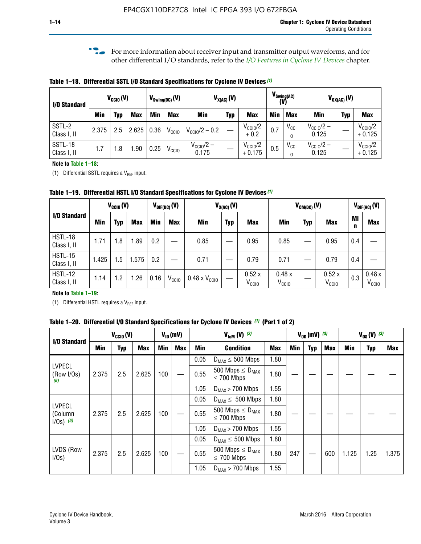**f For more information about receiver input and transmitter output waveforms, and for** other differential I/O standards, refer to the *[I/O Features in Cyclone IV Devices](http://www.altera.com/literature/hb/cyclone-iv/cyiv-51006.pdf)* chapter*.*

**Table 1–18. Differential SSTL I/O Standard Specifications for Cyclone IV Devices** *(1)*

| I/O Standard           |       | $V_{CCl0}(V)$ |            |      | $V_{\text{Swing(DC)}}(V)$ | $V_{X(AC)}(V)$                 |            |                                 | $V_{\text{Swing(AC)}}$<br>(V) | $V_{OX(AC)}(V)$ |                                |            |                                 |
|------------------------|-------|---------------|------------|------|---------------------------|--------------------------------|------------|---------------------------------|-------------------------------|-----------------|--------------------------------|------------|---------------------------------|
|                        | Min   | Typ           | <b>Max</b> | Min  | <b>Max</b>                | <b>Min</b>                     | <b>Typ</b> | <b>Max</b>                      | <b>Min</b>                    | <b>Max</b>      | Min                            | <b>Typ</b> | <b>Max</b>                      |
| SSTL-2<br>Class I, II  | 2.375 | 2.5           | 2.625      | 0.36 | V <sub>CCIO</sub>         | $V_{\text{CC10}}/2 - 0.2$      |            | $V_{\text{CC1O}}/2$<br>$+0.2$   | 0.7                           | $V_{\rm CCI}$   | $V_{\text{CC10}}/2 -$<br>0.125 |            | $V_{\text{CC10}}/2$<br>$+0.125$ |
| SSTL-18<br>Class I, II | 1.7   | .8            | .90        | 0.25 | V <sub>CCIO</sub>         | $V_{\text{CC10}}/2 -$<br>0.175 |            | $V_{\text{CC10}}/2$<br>$+0.175$ | 0.5                           | $V_{\rm CCI}$   | $V_{\text{CC10}}/2 -$<br>0.125 |            | $V_{\text{CC10}}/2$<br>$+0.125$ |

#### **Note to Table 1–18:**

(1) Differential SSTL requires a  $V_{REF}$  input.

**Table 1–19. Differential HSTL I/O Standard Specifications for Cyclone IV Devices** *(1)*

|                               | $V_{CClO}(V)$ |     |            | $V_{\text{DIF(DC)}}(V)$ |                   | $V_{X(AC)}(V)$                |            |                            | $V_{CM(DC)}(V)$            |            |                            | $V_{\text{DIF(AC)}}(V)$ |                            |
|-------------------------------|---------------|-----|------------|-------------------------|-------------------|-------------------------------|------------|----------------------------|----------------------------|------------|----------------------------|-------------------------|----------------------------|
| I/O Standard                  | Min           | Typ | <b>Max</b> | Min                     | <b>Max</b>        | Min                           | <b>Typ</b> | <b>Max</b>                 | Min                        | <b>Typ</b> | <b>Max</b>                 | Mi<br>n                 | <b>Max</b>                 |
| HSTL-18<br>Class I, II        | 1.71          | 1.8 | .89        | 0.2                     |                   | 0.85                          |            | 0.95                       | 0.85                       |            | 0.95                       | 0.4                     |                            |
| <b>HSTL-15</b><br>Class I, II | 1.425         | 1.5 | .575       | $0.2\,$                 |                   | 0.71                          |            | 0.79                       | 0.71                       |            | 0.79                       | 0.4                     |                            |
| <b>HSTL-12</b><br>Class I, II | 1.14          | 1.2 | 1.26       | 0.16                    | V <sub>CCIO</sub> | $0.48 \times V_{\text{CC10}}$ |            | 0.52x<br>V <sub>CCIO</sub> | 0.48x<br>V <sub>CCIO</sub> |            | 0.52x<br>V <sub>CCIO</sub> | 0.3                     | 0.48x<br>V <sub>CCIO</sub> |

### **Note to Table 1–19:**

(1) Differential HSTL requires a  $V_{REF}$  input.

**Table 1–20. Differential I/O Standard Specifications for Cyclone IV Devices** *(1)* **(Part 1 of 2)**

| I/O Standard                            |       | $V_{CCl0} (V)$ |            |            | $V_{ID}$ (mV) |      | $V_{\text{lcm}}(V)^{(2)}$                           |            |     | $V_{0D}$ (mV) $(3)$ |     |       | $V_{0S} (V)^{(3)}$ |       |
|-----------------------------------------|-------|----------------|------------|------------|---------------|------|-----------------------------------------------------|------------|-----|---------------------|-----|-------|--------------------|-------|
|                                         | Min   | Typ            | <b>Max</b> | <b>Min</b> | <b>Max</b>    | Min  | <b>Condition</b>                                    | <b>Max</b> | Min | Typ                 | Max | Min   | <b>Typ</b>         | Max   |
|                                         |       |                |            |            |               | 0.05 | $D_{MAX} \leq 500$ Mbps                             | 1.80       |     |                     |     |       |                    |       |
| <b>LVPECL</b><br>(Row I/Os)<br>(6)      | 2.375 | 2.5            | 2.625      | 100        |               | 0.55 | 500 Mbps $\leq$ D <sub>MAX</sub><br>$\leq$ 700 Mbps | 1.80       |     |                     |     |       |                    |       |
|                                         |       |                |            |            |               | 1.05 | $D_{MAX}$ > 700 Mbps                                | 1.55       |     |                     |     |       |                    |       |
|                                         |       |                |            |            |               | 0.05 | $D_{MAX} \leq 500$ Mbps                             | 1.80       |     |                     |     |       |                    |       |
| <b>LVPECL</b><br>(Column<br>$1/Os)$ (6) | 2.375 | 2.5            | 2.625      | 100        |               | 0.55 | 500 Mbps $\leq D_{MAX}$<br>$\leq$ 700 Mbps          | 1.80       |     |                     |     |       |                    |       |
|                                         |       |                |            |            |               | 1.05 | $D_{MAX}$ > 700 Mbps                                | 1.55       |     |                     |     |       |                    |       |
|                                         |       |                |            |            |               | 0.05 | $D_{MAX} \leq 500$ Mbps                             | 1.80       |     |                     |     |       |                    |       |
| LVDS (Row<br>I/Os)                      | 2.375 | 2.5            | 2.625      | 100        |               | 0.55 | 500 Mbps $\leq D_{MAX}$<br>$\leq 700$ Mbps          | 1.80       | 247 |                     | 600 | 1.125 | 1.25               | 1.375 |
|                                         |       |                |            |            |               | 1.05 | $D_{MAX}$ > 700 Mbps                                | 1.55       |     |                     |     |       |                    |       |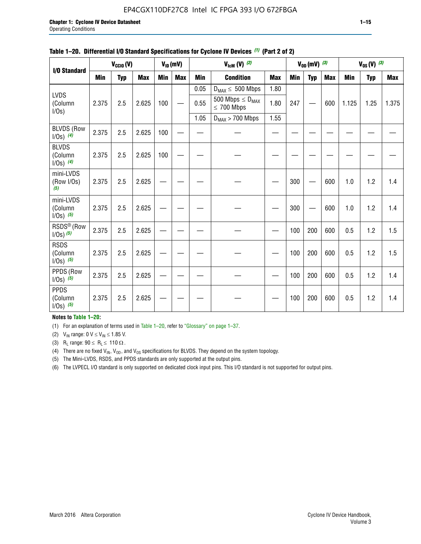### EP4CGX110DF27C8 Intel IC FPGA 393 I/O 672FBGA

|                                          |            | $V_{\text{ICM}}(V)$ (2)<br>$V_{\text{CCIO}}(V)$<br>$V_{ID}(mV)$ |            |     |            | $V_{OD}$ (mV) $(3)$ |                                            | $V_{0S} (V)$ (3) |     |            |            |            |            |            |
|------------------------------------------|------------|-----------------------------------------------------------------|------------|-----|------------|---------------------|--------------------------------------------|------------------|-----|------------|------------|------------|------------|------------|
| I/O Standard                             |            |                                                                 |            |     |            |                     |                                            |                  |     |            |            |            |            |            |
|                                          | <b>Min</b> | <b>Typ</b>                                                      | <b>Max</b> | Min | <b>Max</b> | <b>Min</b>          | <b>Condition</b>                           | <b>Max</b>       | Min | <b>Typ</b> | <b>Max</b> | <b>Min</b> | <b>Typ</b> | <b>Max</b> |
|                                          |            |                                                                 |            |     |            | 0.05                | $D_{MAX} \leq 500$ Mbps                    | 1.80             |     |            |            |            |            |            |
| <b>LVDS</b><br>(Column<br>I/Os)          | 2.375      | 2.5                                                             | 2.625      | 100 |            | 0.55                | 500 Mbps $\leq D_{MAX}$<br>$\leq 700$ Mbps | 1.80             | 247 |            | 600        | 1.125      | 1.25       | 1.375      |
|                                          |            |                                                                 |            |     |            | 1.05                | $D_{MAX}$ > 700 Mbps                       | 1.55             |     |            |            |            |            |            |
| <b>BLVDS (Row</b><br>$1/0s)$ (4)         | 2.375      | 2.5                                                             | 2.625      | 100 |            |                     |                                            |                  |     |            |            |            |            |            |
| <b>BLVDS</b><br>(Column<br>$1/0s)$ (4)   | 2.375      | 2.5                                                             | 2.625      | 100 |            |                     |                                            |                  |     |            |            |            |            |            |
| mini-LVDS<br>(Row I/Os)<br>(5)           | 2.375      | 2.5                                                             | 2.625      |     |            |                     |                                            |                  | 300 |            | 600        | 1.0        | 1.2        | 1.4        |
| mini-LVDS<br>(Column<br>$1/0s)$ (5)      | 2.375      | 2.5                                                             | 2.625      |     |            |                     |                                            |                  | 300 |            | 600        | 1.0        | 1.2        | 1.4        |
| RSDS <sup>®</sup> (Row<br>$1/0s$ ) $(5)$ | 2.375      | 2.5                                                             | 2.625      |     |            |                     |                                            |                  | 100 | 200        | 600        | 0.5        | 1.2        | 1.5        |
| <b>RSDS</b><br>(Column<br>$1/Os)$ (5)    | 2.375      | 2.5                                                             | 2.625      |     |            |                     |                                            |                  | 100 | 200        | 600        | 0.5        | 1.2        | 1.5        |
| PPDS (Row<br>$1/Os)$ (5)                 | 2.375      | 2.5                                                             | 2.625      |     |            |                     |                                            |                  | 100 | 200        | 600        | 0.5        | 1.2        | 1.4        |
| <b>PPDS</b><br>(Column<br>$1/0s)$ (5)    | 2.375      | 2.5                                                             | 2.625      |     |            |                     |                                            |                  | 100 | 200        | 600        | 0.5        | 1.2        | 1.4        |

#### **Table 1–20. Differential I/O Standard Specifications for Cyclone IV Devices** *(1)* **(Part 2 of 2)**

### **Notes to Table 1–20:**

(1) For an explanation of terms used in Table 1–20, refer to "Glossary" on page 1–37.

(2)  $V_{IN}$  range: 0  $V \le V_{IN} \le 1.85$  V.

(3) R<sub>L</sub> range:  $90 \le R_L \le 110 \Omega$ .

(4) There are no fixed  $V_{IN}$ ,  $V_{OD}$ , and  $V_{OS}$  specifications for BLVDS. They depend on the system topology.

(5) The Mini-LVDS, RSDS, and PPDS standards are only supported at the output pins.

(6) The LVPECL I/O standard is only supported on dedicated clock input pins. This I/O standard is not supported for output pins.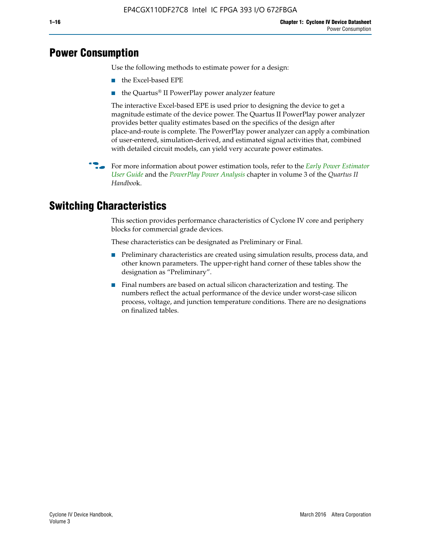# **Power Consumption**

Use the following methods to estimate power for a design:

- the Excel-based EPE
- the Quartus® II PowerPlay power analyzer feature

The interactive Excel-based EPE is used prior to designing the device to get a magnitude estimate of the device power. The Quartus II PowerPlay power analyzer provides better quality estimates based on the specifics of the design after place-and-route is complete. The PowerPlay power analyzer can apply a combination of user-entered, simulation-derived, and estimated signal activities that, combined with detailed circuit models, can yield very accurate power estimates.

f For more information about power estimation tools, refer to the *[Early Power Estimator](http://www.altera.com/literature/ug/ug_epe.pdf
)  [User Guide](http://www.altera.com/literature/ug/ug_epe.pdf
)* and the *[PowerPlay Power Analysis](http://www.altera.com/literature/hb/qts/qts_qii53013.pdf)* chapter in volume 3 of the *Quartus II Handboo*k.

# **Switching Characteristics**

This section provides performance characteristics of Cyclone IV core and periphery blocks for commercial grade devices.

These characteristics can be designated as Preliminary or Final.

- Preliminary characteristics are created using simulation results, process data, and other known parameters. The upper-right hand corner of these tables show the designation as "Preliminary".
- Final numbers are based on actual silicon characterization and testing. The numbers reflect the actual performance of the device under worst-case silicon process, voltage, and junction temperature conditions. There are no designations on finalized tables.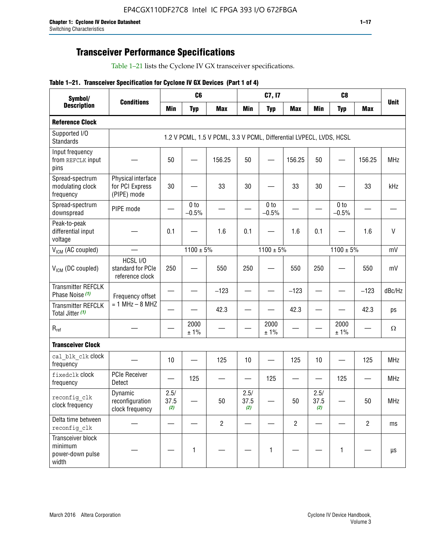# **Transceiver Performance Specifications**

Table 1–21 lists the Cyclone IV GX transceiver specifications.

|  |  |  |  | Table 1-21. Transceiver Specification for Cyclone IV GX Devices (Part 1 of 4) |  |
|--|--|--|--|-------------------------------------------------------------------------------|--|
|--|--|--|--|-------------------------------------------------------------------------------|--|

| Symbol/                                                   |                                                      |                     | C <sub>6</sub>             |                                                                     | C7, I7              |                            |                   |                     | C <sub>8</sub>             |                |              |
|-----------------------------------------------------------|------------------------------------------------------|---------------------|----------------------------|---------------------------------------------------------------------|---------------------|----------------------------|-------------------|---------------------|----------------------------|----------------|--------------|
| <b>Description</b>                                        | <b>Conditions</b>                                    | <b>Min</b>          | <b>Typ</b>                 | <b>Max</b>                                                          | <b>Min</b>          | <b>Typ</b>                 | <b>Max</b>        | <b>Min</b>          | <b>Typ</b>                 | <b>Max</b>     | <b>Unit</b>  |
| <b>Reference Clock</b>                                    |                                                      |                     |                            |                                                                     |                     |                            |                   |                     |                            |                |              |
| Supported I/O<br><b>Standards</b>                         |                                                      |                     |                            | 1.2 V PCML, 1.5 V PCML, 3.3 V PCML, Differential LVPECL, LVDS, HCSL |                     |                            |                   |                     |                            |                |              |
| Input frequency<br>from REFCLK input<br>pins              |                                                      | 50                  |                            | 156.25                                                              | 50                  |                            | 156.25            | 50                  |                            | 156.25         | <b>MHz</b>   |
| Spread-spectrum<br>modulating clock<br>frequency          | Physical interface<br>for PCI Express<br>(PIPE) mode | 30                  |                            | 33                                                                  | 30                  |                            | 33                | 30                  |                            | 33             | kHz          |
| Spread-spectrum<br>downspread                             | PIPE mode                                            |                     | 0 <sub>to</sub><br>$-0.5%$ |                                                                     |                     | 0 <sub>to</sub><br>$-0.5%$ |                   |                     | 0 <sub>to</sub><br>$-0.5%$ |                |              |
| Peak-to-peak<br>differential input<br>voltage             |                                                      | 0.1                 |                            | 1.6                                                                 | 0.1                 |                            | 1.6               | 0.1                 |                            | 1.6            | $\mathsf{V}$ |
| V <sub>ICM</sub> (AC coupled)                             |                                                      |                     | $1100 \pm 5\%$             |                                                                     |                     | $1100 \pm 5\%$             |                   |                     | $1100 \pm 5\%$             |                | mV           |
| $V_{ICM}$ (DC coupled)                                    | HCSL I/O<br>standard for PCIe<br>reference clock     | 250                 |                            | 550                                                                 | 250                 |                            | 550               | 250                 |                            | 550            | mV           |
| <b>Transmitter REFCLK</b><br>Phase Noise (1)              | Frequency offset                                     |                     |                            | $-123$                                                              |                     |                            | $-123$            |                     |                            | $-123$         | dBc/Hz       |
| <b>Transmitter REFCLK</b><br>Total Jitter (1)             | $= 1$ MHz $- 8$ MHZ                                  |                     |                            | 42.3                                                                |                     |                            | 42.3              |                     |                            | 42.3           | ps           |
| $\mathsf{R}_{\mathsf{ref}}$                               |                                                      |                     | 2000<br>± 1%               |                                                                     |                     | 2000<br>± 1%               |                   |                     | 2000<br>± 1%               |                | Ω            |
| <b>Transceiver Clock</b>                                  |                                                      |                     |                            |                                                                     |                     |                            |                   |                     |                            |                |              |
| cal blk clk clock<br>frequency                            |                                                      | 10                  |                            | 125                                                                 | 10                  |                            | 125               | 10                  | $\overline{\phantom{0}}$   | 125            | MHz          |
| fixedclk clock<br>frequency                               | <b>PCIe Receiver</b><br>Detect                       | $\hspace{0.05cm}$   | 125                        |                                                                     |                     | 125                        | $\hspace{0.05cm}$ | —                   | 125                        |                | <b>MHz</b>   |
| reconfig_clk<br>clock frequency                           | Dynamic<br>reconfiguration<br>clock frequency        | 2.5/<br>37.5<br>(2) |                            | 50                                                                  | 2.5/<br>37.5<br>(2) |                            | 50                | 2.5/<br>37.5<br>(2) |                            | 50             | <b>MHz</b>   |
| Delta time between<br>reconfig clk                        |                                                      |                     |                            | $\overline{2}$                                                      |                     |                            | $\overline{2}$    |                     |                            | $\overline{2}$ | ms           |
| Transceiver block<br>minimum<br>power-down pulse<br>width |                                                      |                     | $\mathbf{1}$               |                                                                     |                     | 1                          |                   |                     | $\mathbf{1}$               |                | $\mu s$      |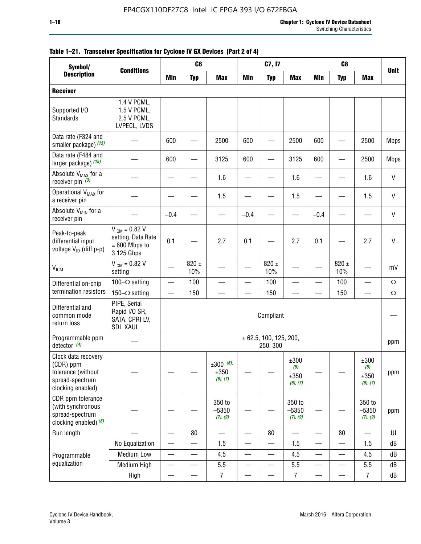|                                                                                                | C <sub>6</sub><br>C7, I7<br>C <sub>8</sub><br>Symbol/<br><b>Conditions</b> |                          |                          |                                    |                          |                                    |                                     |                          |                          |                                                |              |
|------------------------------------------------------------------------------------------------|----------------------------------------------------------------------------|--------------------------|--------------------------|------------------------------------|--------------------------|------------------------------------|-------------------------------------|--------------------------|--------------------------|------------------------------------------------|--------------|
| <b>Description</b>                                                                             |                                                                            | <b>Min</b>               | <b>Typ</b>               | <b>Max</b>                         | <b>Min</b>               | <b>Typ</b>                         | <b>Max</b>                          | <b>Min</b>               | <b>Typ</b>               | <b>Max</b>                                     | <b>Unit</b>  |
| <b>Receiver</b>                                                                                |                                                                            |                          |                          |                                    |                          |                                    |                                     |                          |                          |                                                |              |
| Supported I/O<br>Standards                                                                     | 1.4 V PCML,<br>1.5 V PCML,<br>2.5 V PCML,<br>LVPECL, LVDS                  |                          |                          |                                    |                          |                                    |                                     |                          |                          |                                                |              |
| Data rate (F324 and<br>smaller package) (15)                                                   |                                                                            | 600                      |                          | 2500                               | 600                      |                                    | 2500                                | 600                      |                          | 2500                                           | <b>Mbps</b>  |
| Data rate (F484 and<br>larger package) (15)                                                    |                                                                            | 600                      |                          | 3125                               | 600                      |                                    | 3125                                | 600                      |                          | 2500                                           | <b>Mbps</b>  |
| Absolute V <sub>MAX</sub> for a<br>receiver pin $(3)$                                          |                                                                            |                          |                          | 1.6                                |                          |                                    | 1.6                                 |                          |                          | 1.6                                            | $\mathsf{V}$ |
| Operational V <sub>MAX</sub> for<br>a receiver pin                                             |                                                                            |                          |                          | 1.5                                |                          |                                    | 1.5                                 |                          |                          | 1.5                                            | $\mathsf{V}$ |
| Absolute V <sub>MIN</sub> for a<br>receiver pin                                                |                                                                            | $-0.4$                   |                          |                                    | $-0.4$                   |                                    |                                     | $-0.4$                   |                          |                                                | $\mathsf{V}$ |
| Peak-to-peak<br>differential input<br>voltage V <sub>ID</sub> (diff p-p)                       | $V_{ICM} = 0.82 V$<br>setting, Data Rate<br>$= 600$ Mbps to<br>3.125 Gbps  | 0.1                      |                          | 2.7                                | 0.1                      |                                    | 2.7                                 | 0.1                      |                          | 2.7                                            | $\vee$       |
| <b>V<sub>ICM</sub></b>                                                                         | $V_{IGM} = 0.82 V$<br>setting                                              |                          | $820 \pm$<br>10%         |                                    |                          | 820 $\pm$<br>10%                   |                                     |                          | $820 \pm$<br>10%         |                                                | mV           |
| Differential on-chip                                                                           | 100 $-\Omega$ setting                                                      | $\overline{\phantom{0}}$ | 100                      |                                    |                          | 100                                | $\overline{\phantom{0}}$            | $\overline{\phantom{0}}$ | 100                      | $\qquad \qquad$                                | $\Omega$     |
| termination resistors                                                                          | 150 $-\Omega$ setting                                                      |                          | 150                      |                                    |                          | 150                                |                                     |                          | 150                      |                                                | $\Omega$     |
| Differential and<br>common mode<br>return loss                                                 | PIPE, Serial<br>Rapid I/O SR,<br>SATA, CPRI LV,<br>SDI, XAUI               |                          |                          |                                    |                          | Compliant                          |                                     |                          |                          |                                                |              |
| Programmable ppm<br>detector $(4)$                                                             |                                                                            |                          |                          |                                    |                          | ± 62.5, 100, 125, 200,<br>250, 300 |                                     |                          |                          |                                                | ppm          |
| Clock data recovery<br>(CDR) ppm<br>tolerance (without<br>spread-spectrum<br>clocking enabled) |                                                                            |                          |                          | $\pm 300$ (5),<br>±350<br>(6), (7) |                          |                                    | ±300<br>$(5)$ ,<br>±350<br>(6), (7) |                          |                          | ±300<br>$(5)$ <sub>,</sub><br>±350<br>(6), (7) | ppm          |
| CDR ppm tolerance<br>(with synchronous<br>spread-spectrum<br>clocking enabled) $(8)$           |                                                                            |                          |                          | 350 to<br>$-5350$<br>(7), (9)      |                          |                                    | 350 to<br>$-5350$<br>(7), (9)       |                          |                          | 350 to<br>$-5350$<br>(7), (9)                  | ppm          |
| Run length                                                                                     |                                                                            | $\overline{\phantom{0}}$ | 80                       |                                    |                          | 80                                 | $\overline{\phantom{0}}$            |                          | 80                       |                                                | UI           |
|                                                                                                | No Equalization                                                            | —                        | —                        | 1.5                                | $\overline{\phantom{0}}$ | —                                  | 1.5                                 | $\overline{\phantom{0}}$ |                          | 1.5                                            | dB           |
| Programmable                                                                                   | Medium Low                                                                 | $\overline{\phantom{0}}$ | $\overline{\phantom{0}}$ | 4.5                                | —                        | —                                  | 4.5                                 | —                        | $\overline{\phantom{0}}$ | 4.5                                            | dB           |
| equalization                                                                                   | Medium High                                                                | $\overline{\phantom{0}}$ | —                        | 5.5                                |                          | $\overline{\phantom{0}}$           | 5.5                                 | $\overline{\phantom{0}}$ |                          | 5.5                                            | dB           |
|                                                                                                | High                                                                       | —                        | —                        | $\overline{7}$                     |                          |                                    | $\overline{7}$                      | —                        |                          | $\overline{7}$                                 | dB           |

### **Table 1–21. Transceiver Specification for Cyclone IV GX Devices (Part 2 of 4)**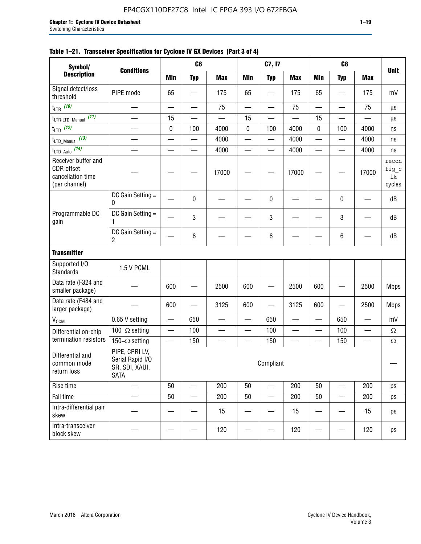### **Table 1–21. Transceiver Specification for Cyclone IV GX Devices (Part 3 of 4)**

| Symbol/                                                                 |                                                                     |                          | C <sub>6</sub>           |                          |                          | C7, I7                        |                          |                          | C <sub>8</sub>                 |                          |                                |
|-------------------------------------------------------------------------|---------------------------------------------------------------------|--------------------------|--------------------------|--------------------------|--------------------------|-------------------------------|--------------------------|--------------------------|--------------------------------|--------------------------|--------------------------------|
| <b>Description</b>                                                      | <b>Conditions</b>                                                   | <b>Min</b>               | <b>Typ</b>               | <b>Max</b>               | <b>Min</b>               | <b>Typ</b>                    | <b>Max</b>               | <b>Min</b>               | <b>Typ</b>                     | <b>Max</b>               | <b>Unit</b>                    |
| Signal detect/loss<br>threshold                                         | PIPE mode                                                           | 65                       |                          | 175                      | 65                       |                               | 175                      | 65                       | $\overline{\phantom{0}}$       | 175                      | mV                             |
| $t_{LTR}$ (10)                                                          | $\overline{\phantom{0}}$                                            | $\overline{\phantom{0}}$ | $\qquad \qquad$          | 75                       | $\overline{\phantom{0}}$ |                               | 75                       | $\overline{\phantom{0}}$ | $\qquad \qquad$                | 75                       | μs                             |
| (11)<br>$t_{\text{LTR-LTD\_Manual}}$                                    |                                                                     | 15                       |                          |                          | 15                       |                               |                          | 15                       | $\overline{\phantom{0}}$       |                          | μs                             |
| $t_{LTD}$ (12)                                                          |                                                                     | 0                        | 100                      | 4000                     | $\mathbf 0$              | 100                           | 4000                     | 0                        | 100                            | 4000                     | ns                             |
| $t_{\text{LTD\_Manual}}$ (13)                                           | $\overline{\phantom{0}}$                                            | $\overline{\phantom{0}}$ | $\overline{\phantom{0}}$ | 4000                     | $\overline{\phantom{0}}$ |                               | 4000                     | $\overline{\phantom{0}}$ | $\qquad \qquad$                | 4000                     | ns                             |
| $t_{\text{LTD\_Auto}}$ (14)                                             |                                                                     |                          |                          | 4000                     |                          |                               | 4000                     | $\overline{\phantom{0}}$ | $\overline{\phantom{0}}$       | 4000                     | ns                             |
| Receiver buffer and<br>CDR offset<br>cancellation time<br>(per channel) |                                                                     |                          |                          | 17000                    |                          |                               | 17000                    |                          |                                | 17000                    | recon<br>fig_c<br>lk<br>cycles |
|                                                                         | DC Gain Setting =<br>0                                              |                          | 0                        |                          |                          | 0                             |                          |                          | 0                              |                          | dB                             |
| Programmable DC<br>gain                                                 | DC Gain Setting =<br>1                                              |                          | 3                        |                          |                          | 3                             |                          |                          | $\mathbf 3$                    |                          | dB                             |
|                                                                         | DC Gain Setting =<br>$\overline{2}$                                 |                          | $\,6\,$                  |                          |                          | 6                             |                          |                          | 6                              |                          | dB                             |
| <b>Transmitter</b>                                                      |                                                                     |                          |                          |                          |                          |                               |                          |                          |                                |                          |                                |
| Supported I/O<br><b>Standards</b>                                       | 1.5 V PCML                                                          |                          |                          |                          |                          |                               |                          |                          |                                |                          |                                |
| Data rate (F324 and<br>smaller package)                                 |                                                                     | 600                      |                          | 2500                     | 600                      |                               | 2500                     | 600                      | $\overline{\phantom{0}}$       | 2500                     | <b>Mbps</b>                    |
| Data rate (F484 and<br>larger package)                                  |                                                                     | 600                      | —                        | 3125                     | 600                      | —                             | 3125                     | 600                      | —                              | 2500                     | <b>Mbps</b>                    |
| $\rm V_{\rm OCM}$                                                       | 0.65 V setting                                                      |                          | 650                      | $\overline{\phantom{0}}$ | $\overline{\phantom{0}}$ | 650                           | $\overline{\phantom{0}}$ | $\overline{\phantom{0}}$ | 650                            | $\overline{\phantom{0}}$ | mV                             |
| Differential on-chip                                                    | 100 $-\Omega$ setting                                               |                          | 100                      | $\overline{\phantom{0}}$ | $\overline{\phantom{0}}$ | 100                           | $\overline{\phantom{0}}$ | $\overline{\phantom{0}}$ | 100                            | $\overline{\phantom{0}}$ | $\Omega$                       |
| termination resistors                                                   | 150 $-\Omega$ setting                                               | $\qquad \qquad -$        | 150                      | $\overline{\phantom{0}}$ | —                        | 150                           | $\overline{\phantom{0}}$ | $\qquad \qquad$          | 150                            |                          | $\Omega$                       |
| Differential and<br>common mode<br>return loss                          | PIPE, CPRI LV,<br>Serial Rapid I/O<br>SR, SDI, XAUI,<br><b>SATA</b> |                          |                          |                          |                          | Compliant                     |                          |                          |                                |                          |                                |
| Rise time                                                               | $\qquad \qquad$                                                     | 50                       | $\overline{\phantom{0}}$ | 200                      | 50                       | $\overline{\phantom{0}}$      | 200                      | 50                       | $\overline{\phantom{0}}$       | 200                      | ps                             |
| Fall time                                                               | $\overline{\phantom{0}}$                                            | 50                       |                          | 200                      | 50                       | $\overbrace{\phantom{aaaaa}}$ | 200                      | 50                       | $\overline{\phantom{0}}$       | 200                      | ps                             |
| Intra-differential pair<br>skew                                         |                                                                     |                          |                          | 15                       |                          |                               | 15                       | —                        | $\qquad \qquad \longleftarrow$ | 15                       | ps                             |
| Intra-transceiver<br>block skew                                         |                                                                     |                          |                          | 120                      |                          |                               | 120                      |                          | —                              | 120                      | ps                             |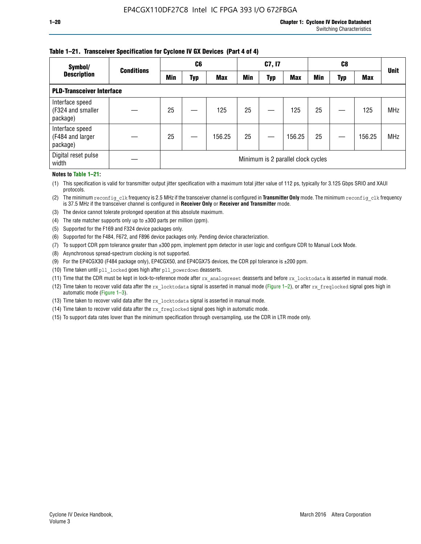### **Table 1–21. Transceiver Specification for Cyclone IV GX Devices (Part 4 of 4)**

| Symbol/                                          | <b>Conditions</b> | C <sub>6</sub>                     |     |            | C7, I7 |            |            | C8         |     |            | <b>Unit</b> |
|--------------------------------------------------|-------------------|------------------------------------|-----|------------|--------|------------|------------|------------|-----|------------|-------------|
| <b>Description</b>                               |                   | Min                                | Typ | <b>Max</b> | Min    | <b>Typ</b> | <b>Max</b> | <b>Min</b> | Typ | <b>Max</b> |             |
| <b>PLD-Transceiver Interface</b>                 |                   |                                    |     |            |        |            |            |            |     |            |             |
| Interface speed<br>(F324 and smaller<br>package) |                   | 25                                 |     | 125        | 25     |            | 125        | 25         |     | 125        | <b>MHz</b>  |
| Interface speed<br>(F484 and larger<br>package)  |                   | 25                                 |     | 156.25     | 25     |            | 156.25     | 25         |     | 156.25     | <b>MHz</b>  |
| Digital reset pulse<br>width                     |                   | Minimum is 2 parallel clock cycles |     |            |        |            |            |            |     |            |             |

#### **Notes to Table 1–21:**

(1) This specification is valid for transmitter output jitter specification with a maximum total jitter value of 112 ps, typically for 3.125 Gbps SRIO and XAUI protocols.

(2) The minimum reconfig\_clk frequency is 2.5 MHz if the transceiver channel is configured in **Transmitter Only** mode. The minimum reconfig\_clk frequency is 37.5 MHz if the transceiver channel is configured in **Receiver Only** or **Receiver and Transmitter** mode.

- (3) The device cannot tolerate prolonged operation at this absolute maximum.
- (4) The rate matcher supports only up to  $\pm 300$  parts per million (ppm).
- (5) Supported for the F169 and F324 device packages only.
- (6) Supported for the F484, F672, and F896 device packages only. Pending device characterization.
- (7) To support CDR ppm tolerance greater than ±300 ppm, implement ppm detector in user logic and configure CDR to Manual Lock Mode.
- (8) Asynchronous spread-spectrum clocking is not supported.
- (9) For the EP4CGX30 (F484 package only), EP4CGX50, and EP4CGX75 devices, the CDR ppl tolerance is ±200 ppm.
- (10) Time taken until pll\_locked goes high after pll\_powerdown deasserts.
- (11) Time that the CDR must be kept in lock-to-reference mode after rx analogreset deasserts and before rx locktodata is asserted in manual mode.

(12) Time taken to recover valid data after the rx locktodata signal is asserted in manual mode (Figure 1–2), or after rx freqlocked signal goes high in automatic mode (Figure 1–3).

(13) Time taken to recover valid data after the rx locktodata signal is asserted in manual mode.

- (14) Time taken to recover valid data after the rx freqlocked signal goes high in automatic mode.
- (15) To support data rates lower than the minimum specification through oversampling, use the CDR in LTR mode only.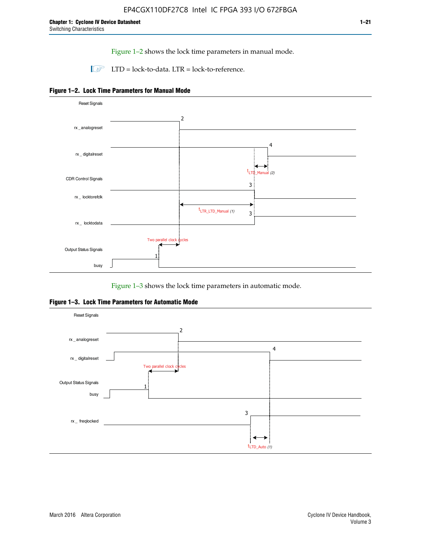Figure 1–2 shows the lock time parameters in manual mode.

 $\Box$  LTD = lock-to-data. LTR = lock-to-reference.





Figure 1–3 shows the lock time parameters in automatic mode.

**Figure 1–3. Lock Time Parameters for Automatic Mode**

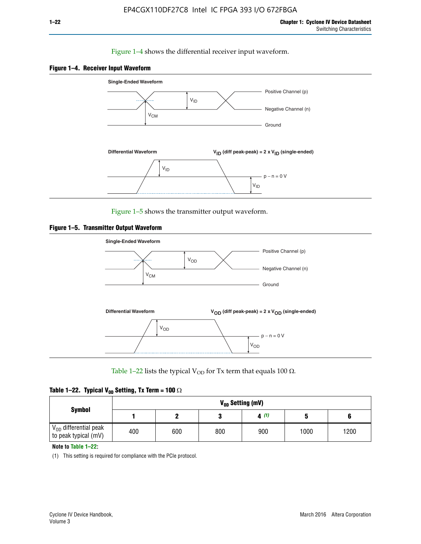### Figure 1–4 shows the differential receiver input waveform.





Figure 1–5 shows the transmitter output waveform.





Table 1–22 lists the typical V<sub>OD</sub> for Tx term that equals 100  $\Omega$ .

| Table 1–22. Typical V <sub>0D</sub> Setting, Tx Term = 100 $\Omega$ |  |  |  |  |  |  |  |
|---------------------------------------------------------------------|--|--|--|--|--|--|--|
|---------------------------------------------------------------------|--|--|--|--|--|--|--|

|                                                        |     |     |     | V <sub>op</sub> Setting (mV) |      |      |
|--------------------------------------------------------|-----|-----|-----|------------------------------|------|------|
| <b>Symbol</b>                                          |     |     |     | 4(1)                         |      |      |
| $\rm V_{OD}$ differential peak<br>to peak typical (mV) | 400 | 600 | 800 | 900                          | 1000 | 1200 |

**Note to Table 1–22:**

(1) This setting is required for compliance with the PCIe protocol.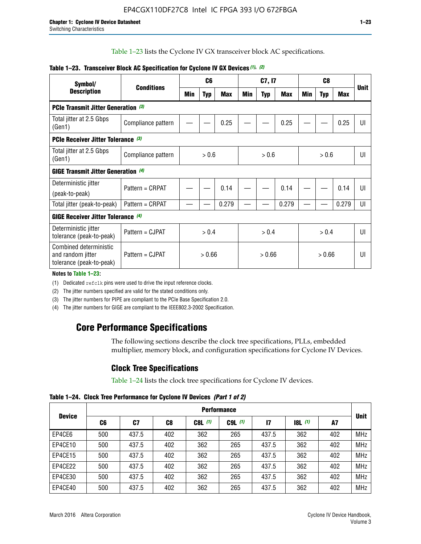Table 1–23 lists the Cyclone IV GX transceiver block AC specifications.

| Symbol/                                                                 | <b>Conditions</b>  | C <sub>6</sub> |            | C7, I7     |       |            | C <sub>8</sub> |     |            |       |             |
|-------------------------------------------------------------------------|--------------------|----------------|------------|------------|-------|------------|----------------|-----|------------|-------|-------------|
| <b>Description</b>                                                      |                    | Min            | <b>Typ</b> | <b>Max</b> | Min   | <b>Typ</b> | <b>Max</b>     | Min | <b>Typ</b> | Max   | <b>Unit</b> |
| <b>PCIe Transmit Jitter Generation</b> (3)                              |                    |                |            |            |       |            |                |     |            |       |             |
| Total jitter at 2.5 Gbps<br>(Gen1)                                      | Compliance pattern |                |            | 0.25       |       |            | 0.25           |     |            | 0.25  | UI          |
| PCIe Receiver Jitter Tolerance (3)                                      |                    |                |            |            |       |            |                |     |            |       |             |
| Total jitter at 2.5 Gbps<br>(Gen1)                                      | Compliance pattern | > 0.6          |            | > 0.6      |       | > 0.6      |                | UI  |            |       |             |
| <b>GIGE Transmit Jitter Generation (4)</b>                              |                    |                |            |            |       |            |                |     |            |       |             |
| Deterministic jitter                                                    | Pattern = CRPAT    |                |            | 0.14       |       |            | 0.14           |     |            | 0.14  | UI          |
| (peak-to-peak)                                                          |                    |                |            |            |       |            |                |     |            |       |             |
| Total jitter (peak-to-peak)                                             | Pattern = CRPAT    |                |            | 0.279      |       |            | 0.279          |     |            | 0.279 | UI          |
| <b>GIGE Receiver Jitter Tolerance (4)</b>                               |                    |                |            |            |       |            |                |     |            |       |             |
| Deterministic jitter<br>tolerance (peak-to-peak)                        | Pattern = CJPAT    | > 0.4          |            |            | > 0.4 |            | > 0.4          |     |            | U     |             |
| Combined deterministic<br>and random jitter<br>tolerance (peak-to-peak) | Pattern = CJPAT    | > 0.66         |            | > 0.66     |       | > 0.66     |                | UI  |            |       |             |

### **Table 1–23. Transceiver Block AC Specification for Cyclone IV GX Devices** *(1)***,** *(2)*

**Notes to Table 1–23:**

(1) Dedicated refclk pins were used to drive the input reference clocks.

(2) The jitter numbers specified are valid for the stated conditions only.

(3) The jitter numbers for PIPE are compliant to the PCIe Base Specification 2.0.

(4) The jitter numbers for GIGE are compliant to the IEEE802.3-2002 Specification.

# **Core Performance Specifications**

The following sections describe the clock tree specifications, PLLs, embedded multiplier, memory block, and configuration specifications for Cyclone IV Devices.

### **Clock Tree Specifications**

Table 1–24 lists the clock tree specifications for Cyclone IV devices.

**Table 1–24. Clock Tree Performance for Cyclone IV Devices** *(Part 1 of 2)*

|               | <b>Performance</b> |       |                |           |             |              |                  |     |             |  |
|---------------|--------------------|-------|----------------|-----------|-------------|--------------|------------------|-----|-------------|--|
| <b>Device</b> | C6                 | C7    | C <sub>8</sub> | $C8L$ (1) | $C9L$ $(1)$ | $\mathbf{I}$ | <b>18L</b> $(1)$ | A7  | <b>Unit</b> |  |
| EP4CE6        | 500                | 437.5 | 402            | 362       | 265         | 437.5        | 362              | 402 | <b>MHz</b>  |  |
| EP4CE10       | 500                | 437.5 | 402            | 362       | 265         | 437.5        | 362              | 402 | <b>MHz</b>  |  |
| EP4CE15       | 500                | 437.5 | 402            | 362       | 265         | 437.5        | 362              | 402 | <b>MHz</b>  |  |
| EP4CE22       | 500                | 437.5 | 402            | 362       | 265         | 437.5        | 362              | 402 | <b>MHz</b>  |  |
| EP4CE30       | 500                | 437.5 | 402            | 362       | 265         | 437.5        | 362              | 402 | <b>MHz</b>  |  |
| EP4CE40       | 500                | 437.5 | 402            | 362       | 265         | 437.5        | 362              | 402 | <b>MHz</b>  |  |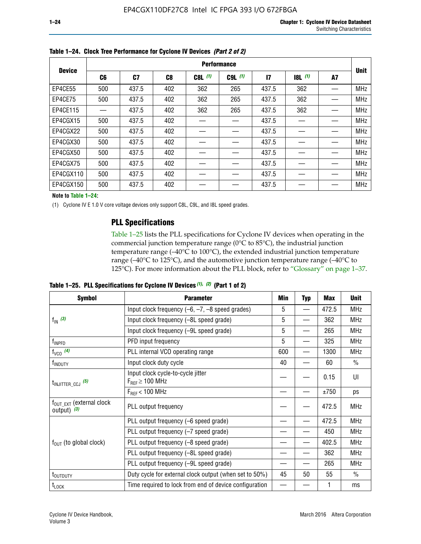|               | <b>Performance</b> |                |                |           |             |                 |           |    |             |
|---------------|--------------------|----------------|----------------|-----------|-------------|-----------------|-----------|----|-------------|
| <b>Device</b> | C6                 | C <sub>7</sub> | C <sub>8</sub> | $C8L$ (1) | $C9L$ $(1)$ | $\overline{17}$ | $18L$ (1) | A7 | <b>Unit</b> |
| EP4CE55       | 500                | 437.5          | 402            | 362       | 265         | 437.5           | 362       |    | <b>MHz</b>  |
| EP4CE75       | 500                | 437.5          | 402            | 362       | 265         | 437.5           | 362       |    | <b>MHz</b>  |
| EP4CE115      |                    | 437.5          | 402            | 362       | 265         | 437.5           | 362       |    | <b>MHz</b>  |
| EP4CGX15      | 500                | 437.5          | 402            |           |             | 437.5           |           |    | <b>MHz</b>  |
| EP4CGX22      | 500                | 437.5          | 402            |           |             | 437.5           |           |    | <b>MHz</b>  |
| EP4CGX30      | 500                | 437.5          | 402            |           |             | 437.5           |           |    | <b>MHz</b>  |
| EP4CGX50      | 500                | 437.5          | 402            |           |             | 437.5           |           |    | <b>MHz</b>  |
| EP4CGX75      | 500                | 437.5          | 402            |           |             | 437.5           |           |    | <b>MHz</b>  |
| EP4CGX110     | 500                | 437.5          | 402            |           |             | 437.5           |           |    | <b>MHz</b>  |
| EP4CGX150     | 500                | 437.5          | 402            |           |             | 437.5           |           |    | <b>MHz</b>  |

**Table 1–24. Clock Tree Performance for Cyclone IV Devices** *(Part 2 of 2)*

**Note to Table 1–24:**

(1) Cyclone IV E 1.0 V core voltage devices only support C8L, C9L, and I8L speed grades.

### **PLL Specifications**

Table 1–25 lists the PLL specifications for Cyclone IV devices when operating in the commercial junction temperature range (0°C to 85°C), the industrial junction temperature range (–40°C to 100°C), the extended industrial junction temperature range (–40°C to 125°C), and the automotive junction temperature range (–40°C to 125°C). For more information about the PLL block, refer to "Glossary" on page 1–37.

|  |  | Table 1–25. PLL Specifications for Cyclone IV Devices $(1)$ , $(2)$ (Part 1 of 2) |  |
|--|--|-----------------------------------------------------------------------------------|--|
|--|--|-----------------------------------------------------------------------------------|--|

| <b>Symbol</b>                                         | <b>Parameter</b>                                            | Min | <b>Typ</b>               | Max   | <b>Unit</b>   |
|-------------------------------------------------------|-------------------------------------------------------------|-----|--------------------------|-------|---------------|
|                                                       | Input clock frequency $(-6, -7, -8)$ speed grades)          |     | —                        | 472.5 | <b>MHz</b>    |
| $f_{\text{IN}}$ (3)                                   | Input clock frequency (-8L speed grade)                     | 5   |                          | 362   | <b>MHz</b>    |
|                                                       | Input clock frequency (-9L speed grade)                     | 5   |                          | 265   | <b>MHz</b>    |
| f <sub>INPFD</sub>                                    | PFD input frequency                                         | 5   |                          | 325   | <b>MHz</b>    |
| $f_{VCO}$ (4)                                         | PLL internal VCO operating range                            | 600 | $\overline{\phantom{0}}$ | 1300  | <b>MHz</b>    |
| f <sub>INDUTY</sub>                                   | Input clock duty cycle                                      | 40  |                          | 60    | $\frac{0}{0}$ |
| $t_{\text{INJITTER\_CCJ}}$ (5)                        | Input clock cycle-to-cycle jitter<br>$F_{REF} \geq 100$ MHz |     |                          | 0.15  | UI            |
|                                                       | $F_{RFF}$ < 100 MHz                                         |     |                          | ±750  | ps            |
| $f_{\text{OUT EXT}}$ (external clock<br>output) $(3)$ | PLL output frequency                                        |     |                          | 472.5 | <b>MHz</b>    |
|                                                       | PLL output frequency (-6 speed grade)                       |     |                          | 472.5 | <b>MHz</b>    |
|                                                       | PLL output frequency (-7 speed grade)                       |     |                          | 450   | <b>MHz</b>    |
| $f_{OUT}$ (to global clock)                           | PLL output frequency (-8 speed grade)                       |     |                          | 402.5 | <b>MHz</b>    |
|                                                       | PLL output frequency (-8L speed grade)                      |     |                          | 362   | <b>MHz</b>    |
|                                                       | PLL output frequency (-9L speed grade)                      |     |                          | 265   | <b>MHz</b>    |
| $t_{\mbox{\scriptsize{OUTDUTY}}}$                     | Duty cycle for external clock output (when set to 50%)      | 45  | 50                       | 55    | $\frac{0}{0}$ |
| $t_{\textrm{LOCK}}$                                   | Time required to lock from end of device configuration      |     |                          |       | ms            |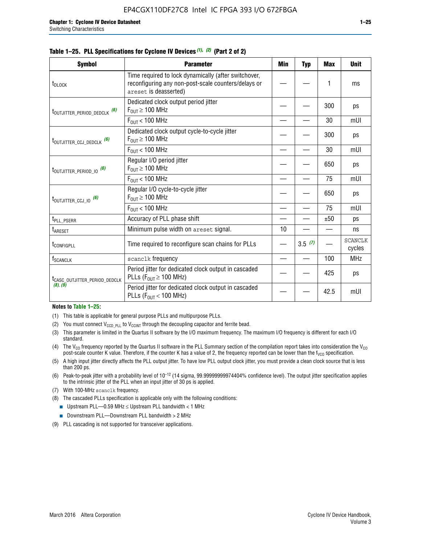|  |  | Table 1–25. PLL Specifications for Cyclone IV Devices (1), (2) (Part 2 of 2) |  |
|--|--|------------------------------------------------------------------------------|--|
|--|--|------------------------------------------------------------------------------|--|

| <b>Symbol</b>                             | <b>Parameter</b>                                                                                                                     | <b>Min</b> | <b>Typ</b> | <b>Max</b> | <b>Unit</b>              |
|-------------------------------------------|--------------------------------------------------------------------------------------------------------------------------------------|------------|------------|------------|--------------------------|
| t <sub>DLOCK</sub>                        | Time required to lock dynamically (after switchover,<br>reconfiguring any non-post-scale counters/delays or<br>areset is deasserted) |            |            | 1          | ms                       |
| t <sub>outjitter_period_dedclk</sub> (6)  | Dedicated clock output period jitter<br>$F_{OIII} \geq 100$ MHz                                                                      |            |            | 300        | ps                       |
|                                           | $F_{OUT}$ < 100 MHz                                                                                                                  |            |            | 30         | mUI                      |
| t <sub>outjitter_ccj_dedclk</sub> (6)     | Dedicated clock output cycle-to-cycle jitter<br>$F_{OUT} \geq 100$ MHz                                                               |            |            | 300        | ps                       |
|                                           | $F_{OUT}$ < 100 MHz                                                                                                                  |            |            | 30         | mUI                      |
| t <sub>outjitter_period_io</sub> (6)      | Regular I/O period jitter<br>$F_{OUT} \geq 100$ MHz                                                                                  |            |            | 650        | ps                       |
|                                           | $F_{OUT}$ < 100 MHz                                                                                                                  |            |            | 75         | mUI                      |
| t <sub>outjitter_ccj_io</sub> (6)         | Regular I/O cycle-to-cycle jitter<br>$F_{OUT} \geq 100$ MHz                                                                          |            |            | 650        | ps                       |
|                                           | $F_{OIII}$ < 100 MHz                                                                                                                 |            |            | 75         | mUI                      |
| t <sub>PLL_PSERR</sub>                    | Accuracy of PLL phase shift                                                                                                          |            |            | ±50        | ps                       |
| t <sub>ARESET</sub>                       | Minimum pulse width on areset signal.                                                                                                | 10         |            |            | ns                       |
| <b><i>LCONFIGPLL</i></b>                  | Time required to reconfigure scan chains for PLLs                                                                                    |            | 3.5(7)     |            | <b>SCANCLK</b><br>cycles |
| f <sub>SCANCLK</sub>                      | scanclk frequency                                                                                                                    |            |            | 100        | <b>MHz</b>               |
| t <sub>CASC_OUTJITTER_PERIOD_DEDCLK</sub> | Period jitter for dedicated clock output in cascaded<br>PLLs ( $F_{OUT} \ge 100$ MHz)                                                |            |            | 425        | ps                       |
| (8), (9)                                  | Period jitter for dedicated clock output in cascaded<br>PLLs ( $F_{OUT}$ < 100 MHz)                                                  |            |            | 42.5       | mUI                      |

#### **Notes to Table 1–25:**

- (1) This table is applicable for general purpose PLLs and multipurpose PLLs.
- (2) You must connect  $V_{CCD-PLL}$  to  $V_{CCINT}$  through the decoupling capacitor and ferrite bead.
- (3) This parameter is limited in the Quartus II software by the I/O maximum frequency. The maximum I/O frequency is different for each I/O standard.
- (4) The  $V_{CO}$  frequency reported by the Quartus II software in the PLL Summary section of the compilation report takes into consideration the  $V_{CO}$ post-scale counter K value. Therefore, if the counter K has a value of 2, the frequency reported can be lower than the f<sub>VCO</sub> specification.
- (5) A high input jitter directly affects the PLL output jitter. To have low PLL output clock jitter, you must provide a clean clock source that is less than 200 ps.
- (6) Peak-to-peak jitter with a probability level of 10–12 (14 sigma, 99.99999999974404% confidence level). The output jitter specification applies to the intrinsic jitter of the PLL when an input jitter of 30 ps is applied.
- (7) With 100-MHz scanclk frequency.
- (8) The cascaded PLLs specification is applicable only with the following conditions:
	- **■** Upstream PLL—0.59 MHz  $\leq$  Upstream PLL bandwidth  $<$  1 MHz
	- Downstream PLL—Downstream PLL bandwidth > 2 MHz
- (9) PLL cascading is not supported for transceiver applications.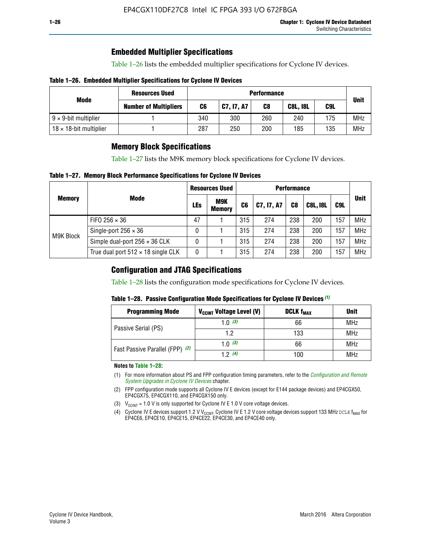### **Embedded Multiplier Specifications**

Table 1–26 lists the embedded multiplier specifications for Cyclone IV devices.

### **Table 1–26. Embedded Multiplier Specifications for Cyclone IV Devices**

|                                | <b>Resources Used</b>        | <b>Performance</b> |            |     |                 |     |             |
|--------------------------------|------------------------------|--------------------|------------|-----|-----------------|-----|-------------|
| Mode                           | <b>Number of Multipliers</b> | C6                 | C7, I7, A7 | C8  | <b>C8L, I8L</b> | C9L | <b>Unit</b> |
| $9 \times 9$ -bit multiplier   |                              | 340                | 300        | 260 | 240             | 175 | <b>MHz</b>  |
| $18 \times 18$ -bit multiplier |                              | 287                | 250        | 200 | 185             | 135 | <b>MHz</b>  |

### **Memory Block Specifications**

Table 1–27 lists the M9K memory block specifications for Cyclone IV devices.

### **Table 1–27. Memory Block Performance Specifications for Cyclone IV Devices**

|               |                                           | <b>Resources Used</b> |                             | <b>Performance</b> |            |                |                 |     |             |
|---------------|-------------------------------------------|-----------------------|-----------------------------|--------------------|------------|----------------|-----------------|-----|-------------|
| <b>Memory</b> | <b>Mode</b>                               | LEs                   | <b>M9K</b><br><b>Memory</b> | C <sub>6</sub>     | C7, I7, A7 | C <sub>8</sub> | <b>C8L, I8L</b> | C9L | <b>Unit</b> |
| M9K Block     | FIFO 256 $\times$ 36                      | 47                    |                             | 315                | 274        | 238            | 200             | 157 | <b>MHz</b>  |
|               | Single-port $256 \times 36$               | 0                     |                             | 315                | 274        | 238            | 200             | 157 | <b>MHz</b>  |
|               | Simple dual-port $256 \times 36$ CLK      | 0                     |                             | 315                | 274        | 238            | 200             | 157 | <b>MHz</b>  |
|               | True dual port $512 \times 18$ single CLK | 0                     |                             | 315                | 274        | 238            | 200             | 157 | <b>MHz</b>  |

### **Configuration and JTAG Specifications**

Table 1–28 lists the configuration mode specifications for Cyclone IV devices.

### **Table 1–28. Passive Configuration Mode Specifications for Cyclone IV Devices** *(1)*

| <b>Programming Mode</b>         | V <sub>CCINT</sub> Voltage Level (V)          | <b>DCLK f<sub>MAX</sub></b> | <b>Unit</b> |
|---------------------------------|-----------------------------------------------|-----------------------------|-------------|
| Passive Serial (PS)             | 1.0 $(3)$                                     | 66                          | MHz         |
|                                 | 133<br>1.2<br>1.0 $(3)$<br>66<br>12(4)<br>100 | MHz                         |             |
| Fast Passive Parallel (FPP) (2) |                                               |                             | MHz         |
|                                 |                                               |                             | <b>MHz</b>  |

#### **Notes to Table 1–28:**

- (1) For more information about PS and FPP configuration timing parameters, refer to the *[Configuration and Remote](http://www.altera.com/literature/hb/cyclone-iv/cyiv-51008.pdf)  [System Upgrades in Cyclone IV Devices](http://www.altera.com/literature/hb/cyclone-iv/cyiv-51008.pdf)* chapter.
- (2) FPP configuration mode supports all Cyclone IV E devices (except for E144 package devices) and EP4CGX50, EP4CGX75, EP4CGX110, and EP4CGX150 only.
- (3)  $V_{CCMT}$  = 1.0 V is only supported for Cyclone IV E 1.0 V core voltage devices.
- (4) Cyclone IV E devices support 1.2 V V<sub>CCINT</sub>. Cyclone IV E 1.2 V core voltage devices support 133 MHz DCLK f<sub>MAX</sub> for EP4CE6, EP4CE10, EP4CE15, EP4CE22, EP4CE30, and EP4CE40 only.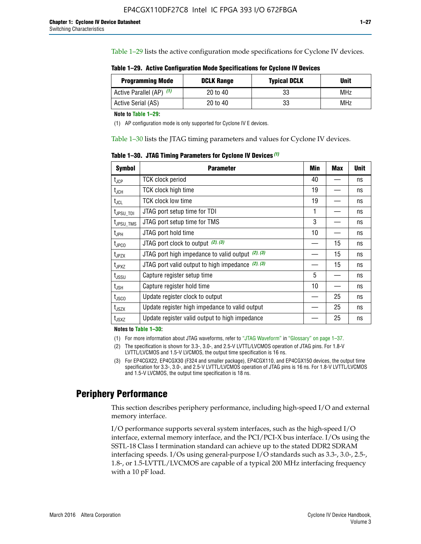Table 1–29 lists the active configuration mode specifications for Cyclone IV devices.

**Table 1–29. Active Configuration Mode Specifications for Cyclone IV Devices**

| <b>Programming Mode</b>  | <b>DCLK Range</b> | <b>Typical DCLK</b> | Unit       |
|--------------------------|-------------------|---------------------|------------|
| Active Parallel (AP) (1) | 20 to 40          | 33                  | MHz        |
| Active Serial (AS)       | 20 to 40          | 33                  | <b>MHz</b> |

**Note to Table 1–29:**

(1) AP configuration mode is only supported for Cyclone IV E devices.

Table 1–30 lists the JTAG timing parameters and values for Cyclone IV devices.

**Table 1–30. JTAG Timing Parameters for Cyclone IV Devices** *(1)*

| Symbol                       | <b>Parameter</b>                                       | <b>Min</b> | <b>Max</b> | <b>Unit</b> |
|------------------------------|--------------------------------------------------------|------------|------------|-------------|
| t <sub>JCP</sub>             | <b>TCK clock period</b>                                | 40         |            | ns          |
| t <sub>JCH</sub>             | <b>TCK clock high time</b>                             | 19         |            | ns          |
| $t_{JCL}$                    | TCK clock low time                                     | 19         |            | ns          |
| t <sub>JPSU_TDI</sub>        | JTAG port setup time for TDI                           | 1          |            | ns          |
| t <sub>JPSU_TMS</sub>        | JTAG port setup time for TMS                           | 3          |            | ns          |
| t <sub>JPH</sub>             | JTAG port hold time                                    | 10         |            | ns          |
| t <sub>JPCO</sub>            | JTAG port clock to output $(2)$ , $(3)$                |            | 15         | ns          |
| t <sub>JPZX</sub>            | JTAG port high impedance to valid output $(2)$ , $(3)$ |            | 15         | ns          |
| t <sub>JPXZ</sub>            | JTAG port valid output to high impedance $(2)$ , $(3)$ |            | 15         | ns          |
| ${\rm t}_{\rm JSSU}$         | Capture register setup time                            | 5          |            | ns          |
| $\mathsf{t}_{\mathsf{JSH}}$  | Capture register hold time                             | 10         |            | ns          |
| $t_{\rm JSCO}$               | Update register clock to output                        |            | 25         | ns          |
| $t_{\footnotesize \rm JSZX}$ | Update register high impedance to valid output         |            | 25         | ns          |
| t <sub>JSXZ</sub>            | Update register valid output to high impedance         |            | 25         | ns          |

**Notes to Table 1–30:**

(1) For more information about JTAG waveforms, refer to "JTAG Waveform" in "Glossary" on page 1–37.

(2) The specification is shown for 3.3-, 3.0-, and 2.5-V LVTTL/LVCMOS operation of JTAG pins. For 1.8-V LVTTL/LVCMOS and 1.5-V LVCMOS, the output time specification is 16 ns.

(3) For EP4CGX22, EP4CGX30 (F324 and smaller package), EP4CGX110, and EP4CGX150 devices, the output time specification for 3.3-, 3.0-, and 2.5-V LVTTL/LVCMOS operation of JTAG pins is 16 ns. For 1.8-V LVTTL/LVCMOS and 1.5-V LVCMOS, the output time specification is 18 ns.

### **Periphery Performance**

This section describes periphery performance, including high-speed I/O and external memory interface.

I/O performance supports several system interfaces, such as the high-speed I/O interface, external memory interface, and the PCI/PCI-X bus interface. I/Os using the SSTL-18 Class I termination standard can achieve up to the stated DDR2 SDRAM interfacing speeds. I/Os using general-purpose I/O standards such as 3.3-, 3.0-, 2.5-, 1.8-, or 1.5-LVTTL/LVCMOS are capable of a typical 200 MHz interfacing frequency with a 10 pF load.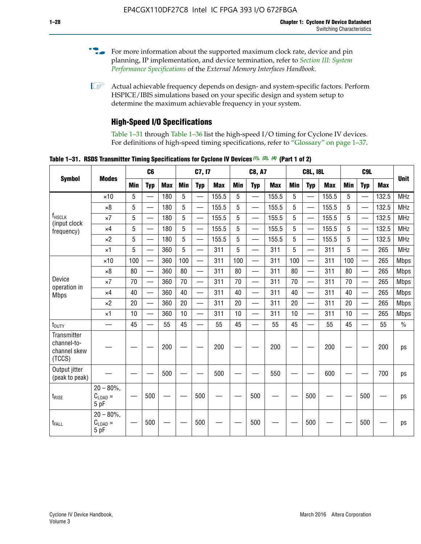- For more information about the supported maximum clock rate, device and pin planning, IP implementation, and device termination, refer to *[Section III: System](http://www.altera.com/literature/hb/external-memory/emi_intro_specs.pdf)  [Performance Specifications](http://www.altera.com/literature/hb/external-memory/emi_intro_specs.pdf)* of the *External Memory Interfaces Handbook*.
- **1 Actual achievable frequency depends on design- and system-specific factors. Perform** HSPICE/IBIS simulations based on your specific design and system setup to determine the maximum achievable frequency in your system.

### **High-Speed I/O Specifications**

Table 1–31 through Table 1–36 list the high-speed I/O timing for Cyclone IV devices. For definitions of high-speed timing specifications, refer to "Glossary" on page 1–37.

**Table 1–31. RSDS Transmitter Timing Specifications for Cyclone IV Devices** *(1)***,** *(2)***,** *(4)* **(Part 1 of 2)**

|                                                      |                                     |            | C <sub>6</sub>           |            |            | C7, I7                   |            |                 | <b>C8, A7</b>            |            |            | <b>C8L, I8L</b>          |            |            | C <sub>9</sub> L         |            |             |
|------------------------------------------------------|-------------------------------------|------------|--------------------------|------------|------------|--------------------------|------------|-----------------|--------------------------|------------|------------|--------------------------|------------|------------|--------------------------|------------|-------------|
| <b>Symbol</b>                                        | <b>Modes</b>                        | <b>Min</b> | <b>Typ</b>               | <b>Max</b> | <b>Min</b> | <b>Typ</b>               | <b>Max</b> | <b>Min</b>      | <b>Typ</b>               | <b>Max</b> | <b>Min</b> | <b>Typ</b>               | <b>Max</b> | <b>Min</b> | <b>Typ</b>               | <b>Max</b> | <b>Unit</b> |
|                                                      | $\times$ 10                         | 5          |                          | 180        | 5          | —                        | 155.5      | 5               | $\overline{\phantom{0}}$ | 155.5      | 5          |                          | 155.5      | 5          |                          | 132.5      | <b>MHz</b>  |
|                                                      | $\times 8$                          | 5          |                          | 180        | 5          |                          | 155.5      | 5               | $\overline{\phantom{0}}$ | 155.5      | 5          |                          | 155.5      | 5          |                          | 132.5      | <b>MHz</b>  |
| f <sub>HSCLK</sub><br>(input clock                   | $\times 7$                          | 5          |                          | 180        | 5          |                          | 155.5      | 5               | $\overline{\phantom{0}}$ | 155.5      | 5          |                          | 155.5      | 5          |                          | 132.5      | <b>MHz</b>  |
| frequency)                                           | $\times$ 4                          | 5          |                          | 180        | 5          | $\overline{\phantom{0}}$ | 155.5      | $5\phantom{.0}$ | $\overline{\phantom{0}}$ | 155.5      | 5          |                          | 155.5      | 5          | $\overline{\phantom{0}}$ | 132.5      | <b>MHz</b>  |
|                                                      | $\times 2$                          | 5          | $\equiv$                 | 180        | 5          | $\overline{\phantom{0}}$ | 155.5      | 5               | $\equiv$                 | 155.5      | 5          | $\equiv$                 | 155.5      | 5          | $\overline{\phantom{0}}$ | 132.5      | <b>MHz</b>  |
|                                                      | $\times$ 1                          | 5          |                          | 360        | 5          |                          | 311        | 5               | $\equiv$                 | 311        | 5          | $\overline{\phantom{0}}$ | 311        | 5          |                          | 265        | <b>MHz</b>  |
|                                                      | $\times$ 10                         | 100        |                          | 360        | 100        |                          | 311        | 100             | $\overline{\phantom{0}}$ | 311        | 100        |                          | 311        | 100        |                          | 265        | <b>Mbps</b> |
|                                                      | $\times 8$                          | 80         | $\overline{\phantom{0}}$ | 360        | 80         |                          | 311        | 80              | $\overline{\phantom{0}}$ | 311        | 80         |                          | 311        | 80         | $\equiv$                 | 265        | <b>Mbps</b> |
| Device<br>operation in                               | $\times 7$                          | 70         | $\overline{\phantom{0}}$ | 360        | 70         | $\overline{\phantom{0}}$ | 311        | 70              | $\overline{\phantom{0}}$ | 311        | 70         |                          | 311        | 70         | $\overline{\phantom{0}}$ | 265        | <b>Mbps</b> |
| <b>Mbps</b>                                          | $\times$ 4                          | 40         | $\overline{\phantom{0}}$ | 360        | 40         | $\overline{\phantom{0}}$ | 311        | 40              |                          | 311        | 40         |                          | 311        | 40         | $\equiv$                 | 265        | <b>Mbps</b> |
|                                                      | $\times 2$                          | 20         | $\overline{\phantom{0}}$ | 360        | 20         |                          | 311        | 20              |                          | 311        | 20         |                          | 311        | 20         | $\overline{\phantom{0}}$ | 265        | <b>Mbps</b> |
|                                                      | $\times$ 1                          | 10         | $\overline{\phantom{0}}$ | 360        | 10         |                          | 311        | 10              |                          | 311        | 10         |                          | 311        | 10         | $\overline{\phantom{0}}$ | 265        | <b>Mbps</b> |
| t <sub>DUTY</sub>                                    | —                                   | 45         |                          | 55         | 45         |                          | 55         | 45              | $\overline{\phantom{0}}$ | 55         | 45         |                          | 55         | 45         |                          | 55         | $\%$        |
| Transmitter<br>channel-to-<br>channel skew<br>(TCCS) |                                     |            |                          | 200        |            |                          | 200        |                 |                          | 200        |            |                          | 200        |            |                          | 200        | ps          |
| Output jitter<br>(peak to peak)                      |                                     |            |                          | 500        |            |                          | 500        |                 |                          | 550        |            |                          | 600        |            |                          | 700        | ps          |
| t <sub>rise</sub>                                    | $20 - 80\%$<br>$C_{LOAD} =$<br>5 pF |            | 500                      |            |            | 500                      |            |                 | 500                      |            |            | 500                      |            |            | 500                      |            | ps          |
| t <sub>FALL</sub>                                    | $20 - 80\%$<br>$C_{LOAD} =$<br>5 pF |            | 500                      |            |            | 500                      |            |                 | 500                      |            |            | 500                      |            |            | 500                      |            | ps          |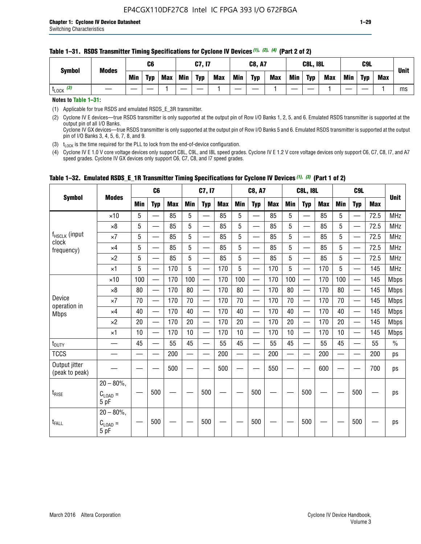| <b>Symbol</b>         | <b>Modes</b> |     | C <sub>6</sub> |            |            | <b>C7, I7</b> |            |            | <b>C8, A7</b> |            |            | <b>C8L, I8L</b> |            |            | C <sub>9</sub> L |     | Unit |
|-----------------------|--------------|-----|----------------|------------|------------|---------------|------------|------------|---------------|------------|------------|-----------------|------------|------------|------------------|-----|------|
|                       |              | Min | <b>Typ</b>     | <b>Max</b> | <b>Min</b> | <b>Typ</b>    | <b>Max</b> | <b>Min</b> | <b>Typ</b>    | <b>Max</b> | <b>Min</b> | <b>Typ</b>      | <b>Max</b> | <b>Min</b> | <b>Typ</b>       | Max |      |
| $t_{\text{LOCK}}$ (3) |              |     |                |            |            |               |            |            |               |            |            |                 |            |            |                  |     | ms   |

#### **Table 1–31. RSDS Transmitter Timing Specifications for Cyclone IV Devices** *(1)***,** *(2)***,** *(4)* **(Part 2 of 2)**

**Notes to Table 1–31:**

(1) Applicable for true RSDS and emulated RSDS\_E\_3R transmitter.

(2) Cyclone IV E devices—true RSDS transmitter is only supported at the output pin of Row I/O Banks 1, 2, 5, and 6. Emulated RSDS transmitter is supported at the output pin of all I/O Banks. Cyclone IV GX devices—true RSDS transmitter is only supported at the output pin of Row I/O Banks 5 and 6. Emulated RSDS transmitter is supported at the output

pin of I/O Banks 3, 4, 5, 6, 7, 8, and 9. (3)  $t_{\text{LOCK}}$  is the time required for the PLL to lock from the end-of-device configuration.

(4) Cyclone IV E 1.0 V core voltage devices only support C8L, C9L, and I8L speed grades. Cyclone IV E 1.2 V core voltage devices only support C6, C7, C8, I7, and A7 speed grades. Cyclone IV GX devices only support C6, C7, C8, and I7 speed grades.

|                                 |                               |     | C <sub>6</sub>           |            |            | C7, I7                   |            |                          | <b>C8, A7</b>            |            |            | <b>C8L, I8L</b>          |            |     | C <sub>9</sub> L                 |            |               |
|---------------------------------|-------------------------------|-----|--------------------------|------------|------------|--------------------------|------------|--------------------------|--------------------------|------------|------------|--------------------------|------------|-----|----------------------------------|------------|---------------|
| <b>Symbol</b>                   | <b>Modes</b>                  | Min | <b>Typ</b>               | <b>Max</b> | <b>Min</b> | <b>Typ</b>               | <b>Max</b> | Min                      | <b>Typ</b>               | <b>Max</b> | <b>Min</b> | <b>Typ</b>               | <b>Max</b> | Min | <b>Typ</b>                       | <b>Max</b> | <b>Unit</b>   |
|                                 | $\times$ 10                   | 5   |                          | 85         | 5          |                          | 85         | 5                        |                          | 85         | 5          |                          | 85         | 5   |                                  | 72.5       | <b>MHz</b>    |
|                                 | $\times 8$                    | 5   | —                        | 85         | 5          | —                        | 85         | 5                        | $\overline{\phantom{0}}$ | 85         | 5          | $\overline{\phantom{0}}$ | 85         | 5   |                                  | 72.5       | <b>MHz</b>    |
| f <sub>HSCLK</sub> (input       | $\times 7$                    | 5   | —                        | 85         | 5          |                          | 85         | 5                        | —                        | 85         | 5          | —                        | 85         | 5   | $\overline{\phantom{0}}$         | 72.5       | <b>MHz</b>    |
| clock<br>frequency)             | $\times$ 4                    | 5   | $\overline{\phantom{0}}$ | 85         | 5          | $\overline{\phantom{a}}$ | 85         | 5                        | $\overline{\phantom{0}}$ | 85         | 5          | —                        | 85         | 5   | $\overline{\phantom{0}}$         | 72.5       | <b>MHz</b>    |
|                                 | $\times 2$                    | 5   | $\hspace{0.05cm}$        | 85         | 5          |                          | 85         | 5                        | —                        | 85         | 5          | $\overline{\phantom{0}}$ | 85         | 5   | $\qquad \qquad \overbrace{ }^{}$ | 72.5       | <b>MHz</b>    |
|                                 | $\times$ 1                    | 5   |                          | 170        | 5          | $\overline{\phantom{0}}$ | 170        | 5                        | $\overline{\phantom{0}}$ | 170        | 5          | $\overline{\phantom{0}}$ | 170        | 5   |                                  | 145        | <b>MHz</b>    |
|                                 | $\times$ 10                   | 100 |                          | 170        | 100        | $\overline{\phantom{0}}$ | 170        | 100                      | $\overline{\phantom{0}}$ | 170        | 100        | $\overline{\phantom{0}}$ | 170        | 100 |                                  | 145        | <b>Mbps</b>   |
|                                 | $\times 8$                    | 80  | $\qquad \qquad$          | 170        | 80         | —                        | 170        | 80                       | —                        | 170        | 80         |                          | 170        | 80  |                                  | 145        | <b>Mbps</b>   |
| Device                          | $\times 7$                    | 70  | $\overline{\phantom{0}}$ | 170        | 70         | —                        | 170        | 70                       | $\overline{\phantom{0}}$ | 170        | 70         |                          | 170        | 70  |                                  | 145        | <b>Mbps</b>   |
| operation in<br><b>Mbps</b>     | $\times$ 4                    | 40  | $\qquad \qquad$          | 170        | 40         | $\overline{\phantom{0}}$ | 170        | 40                       |                          | 170        | 40         |                          | 170        | 40  |                                  | 145        | <b>Mbps</b>   |
|                                 | $\times 2$                    | 20  |                          | 170        | 20         | $\overline{\phantom{0}}$ | 170        | 20                       | $\overline{\phantom{0}}$ | 170        | 20         |                          | 170        | 20  |                                  | 145        | <b>Mbps</b>   |
|                                 | $\times$ 1                    | 10  |                          | 170        | 10         | $\overline{\phantom{0}}$ | 170        | 10                       | $\overline{\phantom{0}}$ | 170        | 10         | $\overline{\phantom{0}}$ | 170        | 10  |                                  | 145        | <b>Mbps</b>   |
| t <sub>DUTY</sub>               |                               | 45  | $\equiv$                 | 55         | 45         | $\equiv$                 | 55         | 45                       | $\overline{\phantom{0}}$ | 55         | 45         | $\equiv$                 | 55         | 45  |                                  | 55         | $\frac{0}{0}$ |
| <b>TCCS</b>                     |                               |     |                          | 200        |            |                          | 200        | $\overline{\phantom{0}}$ |                          | 200        |            | —                        | 200        |     |                                  | 200        | ps            |
| Output jitter<br>(peak to peak) |                               |     | —                        | 500        |            |                          | 500        |                          |                          | 550        |            |                          | 600        |     |                                  | 700        | ps            |
| $t_{\sf RISE}$                  | $20 - 80\%$ ,<br>$C_{LOAD} =$ |     | 500                      |            |            | 500                      |            |                          | 500                      |            |            | 500                      |            |     | 500                              |            | ps            |
| t <sub>FALL</sub>               | 5 pF<br>$20 - 80\%$ ,         |     | 500                      |            |            | 500                      |            |                          | 500                      |            |            | 500                      |            |     | 500                              |            | ps            |
|                                 | $C_{\text{LOAD}} =$<br>5 pF   |     |                          |            |            |                          |            |                          |                          |            |            |                          |            |     |                                  |            |               |

### **Table 1–32. Emulated RSDS\_E\_1R Transmitter Timing Specifications for Cyclone IV Devices** *(1), (3)* **(Part 1 of 2)**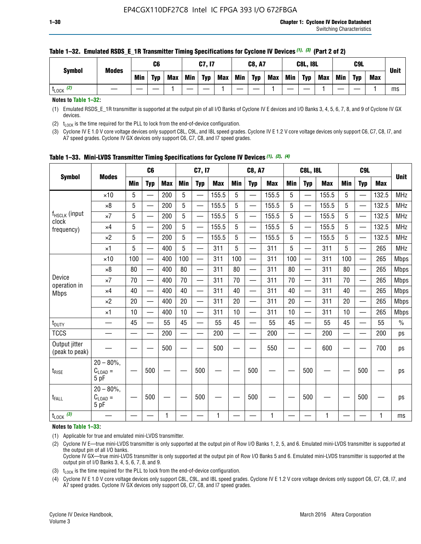| <b>Symbol</b>        | <b>Modes</b> |     | C6         |     |            | C7, I7     |            |            | <b>C8, A7</b> |            |            | <b>C8L, I8L</b> |            |     | <b>C9L</b> |            | <b>Unit</b> |
|----------------------|--------------|-----|------------|-----|------------|------------|------------|------------|---------------|------------|------------|-----------------|------------|-----|------------|------------|-------------|
|                      |              | Min | <b>Typ</b> | Max | <b>Min</b> | <b>Typ</b> | <b>Max</b> | <b>Min</b> | <b>Typ</b>    | <b>Max</b> | <b>Min</b> | <b>Typ</b>      | <b>Max</b> | Min | <b>Typ</b> | <b>Max</b> |             |
| (2)<br><b>L</b> LOCK |              |     |            |     |            |            |            |            |               |            |            |                 |            |     |            |            | ms          |

#### **Table 1–32. Emulated RSDS\_E\_1R Transmitter Timing Specifications for Cyclone IV Devices** *(1), (3)* **(Part 2 of 2)**

**Notes to Table 1–32:**

(1) Emulated RSDS\_E\_1R transmitter is supported at the output pin of all I/O Banks of Cyclone IV E devices and I/O Banks 3, 4, 5, 6, 7, 8, and 9 of Cyclone IV GX devices.

(2)  $t_{\text{LOCK}}$  is the time required for the PLL to lock from the end-of-device configuration.

(3) Cyclone IV E 1.0 V core voltage devices only support C8L, C9L, and I8L speed grades. Cyclone IV E 1.2 V core voltage devices only support C6, C7, C8, I7, and A7 speed grades. Cyclone IV GX devices only support C6, C7, C8, and I7 speed grades.

|                                    |                                            |            | C <sub>6</sub>                |            |                          | C7, I7                   |            |            | <b>C8, A7</b>            |              |                          | <b>C8L, I8L</b>          |            |            | C <sub>9</sub> L         |            |               |
|------------------------------------|--------------------------------------------|------------|-------------------------------|------------|--------------------------|--------------------------|------------|------------|--------------------------|--------------|--------------------------|--------------------------|------------|------------|--------------------------|------------|---------------|
| <b>Symbol</b>                      | <b>Modes</b>                               | <b>Min</b> | <b>Typ</b>                    | <b>Max</b> | <b>Min</b>               | <b>Typ</b>               | <b>Max</b> | <b>Min</b> | <b>Typ</b>               | <b>Max</b>   | <b>Min</b>               | <b>Typ</b>               | <b>Max</b> | <b>Min</b> | <b>Typ</b>               | <b>Max</b> | <b>Unit</b>   |
|                                    | $\times$ 10                                | 5          |                               | 200        | 5                        |                          | 155.5      | 5          | $\overline{\phantom{0}}$ | 155.5        | 5                        |                          | 155.5      | 5          |                          | 132.5      | <b>MHz</b>    |
|                                    | $\times 8$                                 | 5          |                               | 200        | 5                        | —                        | 155.5      | 5          | —                        | 155.5        | 5                        |                          | 155.5      | 5          |                          | 132.5      | <b>MHz</b>    |
| f <sub>HSCLK</sub> (input<br>clock | $\times 7$                                 | 5          | $\overline{\phantom{0}}$      | 200        | 5                        | —<br>——                  | 155.5      | 5          | —                        | 155.5        | 5                        | —                        | 155.5      | 5          |                          | 132.5      | <b>MHz</b>    |
| frequency)                         | $\times$ 4                                 | 5          |                               | 200        | 5                        | —<br>——                  | 155.5      | 5          | $\overline{\phantom{0}}$ | 155.5        | 5                        |                          | 155.5      | 5          | —                        | 132.5      | MHz           |
|                                    | $\times 2$                                 | 5          | $\overline{\phantom{0}}$      | 200        | 5                        | —                        | 155.5      | 5          | $\overline{\phantom{0}}$ | 155.5        | 5                        | $\overline{\phantom{0}}$ | 155.5      | 5          | $\overline{\phantom{0}}$ | 132.5      | <b>MHz</b>    |
|                                    | $\times$ 1                                 | 5          | $\overline{\phantom{0}}$      | 400        | 5                        | $\overline{\phantom{0}}$ | 311        | 5          | $\overline{\phantom{0}}$ | 311          | 5                        |                          | 311        | 5          | —                        | 265        | MHz           |
|                                    | $\times$ 10                                | 100        | $\overline{\phantom{0}}$      | 400        | 100                      | $\overline{\phantom{0}}$ | 311        | 100        | $\overline{\phantom{0}}$ | 311          | 100                      | $\overline{\phantom{0}}$ | 311        | 100        |                          | 265        | <b>Mbps</b>   |
|                                    | $\times 8$                                 | 80         | $\overline{\phantom{0}}$      | 400        | 80                       | $\overline{\phantom{0}}$ | 311        | 80         | $\overline{\phantom{0}}$ | 311          | 80                       | $\overline{\phantom{0}}$ | 311        | 80         |                          | 265        | <b>Mbps</b>   |
| Device                             | $\times 7$                                 | 70         | $\overline{\phantom{0}}$      | 400        | 70                       | $\equiv$                 | 311        | 70         |                          | 311          | 70                       | —                        | 311        | 70         |                          | 265        | <b>Mbps</b>   |
| operation in<br><b>Mbps</b>        | $\times 4$                                 | 40         |                               | 400        | 40                       |                          | 311        | 40         | $\overline{\phantom{0}}$ | 311          | 40                       |                          | 311        | 40         |                          | 265        | <b>Mbps</b>   |
|                                    | $\times 2$                                 | 20         | $\overbrace{\phantom{aaaaa}}$ | 400        | 20                       | —                        | 311        | 20         | $\overline{\phantom{0}}$ | 311          | 20                       | —                        | 311        | 20         |                          | 265        | <b>Mbps</b>   |
|                                    | ×1                                         | 10         |                               | 400        | 10                       | —                        | 311        | 10         | —                        | 311          | 10                       | $\overline{\phantom{0}}$ | 311        | 10         |                          | 265        | <b>Mbps</b>   |
| t <sub>DUTY</sub>                  | __                                         | 45         |                               | 55         | 45                       | $\overline{\phantom{0}}$ | 55         | 45         | $\overline{\phantom{0}}$ | 55           | 45                       | $\overline{\phantom{0}}$ | 55         | 45         |                          | 55         | $\frac{0}{0}$ |
| <b>TCCS</b>                        |                                            |            |                               | 200        | $\overline{\phantom{0}}$ |                          | 200        |            | e e                      | 200          | $\overline{\phantom{0}}$ |                          | 200        |            |                          | 200        | ps            |
| Output jitter<br>(peak to peak)    |                                            |            |                               | 500        |                          |                          | 500        |            |                          | 550          |                          |                          | 600        |            |                          | 700        | ps            |
| $t_{\text{RISE}}$                  | $20 - 80\%$ ,<br>$C_{LOAD} =$<br>5 pF      |            | 500                           |            |                          | 500                      |            |            | 500                      |              |                          | 500                      |            |            | 500                      |            | ps            |
| t <sub>FALL</sub>                  | $20 - 80\%$<br>$C_{\text{LOAD}} =$<br>5 pF |            | 500                           |            |                          | 500                      |            |            | 500                      |              |                          | 500                      |            |            | 500                      |            | ps            |
| $t_{\text{LOCK}}$ (3)              |                                            |            |                               | 1          |                          |                          | 1          |            |                          | $\mathbf{1}$ |                          |                          | 1          |            |                          | 1          | ms            |

**Table 1–33. Mini-LVDS Transmitter Timing Specifications for Cyclone IV Devices** *(1)***,** *(2)***,** *(4)*

**Notes to Table 1–33:**

(1) Applicable for true and emulated mini-LVDS transmitter.

(2) Cyclone IV E—true mini-LVDS transmitter is only supported at the output pin of Row I/O Banks 1, 2, 5, and 6. Emulated mini-LVDS transmitter is supported at the output pin of all I/O banks.

Cyclone IV GX—true mini-LVDS transmitter is only supported at the output pin of Row I/O Banks 5 and 6. Emulated mini-LVDS transmitter is supported at the output pin of I/O Banks 3, 4, 5, 6, 7, 8, and 9.

(3)  $t_{\text{LOCK}}$  is the time required for the PLL to lock from the end-of-device configuration.

(4) Cyclone IV E 1.0 V core voltage devices only support C8L, C9L, and I8L speed grades. Cyclone IV E 1.2 V core voltage devices only support C6, C7, C8, I7, and A7 speed grades. Cyclone IV GX devices only support C6, C7, C8, and I7 speed grades.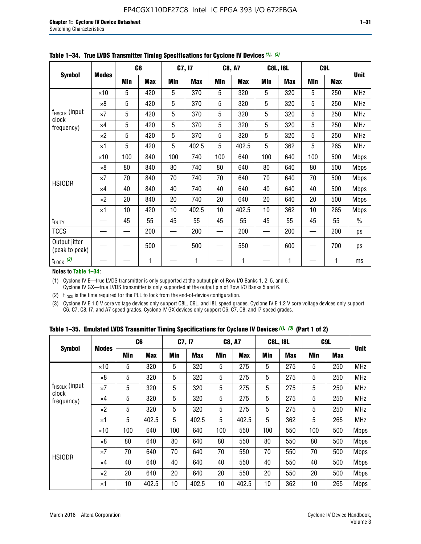|                                 |              |     | C <sub>6</sub> |     | C7, I7     |            | <b>C8, A7</b> |     | <b>C8L, I8L</b> |            | C9L        |               |
|---------------------------------|--------------|-----|----------------|-----|------------|------------|---------------|-----|-----------------|------------|------------|---------------|
| <b>Symbol</b>                   | <b>Modes</b> | Min | <b>Max</b>     | Min | <b>Max</b> | <b>Min</b> | <b>Max</b>    | Min | <b>Max</b>      | <b>Min</b> | <b>Max</b> | <b>Unit</b>   |
|                                 | $\times$ 10  | 5   | 420            | 5   | 370        | 5          | 320           | 5   | 320             | 5          | 250        | <b>MHz</b>    |
|                                 | $\times 8$   | 5   | 420            | 5   | 370        | 5          | 320           | 5   | 320             | 5          | 250        | <b>MHz</b>    |
| f <sub>HSCLK</sub> (input       | $\times 7$   | 5   | 420            | 5   | 370        | 5          | 320           | 5   | 320             | 5          | 250        | <b>MHz</b>    |
| clock<br>frequency)             | $\times$ 4   | 5   | 420            | 5   | 370        | 5          | 320           | 5   | 320             | 5          | 250        | <b>MHz</b>    |
|                                 | $\times 2$   | 5   | 420            | 5   | 370        | 5          | 320           | 5   | 320             | 5          | 250        | <b>MHz</b>    |
|                                 | $\times$ 1   | 5   | 420            | 5   | 402.5      | 5          | 402.5         | 5   | 362             | 5          | 265        | <b>MHz</b>    |
|                                 | $\times$ 10  | 100 | 840            | 100 | 740        | 100        | 640           | 100 | 640             | 100        | 500        | <b>Mbps</b>   |
|                                 | $\times 8$   | 80  | 840            | 80  | 740        | 80         | 640           | 80  | 640             | 80         | 500        | <b>Mbps</b>   |
| <b>HSIODR</b>                   | $\times 7$   | 70  | 840            | 70  | 740        | 70         | 640           | 70  | 640             | 70         | 500        | <b>Mbps</b>   |
|                                 | $\times$ 4   | 40  | 840            | 40  | 740        | 40         | 640           | 40  | 640             | 40         | 500        | <b>Mbps</b>   |
|                                 | $\times 2$   | 20  | 840            | 20  | 740        | 20         | 640           | 20  | 640             | 20         | 500        | <b>Mbps</b>   |
|                                 | $\times$ 1   | 10  | 420            | 10  | 402.5      | 10         | 402.5         | 10  | 362             | 10         | 265        | <b>Mbps</b>   |
| t <sub>DUTY</sub>               |              | 45  | 55             | 45  | 55         | 45         | 55            | 45  | 55              | 45         | 55         | $\frac{0}{0}$ |
| <b>TCCS</b>                     |              |     | 200            |     | 200        |            | 200           |     | 200             |            | 200        | ps            |
| Output jitter<br>(peak to peak) |              |     | 500            |     | 500        |            | 550           |     | 600             |            | 700        | ps            |
| $t_{\text{LOCK}}$ (2)           |              |     | 1              |     | 1          |            | 1             |     | 1               |            | 1          | ms            |

**Table 1–34. True LVDS Transmitter Timing Specifications for Cyclone IV Devices** *(1)***,** *(3)*

**Notes to Table 1–34:**

(1) Cyclone IV E—true LVDS transmitter is only supported at the output pin of Row I/O Banks 1, 2, 5, and 6. Cyclone IV GX—true LVDS transmitter is only supported at the output pin of Row I/O Banks 5 and 6.

(2)  $t_{\text{LOCK}}$  is the time required for the PLL to lock from the end-of-device configuration.

(3) Cyclone IV E 1.0 V core voltage devices only support C8L, C9L, and I8L speed grades. Cyclone IV E 1.2 V core voltage devices only support C6, C7, C8, I7, and A7 speed grades. Cyclone IV GX devices only support C6, C7, C8, and I7 speed grades.

|  |  |  |  |  |  | Table 1–35. Emulated LVDS Transmitter Timing Specifications for Cyclone IV Devices <sup>(1),</sup> <sup>(3)</sup> (Part 1 of 2) |  |  |
|--|--|--|--|--|--|---------------------------------------------------------------------------------------------------------------------------------|--|--|
|--|--|--|--|--|--|---------------------------------------------------------------------------------------------------------------------------------|--|--|

|                                    |              | C <sub>6</sub> |            | C7, I7     |            | <b>C8, A7</b> |            | <b>C8L, I8L</b> |            | C <sub>9</sub> L |            |             |
|------------------------------------|--------------|----------------|------------|------------|------------|---------------|------------|-----------------|------------|------------------|------------|-------------|
| <b>Symbol</b>                      | <b>Modes</b> | Min            | <b>Max</b> | <b>Min</b> | <b>Max</b> | <b>Min</b>    | <b>Max</b> | Min             | <b>Max</b> | <b>Min</b>       | <b>Max</b> | <b>Unit</b> |
|                                    | $\times$ 10  | 5              | 320        | 5          | 320        | 5             | 275        | 5               | 275        | 5                | 250        | <b>MHz</b>  |
|                                    | $\times 8$   | 5              | 320        | 5          | 320        | 5             | 275        | 5               | 275        | 5                | 250        | <b>MHz</b>  |
| f <sub>HSCLK</sub> (input<br>clock | $\times 7$   | 5              | 320        | 5          | 320        | 5             | 275        | 5               | 275        | 5                | 250        | <b>MHz</b>  |
| frequency)                         | $\times$ 4   | 5              | 320        | 5          | 320        | 5             | 275        | 5               | 275        | 5                | 250        | <b>MHz</b>  |
|                                    | $\times 2$   | 5              | 320        | 5          | 320        | 5             | 275        | 5               | 275        | 5                | 250        | <b>MHz</b>  |
|                                    | ×1           | 5              | 402.5      | 5          | 402.5      | 5             | 402.5      | 5               | 362        | 5                | 265        | <b>MHz</b>  |
|                                    | $\times$ 10  | 100            | 640        | 100        | 640        | 100           | 550        | 100             | 550        | 100              | 500        | <b>Mbps</b> |
|                                    | $\times 8$   | 80             | 640        | 80         | 640        | 80            | 550        | 80              | 550        | 80               | 500        | <b>Mbps</b> |
| <b>HSIODR</b>                      | $\times 7$   | 70             | 640        | 70         | 640        | 70            | 550        | 70              | 550        | 70               | 500        | <b>Mbps</b> |
|                                    | $\times$ 4   | 40             | 640        | 40         | 640        | 40            | 550        | 40              | 550        | 40               | 500        | <b>Mbps</b> |
|                                    | $\times 2$   | 20             | 640        | 20         | 640        | 20            | 550        | 20              | 550        | 20               | 500        | <b>Mbps</b> |
|                                    | ×1           | 10             | 402.5      | 10         | 402.5      | 10            | 402.5      | 10              | 362        | 10               | 265        | <b>Mbps</b> |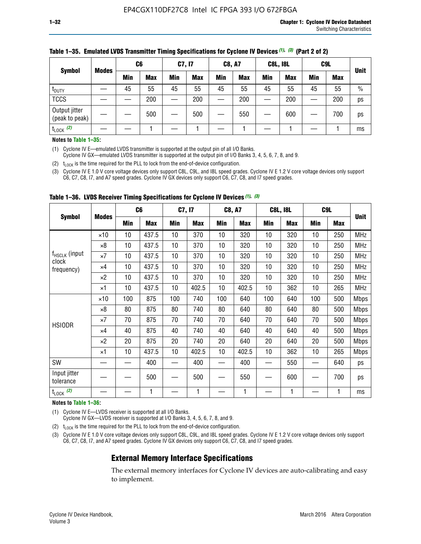|                                 |              | C <sub>6</sub> |            | C7, I7 |            | <b>C8, A7</b> |            | <b>C8L, I8L</b> |            |     | C <sub>9</sub> L |               |
|---------------------------------|--------------|----------------|------------|--------|------------|---------------|------------|-----------------|------------|-----|------------------|---------------|
| <b>Symbol</b>                   | <b>Modes</b> | Min            | <b>Max</b> | Min    | <b>Max</b> | <b>Min</b>    | <b>Max</b> | <b>Min</b>      | <b>Max</b> | Min | <b>Max</b>       | <b>Unit</b>   |
| t <sub>DUTY</sub>               |              | 45             | 55         | 45     | 55         | 45            | 55         | 45              | 55         | 45  | 55               | $\frac{0}{0}$ |
| <b>TCCS</b>                     |              |                | 200        |        | 200        |               | 200        |                 | 200        |     | 200              | ps            |
| Output jitter<br>(peak to peak) |              |                | 500        |        | 500        |               | 550        |                 | 600        | —   | 700              | ps            |
| $t_{\text{LOCK}}$ (2)           |              |                |            |        |            |               |            |                 |            |     |                  | ms            |

#### **Table 1–35. Emulated LVDS Transmitter Timing Specifications for Cyclone IV Devices** *(1)***,** *(3)* **(Part 2 of 2)**

#### **Notes to Table 1–35:**

(1) Cyclone IV E—emulated LVDS transmitter is supported at the output pin of all I/O Banks.

Cyclone IV GX—emulated LVDS transmitter is supported at the output pin of I/O Banks 3, 4, 5, 6, 7, 8, and 9.

(2)  $t_{\text{LOCK}}$  is the time required for the PLL to lock from the end-of-device configuration.

(3) Cyclone IV E 1.0 V core voltage devices only support C8L, C9L, and I8L speed grades. Cyclone IV E 1.2 V core voltage devices only support C6, C7, C8, I7, and A7 speed grades. Cyclone IV GX devices only support C6, C7, C8, and I7 speed grades.

|                                    |              | C <sub>6</sub> |            | C7, I7 |            | <b>C8, A7</b> |            |     | <b>C8L, I8L</b> | C <sub>9</sub> L         |     |             |
|------------------------------------|--------------|----------------|------------|--------|------------|---------------|------------|-----|-----------------|--------------------------|-----|-------------|
| <b>Symbol</b>                      | <b>Modes</b> | <b>Min</b>     | <b>Max</b> | Min    | <b>Max</b> | Min           | <b>Max</b> | Min | <b>Max</b>      | <b>Min</b>               | Max | <b>Unit</b> |
|                                    | $\times$ 10  | 10             | 437.5      | 10     | 370        | 10            | 320        | 10  | 320             | 10                       | 250 | <b>MHz</b>  |
|                                    | ×8           | 10             | 437.5      | 10     | 370        | 10            | 320        | 10  | 320             | 10                       | 250 | <b>MHz</b>  |
| f <sub>HSCLK</sub> (input<br>clock | $\times 7$   | 10             | 437.5      | 10     | 370        | 10            | 320        | 10  | 320             | 10                       | 250 | <b>MHz</b>  |
| frequency)                         | $\times 4$   | 10             | 437.5      | 10     | 370        | 10            | 320        | 10  | 320             | 10                       | 250 | <b>MHz</b>  |
|                                    | $\times 2$   | 10             | 437.5      | 10     | 370        | 10            | 320        | 10  | 320             | 10                       | 250 | <b>MHz</b>  |
|                                    | ×1           | 10             | 437.5      | 10     | 402.5      | 10            | 402.5      | 10  | 362             | 10                       | 265 | <b>MHz</b>  |
|                                    | $\times$ 10  | 100            | 875        | 100    | 740        | 100           | 640        | 100 | 640             | 100                      | 500 | <b>Mbps</b> |
|                                    | $\times 8$   | 80             | 875        | 80     | 740        | 80            | 640        | 80  | 640             | 80                       | 500 | <b>Mbps</b> |
| <b>HSIODR</b>                      | $\times 7$   | 70             | 875        | 70     | 740        | 70            | 640        | 70  | 640             | 70                       | 500 | <b>Mbps</b> |
|                                    | $\times 4$   | 40             | 875        | 40     | 740        | 40            | 640        | 40  | 640             | 40                       | 500 | <b>Mbps</b> |
|                                    | $\times 2$   | 20             | 875        | 20     | 740        | 20            | 640        | 20  | 640             | 20                       | 500 | <b>Mbps</b> |
|                                    | ×1           | 10             | 437.5      | 10     | 402.5      | 10            | 402.5      | 10  | 362             | 10                       | 265 | <b>Mbps</b> |
| SW                                 |              |                | 400        |        | 400        |               | 400        |     | 550             | —                        | 640 | ps          |
| Input jitter<br>tolerance          |              |                | 500        |        | 500        |               | 550        |     | 600             | $\overline{\phantom{0}}$ | 700 | ps          |
| $t_{\text{LOCK}}$ (2)              |              |                | 1          |        | 1          |               | 1          |     | 1               |                          |     | ms          |

**Table 1–36. LVDS Receiver Timing Specifications for Cyclone IV Devices** *(1)***,** *(3)*

#### **Notes to Table 1–36:**

(1) Cyclone IV E—LVDS receiver is supported at all I/O Banks.

Cyclone IV GX—LVDS receiver is supported at I/O Banks 3, 4, 5, 6, 7, 8, and 9.

(2)  $t_{\text{LOCK}}$  is the time required for the PLL to lock from the end-of-device configuration.

(3) Cyclone IV E 1.0 V core voltage devices only support C8L, C9L, and I8L speed grades. Cyclone IV E 1.2 V core voltage devices only support C6, C7, C8, I7, and A7 speed grades. Cyclone IV GX devices only support C6, C7, C8, and I7 speed grades.

### **External Memory Interface Specifications**

The external memory interfaces for Cyclone IV devices are auto-calibrating and easy to implement.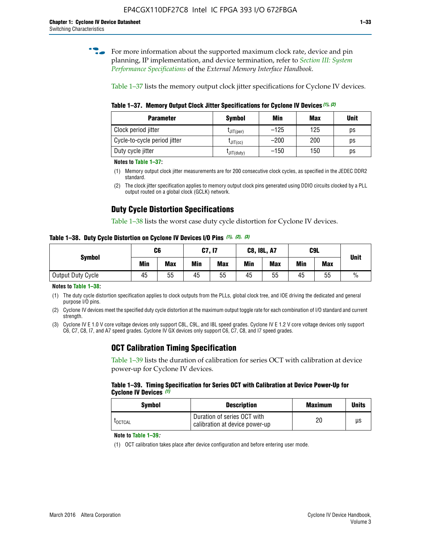**for more information about the supported maximum clock rate, device and pin** planning, IP implementation, and device termination, refer to *[Section III: System](http://www.altera.com/literature/hb/external-memory/emi_intro_specs.pdf)  [Performance Specifications](http://www.altera.com/literature/hb/external-memory/emi_intro_specs.pdf)* of the *External Memory Interface Handbook*.

Table 1–37 lists the memory output clock jitter specifications for Cyclone IV devices.

**Table 1–37. Memory Output Clock Jitter Specifications for Cyclone IV Devices** *(1)***,** *(2)*

| <b>Parameter</b>             | <b>Symbol</b>                    | Min    | <b>Max</b> | <b>Unit</b> |
|------------------------------|----------------------------------|--------|------------|-------------|
| Clock period jitter          | $L$ JIT(per)                     | $-125$ | 125        | ps          |
| Cycle-to-cycle period jitter | $\mathsf{L}$ JIT $(\mathsf{cc})$ | $-200$ | 200        | ps          |
| Duty cycle jitter            | LJIT(duty)                       | $-150$ | 150        | ps          |

**Notes to Table 1–37:**

- (1) Memory output clock jitter measurements are for 200 consecutive clock cycles, as specified in the JEDEC DDR2 standard.
- (2) The clock jitter specification applies to memory output clock pins generated using DDIO circuits clocked by a PLL output routed on a global clock (GCLK) network.

### **Duty Cycle Distortion Specifications**

Table 1–38 lists the worst case duty cycle distortion for Cyclone IV devices.

**Table 1–38. Duty Cycle Distortion on Cyclone IV Devices I/O Pins** *(1)***,** *(2), (3)*

| <b>Symbol</b>     | C6  |            | C7, I7     |            | <b>C8, I8L, A7</b> |            |            | C9L        | <b>Unit</b>   |
|-------------------|-----|------------|------------|------------|--------------------|------------|------------|------------|---------------|
|                   | Min | <b>Max</b> | <b>Min</b> | <b>Max</b> | Min                | <b>Max</b> | <b>Min</b> | <b>Max</b> |               |
| Output Duty Cycle | 45  | 55         | 45         | 55         | 45                 | 55         | 45         | 55         | $\frac{0}{0}$ |

**Notes to Table 1–38:**

(1) The duty cycle distortion specification applies to clock outputs from the PLLs, global clock tree, and IOE driving the dedicated and general purpose I/O pins.

(2) Cyclone IV devices meet the specified duty cycle distortion at the maximum output toggle rate for each combination of I/O standard and current strength.

(3) Cyclone IV E 1.0 V core voltage devices only support C8L, C9L, and I8L speed grades. Cyclone IV E 1.2 V core voltage devices only support C6, C7, C8, I7, and A7 speed grades. Cyclone IV GX devices only support C6, C7, C8, and I7 speed grades.

### **OCT Calibration Timing Specification**

Table 1–39 lists the duration of calibration for series OCT with calibration at device power-up for Cyclone IV devices.

#### **Table 1–39. Timing Specification for Series OCT with Calibration at Device Power-Up for Cyclone IV Devices** *(1)*

| Symbol  | <b>Description</b>                                            | <b>Maximum</b> | <b>Units</b> |
|---------|---------------------------------------------------------------|----------------|--------------|
| LOCTCAL | Duration of series OCT with<br>calibration at device power-up | 20             | μs           |

#### **Note to Table 1–39***:*

(1) OCT calibration takes place after device configuration and before entering user mode.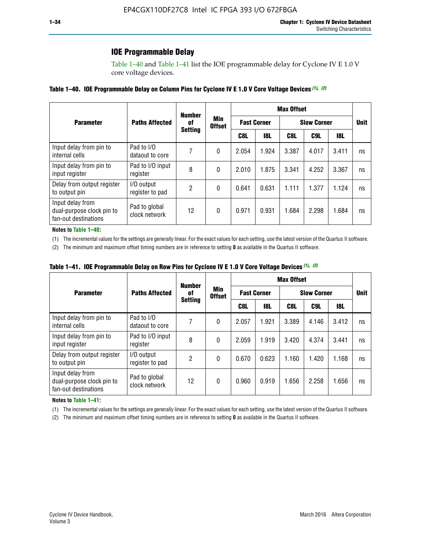### **IOE Programmable Delay**

Table 1–40 and Table 1–41 list the IOE programmable delay for Cyclone IV E 1.0 V core voltage devices.

### **Table 1–40. IOE Programmable Delay on Column Pins for Cyclone IV E 1.0 V Core Voltage Devices** *(1)***,** *(2)*

|                                                                       |                                | <b>Number</b><br>0f | Min<br><b>Offset</b> | <b>Max Offset</b>  |            |                    |             |       |    |  |
|-----------------------------------------------------------------------|--------------------------------|---------------------|----------------------|--------------------|------------|--------------------|-------------|-------|----|--|
| <b>Parameter</b>                                                      | <b>Paths Affected</b>          |                     |                      | <b>Fast Corner</b> |            | <b>Slow Corner</b> | <b>Unit</b> |       |    |  |
|                                                                       |                                | <b>Setting</b>      |                      | C8L                | <b>18L</b> | C8L                | C9L         | 18L   |    |  |
| Input delay from pin to<br>internal cells                             | Pad to I/O<br>dataout to core  |                     | 0                    | 2.054              | 1.924      | 3.387              | 4.017       | 3.411 | ns |  |
| Input delay from pin to<br>input register                             | Pad to I/O input<br>register   | 8                   | 0                    | 2.010              | 1.875      | 3.341              | 4.252       | 3.367 | ns |  |
| Delay from output register<br>to output pin                           | I/O output<br>register to pad  | 2                   | 0                    | 0.641              | 0.631      | 1.111              | 1.377       | 1.124 | ns |  |
| Input delay from<br>dual-purpose clock pin to<br>fan-out destinations | Pad to global<br>clock network | 12                  | 0                    | 0.971              | 0.931      | 1.684              | 2.298       | 1.684 | ns |  |

#### **Notes to Table 1–40:**

(1) The incremental values for the settings are generally linear. For the exact values for each setting, use the latest version of the Quartus II software.

(2) The minimum and maximum offset timing numbers are in reference to setting **0** as available in the Quartus II software.

| Table 1–41. IOE Programmable Delay on Row Pins for Cyclone IV E 1.0 V Core Voltage Devices (1), (2) |  |  |
|-----------------------------------------------------------------------------------------------------|--|--|
|-----------------------------------------------------------------------------------------------------|--|--|

|                                                                       |                                | <b>Number</b>  | Min<br><b>Offset</b> | <b>Max Offset</b> |                    |                    |             |       |    |  |
|-----------------------------------------------------------------------|--------------------------------|----------------|----------------------|-------------------|--------------------|--------------------|-------------|-------|----|--|
| <b>Parameter</b>                                                      | <b>Paths Affected</b>          | 0f             |                      |                   | <b>Fast Corner</b> | <b>Slow Corner</b> | <b>Unit</b> |       |    |  |
|                                                                       |                                | <b>Setting</b> |                      | C8L               | <b>18L</b>         | C8L                | C9L         | 18L   |    |  |
| Input delay from pin to<br>internal cells                             | Pad to I/O<br>dataout to core  |                | 0                    | 2.057             | 1.921              | 3.389              | 4.146       | 3.412 | ns |  |
| Input delay from pin to<br>input register                             | Pad to I/O input<br>register   | 8              | 0                    | 2.059             | 1.919              | 3.420              | 4.374       | 3.441 | ns |  |
| Delay from output register<br>to output pin                           | I/O output<br>register to pad  | 2              | 0                    | 0.670             | 0.623              | 1.160              | 1.420       | 1.168 | ns |  |
| Input delay from<br>dual-purpose clock pin to<br>fan-out destinations | Pad to global<br>clock network | 12             | 0                    | 0.960             | 0.919              | 1.656              | 2.258       | 1.656 | ns |  |

#### **Notes to Table 1–41:**

(1) The incremental values for the settings are generally linear. For the exact values for each setting, use the latest version of the Quartus II software.

(2) The minimum and maximum offset timing numbers are in reference to setting **0** as available in the Quartus II software.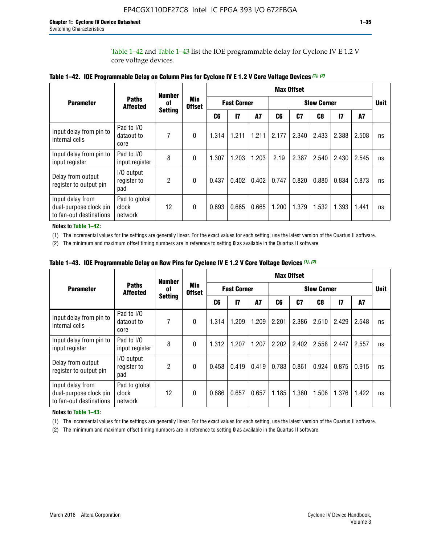Table 1–42 and Table 1–43 list the IOE programmable delay for Cyclone IV E 1.2 V core voltage devices.

|                                                                       |                                   | <b>Number</b>        | <b>Min</b><br><b>Offset</b> | <b>Max Offset</b> |                    |           |                    |       |       |       |           |             |
|-----------------------------------------------------------------------|-----------------------------------|----------------------|-----------------------------|-------------------|--------------------|-----------|--------------------|-------|-------|-------|-----------|-------------|
| <b>Parameter</b>                                                      | <b>Paths</b><br><b>Affected</b>   | 0f<br><b>Setting</b> |                             |                   | <b>Fast Corner</b> |           | <b>Slow Corner</b> |       |       |       |           | <b>Unit</b> |
|                                                                       |                                   |                      |                             | C <sub>6</sub>    | $\overline{17}$    | <b>A7</b> | C6                 | C7    | C8    | 17    | <b>A7</b> |             |
| Input delay from pin to<br>internal cells                             | Pad to I/O<br>dataout to<br>core  | 7                    | $\Omega$                    | 1.314             | 1.211              | 1.211     | 2.177              | 2.340 | 2.433 | 2.388 | 2.508     | ns          |
| Input delay from pin to<br>input register                             | Pad to I/O<br>input register      | 8                    | $\Omega$                    | 1.307             | 1.203              | 1.203     | 2.19               | 2.387 | 2.540 | 2.430 | 2.545     | ns          |
| Delay from output<br>register to output pin                           | I/O output<br>register to<br>pad  | 2                    | $\Omega$                    | 0.437             | 0.402              | 0.402     | 0.747              | 0.820 | 0.880 | 0.834 | 0.873     | ns          |
| Input delay from<br>dual-purpose clock pin<br>to fan-out destinations | Pad to global<br>clock<br>network | 12                   | 0                           | 0.693             | 0.665              | 0.665     | 1.200              | 1.379 | 1.532 | 1.393 | 1.441     | ns          |

**Table 1–42. IOE Programmable Delay on Column Pins for Cyclone IV E 1.2 V Core Voltage Devices** *(1)***,** *(2)*

**Notes to Table 1–42:**

(1) The incremental values for the settings are generally linear. For the exact values for each setting, use the latest version of the Quartus II software.

(2) The minimum and maximum offset timing numbers are in reference to setting **0** as available in the Quartus II software.

|                                                                       |                                   | <b>Number</b>        | Min<br><b>Offset</b> | <b>Max Offset</b> |                    |       |                    |                |       |               |       |             |
|-----------------------------------------------------------------------|-----------------------------------|----------------------|----------------------|-------------------|--------------------|-------|--------------------|----------------|-------|---------------|-------|-------------|
| <b>Parameter</b>                                                      | <b>Paths</b><br><b>Affected</b>   | 0f<br><b>Setting</b> |                      |                   | <b>Fast Corner</b> |       | <b>Slow Corner</b> |                |       |               |       | <b>Unit</b> |
|                                                                       |                                   |                      |                      | C6                | 17                 | A7    | C6                 | C <sub>7</sub> | C8    | $\mathsf{I}7$ | A7    |             |
| Input delay from pin to<br>internal cells                             | Pad to I/O<br>dataout to<br>core  | 7                    | 0                    | 1.314             | 1.209              | 1.209 | 2.201              | 2.386          | 2.510 | 2.429         | 2.548 | ns          |
| Input delay from pin to<br>input register                             | Pad to I/O<br>input register      | 8                    | $\theta$             | 1.312             | 1.207              | 1.207 | 2.202              | 2.402          | 2.558 | 2.447         | 2.557 | ns          |
| Delay from output<br>register to output pin                           | I/O output<br>register to<br>pad  | $\overline{2}$       | $\Omega$             | 0.458             | 0.419              | 0.419 | 0.783              | 0.861          | 0.924 | 0.875         | 0.915 | ns          |
| Input delay from<br>dual-purpose clock pin<br>to fan-out destinations | Pad to global<br>clock<br>network | 12                   | 0                    | 0.686             | 0.657              | 0.657 | 1.185              | 1.360          | 1.506 | 1.376         | 1.422 | ns          |

**Table 1–43. IOE Programmable Delay on Row Pins for Cyclone IV E 1.2 V Core Voltage Devices** *(1)***,** *(2)*

#### **Notes to Table 1–43:**

(1) The incremental values for the settings are generally linear. For the exact values for each setting, use the latest version of the Quartus II software.

(2) The minimum and maximum offset timing numbers are in reference to setting **0** as available in the Quartus II software.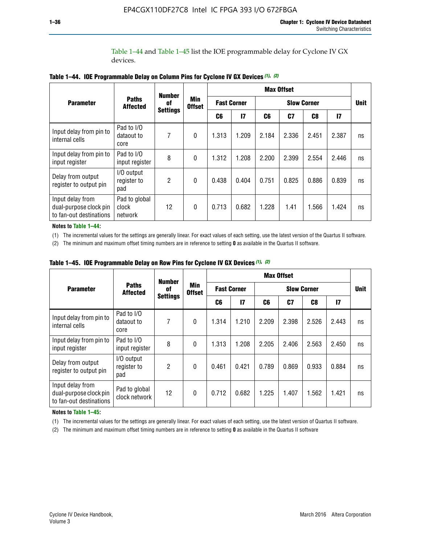Table 1–44 and Table 1–45 list the IOE programmable delay for Cyclone IV GX devices.

|                                                                       |                                   | <b>Number</b><br>0f | <b>Min</b><br><b>Offset</b> | <b>Max Offset</b>  |              |                    |       |       |               |             |
|-----------------------------------------------------------------------|-----------------------------------|---------------------|-----------------------------|--------------------|--------------|--------------------|-------|-------|---------------|-------------|
| <b>Parameter</b>                                                      | <b>Paths</b><br><b>Affected</b>   |                     |                             | <b>Fast Corner</b> |              | <b>Slow Corner</b> |       |       |               | <b>Unit</b> |
|                                                                       |                                   | <b>Settings</b>     |                             | C6                 | $\mathbf{I}$ | C6                 | C7    | C8    | $\mathsf{I}7$ |             |
| Input delay from pin to<br>internal cells                             | Pad to I/O<br>dataout to<br>core  | 7                   | $\mathbf{0}$                | 1.313              | 1.209        | 2.184              | 2.336 | 2.451 | 2.387         | ns          |
| Input delay from pin to<br>input register                             | Pad to I/O<br>input register      | 8                   | $\theta$                    | 1.312              | 1.208        | 2.200              | 2.399 | 2.554 | 2.446         | ns          |
| Delay from output<br>register to output pin                           | I/O output<br>register to<br>pad  | 2                   | $\mathbf 0$                 | 0.438              | 0.404        | 0.751              | 0.825 | 0.886 | 0.839         | ns          |
| Input delay from<br>dual-purpose clock pin<br>to fan-out destinations | Pad to global<br>clock<br>network | 12                  | 0                           | 0.713              | 0.682        | 1.228              | 1.41  | 1.566 | 1.424         | ns          |

**Table 1–44. IOE Programmable Delay on Column Pins for Cyclone IV GX Devices** *(1)***,** *(2)*

**Notes to Table 1–44:**

(1) The incremental values for the settings are generally linear. For exact values of each setting, use the latest version of the Quartus II software.

(2) The minimum and maximum offset timing numbers are in reference to setting **0** as available in the Quartus II software.

|                                                                       |                                  | <b>Number</b>         |                             |       |                    |                    | <b>Max Offset</b> |       |               |             |
|-----------------------------------------------------------------------|----------------------------------|-----------------------|-----------------------------|-------|--------------------|--------------------|-------------------|-------|---------------|-------------|
| <b>Parameter</b>                                                      | <b>Paths</b><br><b>Affected</b>  | 0f<br><b>Settings</b> | <b>Min</b><br><b>Offset</b> |       | <b>Fast Corner</b> | <b>Slow Corner</b> |                   |       |               | <b>Unit</b> |
|                                                                       |                                  |                       |                             | C6    | 17                 | C6                 | C7                | C8    | $\mathsf{I}7$ |             |
| Input delay from pin to<br>internal cells                             | Pad to I/O<br>dataout to<br>core | 7                     | $\mathbf{0}$                | 1.314 | 1.210              | 2.209              | 2.398             | 2.526 | 2.443         | ns          |
| Input delay from pin to<br>input register                             | Pad to I/O<br>input register     | 8                     | $\mathbf{0}$                | 1.313 | 1.208              | 2.205              | 2.406             | 2.563 | 2.450         | ns          |
| Delay from output<br>register to output pin                           | I/O output<br>register to<br>pad | $\overline{2}$        | $\mathbf{0}$                | 0.461 | 0.421              | 0.789              | 0.869             | 0.933 | 0.884         | ns          |
| Input delay from<br>dual-purpose clock pin<br>to fan-out destinations | Pad to global<br>clock network   | 12                    | $\mathbf{0}$                | 0.712 | 0.682              | 1.225              | 1.407             | 1.562 | 1.421         | ns          |

**Table 1–45. IOE Programmable Delay on Row Pins for Cyclone IV GX Devices** *(1)***,** *(2)*

#### **Notes to Table 1–45:**

(1) The incremental values for the settings are generally linear. For exact values of each setting, use the latest version of Quartus II software.

(2) The minimum and maximum offset timing numbers are in reference to setting **0** as available in the Quartus II software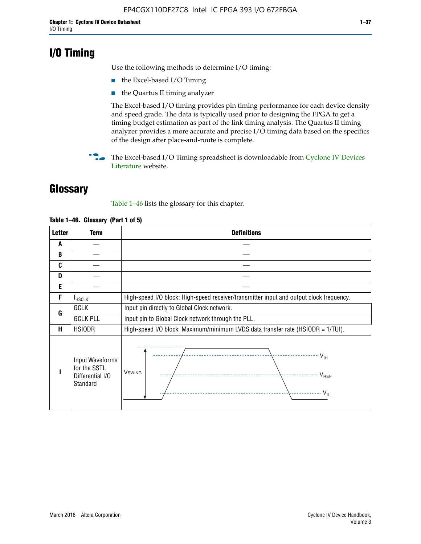# **I/O Timing**

Use the following methods to determine I/O timing:

- the Excel-based I/O Timing
- the Quartus II timing analyzer

The Excel-based I/O timing provides pin timing performance for each device density and speed grade. The data is typically used prior to designing the FPGA to get a timing budget estimation as part of the link timing analysis. The Quartus II timing analyzer provides a more accurate and precise I/O timing data based on the specifics of the design after place-and-route is complete.

**For The Excel-based I/O Timing spreadsheet is downloadable from Cyclone IV Devices** [Literature](http://www.altera.com/literature/lit-cyclone-iv.jsp) website.

# **Glossary**

Table 1–46 lists the glossary for this chapter.

| <b>Letter</b> | <b>Term</b>                                                     | <b>Definitions</b>                                                                                                               |  |  |  |  |  |  |  |
|---------------|-----------------------------------------------------------------|----------------------------------------------------------------------------------------------------------------------------------|--|--|--|--|--|--|--|
| A             |                                                                 |                                                                                                                                  |  |  |  |  |  |  |  |
| B             |                                                                 |                                                                                                                                  |  |  |  |  |  |  |  |
| C             |                                                                 |                                                                                                                                  |  |  |  |  |  |  |  |
| D             |                                                                 |                                                                                                                                  |  |  |  |  |  |  |  |
| E             |                                                                 |                                                                                                                                  |  |  |  |  |  |  |  |
| F             | $f_{HSCLK}$                                                     | High-speed I/O block: High-speed receiver/transmitter input and output clock frequency.                                          |  |  |  |  |  |  |  |
| G             | <b>GCLK</b>                                                     | Input pin directly to Global Clock network.                                                                                      |  |  |  |  |  |  |  |
|               | <b>GCLK PLL</b>                                                 | Input pin to Global Clock network through the PLL.                                                                               |  |  |  |  |  |  |  |
| Н             | <b>HSIODR</b>                                                   | High-speed I/O block: Maximum/minimum LVDS data transfer rate (HSIODR = 1/TUI).                                                  |  |  |  |  |  |  |  |
|               | Input Waveforms<br>for the SSTL<br>Differential I/O<br>Standard | $\frac{1}{\sqrt{1+\frac{1}{2}}}\left\{ \frac{1}{\sqrt{1+\frac{1}{2}}}\right\}$<br><b>V</b> swing<br>V <sub>REF</sub><br>$V_{IL}$ |  |  |  |  |  |  |  |

#### **Table 1–46. Glossary (Part 1 of 5)**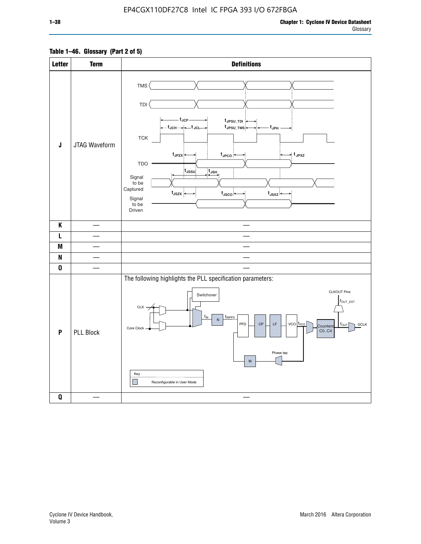### **Table 1–46. Glossary (Part 2 of 5)**

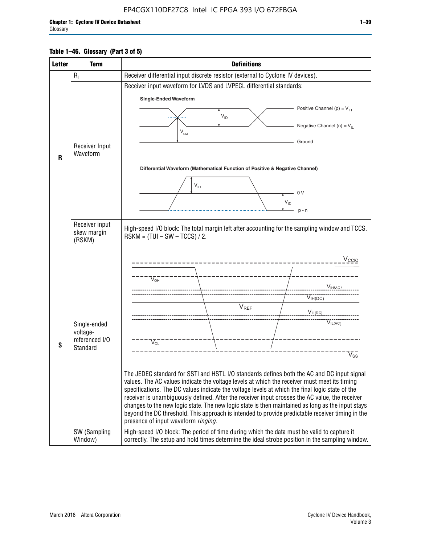### **Table 1–46. Glossary (Part 3 of 5)**

| <b>Letter</b> | <b>Term</b>                | <b>Definitions</b>                                                                                                                                                                                |  |  |  |  |  |  |  |  |
|---------------|----------------------------|---------------------------------------------------------------------------------------------------------------------------------------------------------------------------------------------------|--|--|--|--|--|--|--|--|
|               | $R_L$                      | Receiver differential input discrete resistor (external to Cyclone IV devices).                                                                                                                   |  |  |  |  |  |  |  |  |
|               |                            | Receiver input waveform for LVDS and LVPECL differential standards:                                                                                                                               |  |  |  |  |  |  |  |  |
|               |                            | <b>Single-Ended Waveform</b>                                                                                                                                                                      |  |  |  |  |  |  |  |  |
|               |                            | Positive Channel (p) = $V_{\text{H}}$                                                                                                                                                             |  |  |  |  |  |  |  |  |
|               |                            | $\mathsf{V}_{\mathsf{ID}}$                                                                                                                                                                        |  |  |  |  |  |  |  |  |
|               |                            | Negative Channel (n) = $V_{\parallel}$<br>$\mathsf{V}_{\scriptscriptstyle \mathsf{CM}}$                                                                                                           |  |  |  |  |  |  |  |  |
|               | Receiver Input             | Ground                                                                                                                                                                                            |  |  |  |  |  |  |  |  |
| $\mathbf{R}$  | Waveform                   |                                                                                                                                                                                                   |  |  |  |  |  |  |  |  |
|               |                            | Differential Waveform (Mathematical Function of Positive & Negative Channel)                                                                                                                      |  |  |  |  |  |  |  |  |
|               |                            |                                                                                                                                                                                                   |  |  |  |  |  |  |  |  |
|               |                            | $V_{ID}$                                                                                                                                                                                          |  |  |  |  |  |  |  |  |
|               |                            | - 0 V<br>$V_{ID}$                                                                                                                                                                                 |  |  |  |  |  |  |  |  |
|               |                            | $p - n$                                                                                                                                                                                           |  |  |  |  |  |  |  |  |
|               | Receiver input             |                                                                                                                                                                                                   |  |  |  |  |  |  |  |  |
|               | skew margin                | High-speed I/O block: The total margin left after accounting for the sampling window and TCCS.<br>$RSKM = (TUI - SW - TCCS) / 2.$                                                                 |  |  |  |  |  |  |  |  |
|               | (RSKM)                     |                                                                                                                                                                                                   |  |  |  |  |  |  |  |  |
|               |                            | V <sub>CCIO</sub>                                                                                                                                                                                 |  |  |  |  |  |  |  |  |
|               |                            |                                                                                                                                                                                                   |  |  |  |  |  |  |  |  |
|               |                            | $\nabla_{\!\circ\mathsf{H}}^-$                                                                                                                                                                    |  |  |  |  |  |  |  |  |
|               |                            | V <sub>IH</sub> (AC)                                                                                                                                                                              |  |  |  |  |  |  |  |  |
|               |                            | $V_{IH(DC)}$<br>$V_{REF}$                                                                                                                                                                         |  |  |  |  |  |  |  |  |
|               |                            | $V_{I L (DC)}$                                                                                                                                                                                    |  |  |  |  |  |  |  |  |
|               | Single-ended               | VIL(AC)                                                                                                                                                                                           |  |  |  |  |  |  |  |  |
|               | voltage-<br>referenced I/O |                                                                                                                                                                                                   |  |  |  |  |  |  |  |  |
| S             | Standard                   | $V_{OL}$                                                                                                                                                                                          |  |  |  |  |  |  |  |  |
|               |                            | $\overline{\mathsf{V}}_\mathsf{SS}^-$                                                                                                                                                             |  |  |  |  |  |  |  |  |
|               |                            | The JEDEC standard for SSTI and HSTL I/O standards defines both the AC and DC input signal                                                                                                        |  |  |  |  |  |  |  |  |
|               |                            | values. The AC values indicate the voltage levels at which the receiver must meet its timing                                                                                                      |  |  |  |  |  |  |  |  |
|               |                            | specifications. The DC values indicate the voltage levels at which the final logic state of the<br>receiver is unambiguously defined. After the receiver input crosses the AC value, the receiver |  |  |  |  |  |  |  |  |
|               |                            | changes to the new logic state. The new logic state is then maintained as long as the input stays                                                                                                 |  |  |  |  |  |  |  |  |
|               |                            | beyond the DC threshold. This approach is intended to provide predictable receiver timing in the<br>presence of input waveform ringing.                                                           |  |  |  |  |  |  |  |  |
|               | SW (Sampling               | High-speed I/O block: The period of time during which the data must be valid to capture it                                                                                                        |  |  |  |  |  |  |  |  |
|               | Window)                    | correctly. The setup and hold times determine the ideal strobe position in the sampling window.                                                                                                   |  |  |  |  |  |  |  |  |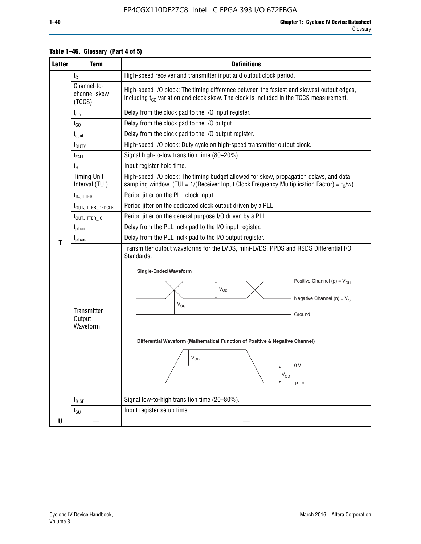| <b>Letter</b> | <b>Term</b>                                               | <b>Definitions</b>                                                                                                                                                                                                                                                                                                                                                                                      |
|---------------|-----------------------------------------------------------|---------------------------------------------------------------------------------------------------------------------------------------------------------------------------------------------------------------------------------------------------------------------------------------------------------------------------------------------------------------------------------------------------------|
|               | $t_{C}$                                                   | High-speed receiver and transmitter input and output clock period.                                                                                                                                                                                                                                                                                                                                      |
|               | Channel-to-<br>channel-skew<br>(TCCS)                     | High-speed I/O block: The timing difference between the fastest and slowest output edges,<br>including t <sub>co</sub> variation and clock skew. The clock is included in the TCCS measurement.                                                                                                                                                                                                         |
|               | $t_{\text{cin}}$                                          | Delay from the clock pad to the I/O input register.                                                                                                                                                                                                                                                                                                                                                     |
|               | $t_{CO}$                                                  | Delay from the clock pad to the I/O output.                                                                                                                                                                                                                                                                                                                                                             |
|               | $t_{\text{cout}}$                                         | Delay from the clock pad to the I/O output register.                                                                                                                                                                                                                                                                                                                                                    |
|               | t <sub>DUTY</sub>                                         | High-speed I/O block: Duty cycle on high-speed transmitter output clock.                                                                                                                                                                                                                                                                                                                                |
|               | t <sub>FALL</sub>                                         | Signal high-to-low transition time (80-20%).                                                                                                                                                                                                                                                                                                                                                            |
|               | $t_H$                                                     | Input register hold time.                                                                                                                                                                                                                                                                                                                                                                               |
|               | <b>Timing Unit</b><br>Interval (TUI)                      | High-speed I/O block: The timing budget allowed for skew, propagation delays, and data<br>sampling window. (TUI = $1/($ Receiver Input Clock Frequency Multiplication Factor) = $tC/w$ ).                                                                                                                                                                                                               |
|               | $t_{\text{INJITTER}}$                                     | Period jitter on the PLL clock input.                                                                                                                                                                                                                                                                                                                                                                   |
|               | t <sub>outjitter_dedclk</sub>                             | Period jitter on the dedicated clock output driven by a PLL.                                                                                                                                                                                                                                                                                                                                            |
|               | Period jitter on the general purpose I/O driven by a PLL. |                                                                                                                                                                                                                                                                                                                                                                                                         |
|               | $t_{\rm plicin}$                                          | Delay from the PLL inclk pad to the I/O input register.                                                                                                                                                                                                                                                                                                                                                 |
| т             | t <sub>plicout</sub>                                      | Delay from the PLL inclk pad to the I/O output register.                                                                                                                                                                                                                                                                                                                                                |
|               | Transmitter<br>Output<br>Waveform                         | Transmitter output waveforms for the LVDS, mini-LVDS, PPDS and RSDS Differential I/O<br>Standards:<br><b>Single-Ended Waveform</b><br>Positive Channel (p) = $V_{OH}$<br><b>V<sub>OD</sub></b><br>Negative Channel (n) = $V_{OL}$<br>$V_{OS}$<br>Ground<br>Differential Waveform (Mathematical Function of Positive & Negative Channel)<br>$\rm V_{OD}$<br>0 V<br>$\mathsf{V}_{\mathsf{OD}}$<br>$p - n$ |
|               | $t_{RISE}$                                                | Signal low-to-high transition time (20-80%).                                                                                                                                                                                                                                                                                                                                                            |
|               | $t_{\text{SU}}$                                           | Input register setup time.                                                                                                                                                                                                                                                                                                                                                                              |
| U             |                                                           |                                                                                                                                                                                                                                                                                                                                                                                                         |

### **Table 1–46. Glossary (Part 4 of 5)**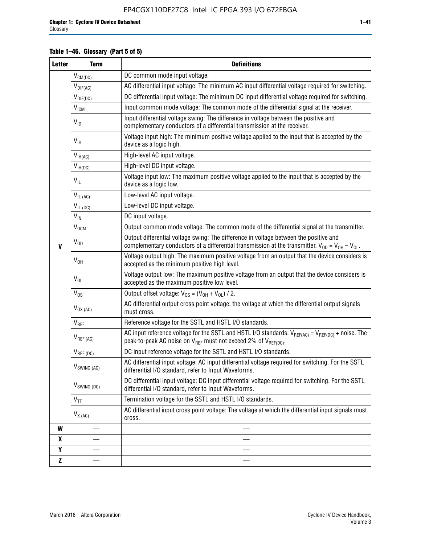### **Table 1–46. Glossary (Part 5 of 5)**

| <b>Letter</b> | <b>Term</b>               | <b>Definitions</b>                                                                                                                                                                                |
|---------------|---------------------------|---------------------------------------------------------------------------------------------------------------------------------------------------------------------------------------------------|
|               | $V_{CM(DC)}$              | DC common mode input voltage.                                                                                                                                                                     |
|               | $V_{DIF(AC)}$             | AC differential input voltage: The minimum AC input differential voltage required for switching.                                                                                                  |
|               | $V_{DIF(DC)}$             | DC differential input voltage: The minimum DC input differential voltage required for switching.                                                                                                  |
|               | <b>V<sub>ICM</sub></b>    | Input common mode voltage: The common mode of the differential signal at the receiver.                                                                                                            |
|               | $V_{ID}$                  | Input differential voltage swing: The difference in voltage between the positive and<br>complementary conductors of a differential transmission at the receiver.                                  |
|               | $V_{\text{IH}}$           | Voltage input high: The minimum positive voltage applied to the input that is accepted by the<br>device as a logic high.                                                                          |
|               | $V_{IH(AC)}$              | High-level AC input voltage.                                                                                                                                                                      |
|               | $V_{IH(DC)}$              | High-level DC input voltage.                                                                                                                                                                      |
|               | $V_{IL}$                  | Voltage input low: The maximum positive voltage applied to the input that is accepted by the<br>device as a logic low.                                                                            |
|               | $V_{IL(AC)}$              | Low-level AC input voltage.                                                                                                                                                                       |
|               | $V_{IL(DC)}$              | Low-level DC input voltage.                                                                                                                                                                       |
|               | $V_{IN}$                  | DC input voltage.                                                                                                                                                                                 |
|               | V <sub>OCM</sub>          | Output common mode voltage: The common mode of the differential signal at the transmitter.                                                                                                        |
| $\mathbf{V}$  | $V_{OD}$                  | Output differential voltage swing: The difference in voltage between the positive and<br>complementary conductors of a differential transmission at the transmitter. $V_{OD} = V_{OH} - V_{OL}$ . |
|               | $V_{OH}$                  | Voltage output high: The maximum positive voltage from an output that the device considers is<br>accepted as the minimum positive high level.                                                     |
|               | $V_{OL}$                  | Voltage output low: The maximum positive voltage from an output that the device considers is<br>accepted as the maximum positive low level.                                                       |
|               | $V_{OS}$                  | Output offset voltage: $V_{OS} = (V_{OH} + V_{OL}) / 2$ .                                                                                                                                         |
|               | $V_{OX (AC)}$             | AC differential output cross point voltage: the voltage at which the differential output signals<br>must cross.                                                                                   |
|               | $V_{REF}$                 | Reference voltage for the SSTL and HSTL I/O standards.                                                                                                                                            |
|               | $V_{REF\,(AC)}$           | AC input reference voltage for the SSTL and HSTL I/O standards. $V_{REF(AC)} = V_{REF(DC)} +$ noise. The<br>peak-to-peak AC noise on $V_{REF}$ must not exceed 2% of $V_{REF(DC)}$ .              |
|               | $V_{REF(DC)}$             | DC input reference voltage for the SSTL and HSTL I/O standards.                                                                                                                                   |
|               | $V_{\textrm{SWING (AC)}}$ | AC differential input voltage: AC input differential voltage required for switching. For the SSTL<br>differential I/O standard, refer to Input Waveforms.                                         |
|               | V <sub>SWING (DC)</sub>   | DC differential input voltage: DC input differential voltage required for switching. For the SSTL<br>differential I/O standard, refer to Input Waveforms.                                         |
|               | $V_{TT}$                  | Termination voltage for the SSTL and HSTL I/O standards.                                                                                                                                          |
|               | $V_{X(AC)}$               | AC differential input cross point voltage: The voltage at which the differential input signals must<br>cross.                                                                                     |
| W             |                           |                                                                                                                                                                                                   |
| X             |                           |                                                                                                                                                                                                   |
| Y             |                           |                                                                                                                                                                                                   |
| $\mathbf{Z}$  |                           |                                                                                                                                                                                                   |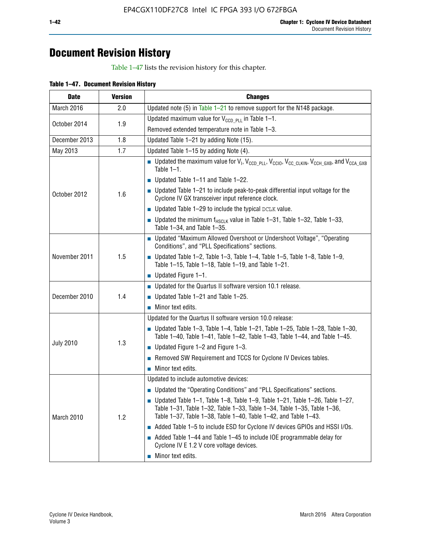# **Document Revision History**

Table 1–47 lists the revision history for this chapter.

| <b>Date</b>      | <b>Version</b> | <b>Changes</b>                                                                                                                                                                                                                            |
|------------------|----------------|-------------------------------------------------------------------------------------------------------------------------------------------------------------------------------------------------------------------------------------------|
| March 2016       | 2.0            | Updated note (5) in Table $1-21$ to remove support for the N148 package.                                                                                                                                                                  |
| October 2014     | 1.9            | Updated maximum value for $V_{CCD, PL}$ in Table 1-1.                                                                                                                                                                                     |
|                  |                | Removed extended temperature note in Table 1-3.                                                                                                                                                                                           |
| December 2013    | 1.8            | Updated Table 1-21 by adding Note (15).                                                                                                                                                                                                   |
| May 2013         | 1.7            | Updated Table 1-15 by adding Note (4).                                                                                                                                                                                                    |
| October 2012     | 1.6            | <b>D</b> Updated the maximum value for $V_1$ , $V_{CCD}$ <sub>PLL</sub> , $V_{CC10}$ , $V_{CC_1CLKIN}$ , $V_{CCH_GXB}$ , and $V_{CCA_GXB}$<br>Table $1-1$ .                                                                               |
|                  |                | $\blacksquare$ Updated Table 1-11 and Table 1-22.                                                                                                                                                                                         |
|                  |                | $\blacksquare$ Updated Table 1-21 to include peak-to-peak differential input voltage for the<br>Cyclone IV GX transceiver input reference clock.                                                                                          |
|                  |                | $\blacksquare$ Updated Table 1-29 to include the typical DCLK value.                                                                                                                                                                      |
|                  |                | <b>Updated the minimum f<sub>HSCLK</sub></b> value in Table 1-31, Table 1-32, Table 1-33,<br>Table 1-34, and Table 1-35.                                                                                                                  |
| November 2011    | 1.5            | ■ Updated "Maximum Allowed Overshoot or Undershoot Voltage", "Operating<br>Conditions", and "PLL Specifications" sections.                                                                                                                |
|                  |                | Updated Table 1-2, Table 1-3, Table 1-4, Table 1-5, Table 1-8, Table 1-9,<br>Table 1-15, Table 1-18, Table 1-19, and Table 1-21.                                                                                                          |
|                  |                | ■ Updated Figure $1-1$ .                                                                                                                                                                                                                  |
|                  | 1.4            | • Updated for the Quartus II software version 10.1 release.                                                                                                                                                                               |
| December 2010    |                | $\blacksquare$ Updated Table 1-21 and Table 1-25.                                                                                                                                                                                         |
|                  |                | $\blacksquare$ Minor text edits.                                                                                                                                                                                                          |
|                  | 1.3            | Updated for the Quartus II software version 10.0 release:                                                                                                                                                                                 |
| <b>July 2010</b> |                | Updated Table 1-3, Table 1-4, Table 1-21, Table 1-25, Table 1-28, Table 1-30,<br>Table 1-40, Table 1-41, Table 1-42, Table 1-43, Table 1-44, and Table 1-45.                                                                              |
|                  |                | ■ Updated Figure $1-2$ and Figure $1-3$ .                                                                                                                                                                                                 |
|                  |                | Removed SW Requirement and TCCS for Cyclone IV Devices tables.                                                                                                                                                                            |
|                  |                | $\blacksquare$ Minor text edits.                                                                                                                                                                                                          |
| March 2010       | 1.2            | Updated to include automotive devices:                                                                                                                                                                                                    |
|                  |                | • Updated the "Operating Conditions" and "PLL Specifications" sections.                                                                                                                                                                   |
|                  |                | $\blacksquare$ Updated Table 1-1, Table 1-8, Table 1-9, Table 1-21, Table 1-26, Table 1-27,<br>Table 1-31, Table 1-32, Table 1-33, Table 1-34, Table 1-35, Table 1-36,<br>Table 1-37, Table 1-38, Table 1-40, Table 1-42, and Table 1-43. |
|                  |                | Added Table 1-5 to include ESD for Cyclone IV devices GPIOs and HSSI I/Os.                                                                                                                                                                |
|                  |                | Added Table 1-44 and Table 1-45 to include IOE programmable delay for<br>Cyclone IV E 1.2 V core voltage devices.                                                                                                                         |
|                  |                | Minor text edits.                                                                                                                                                                                                                         |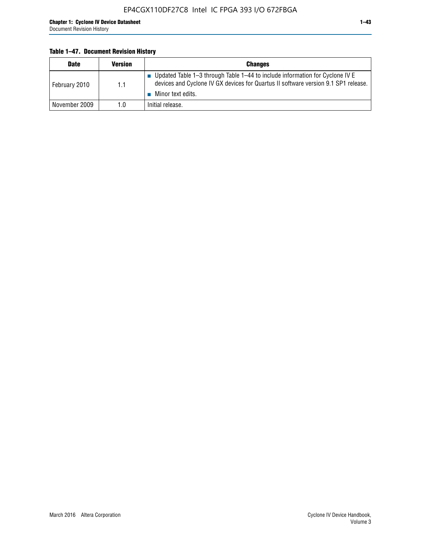### **Table 1–47. Document Revision History**

| <b>Date</b>   | <b>Version</b> | <b>Changes</b>                                                                                                                                                                          |
|---------------|----------------|-----------------------------------------------------------------------------------------------------------------------------------------------------------------------------------------|
| February 2010 | 1.1            | Updated Table 1-3 through Table 1-44 to include information for Cyclone IV E<br>devices and Cyclone IV GX devices for Quartus II software version 9.1 SP1 release.<br>Minor text edits. |
| November 2009 | 1.0            | Initial release.                                                                                                                                                                        |